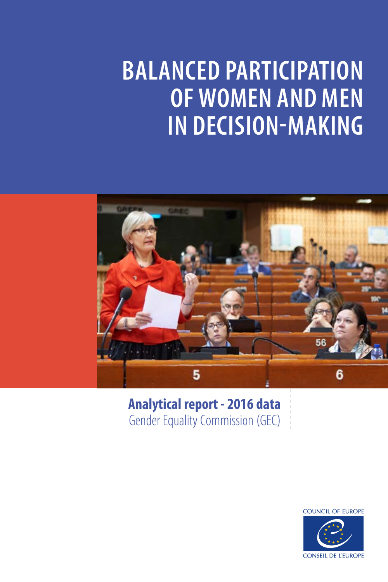# **BALANCED PARTICIPATION OF WOMEN AND MEN IN DECISION-MAKING**



### **Analytical report - 2016 data** Gender Equality Commission (GEC)

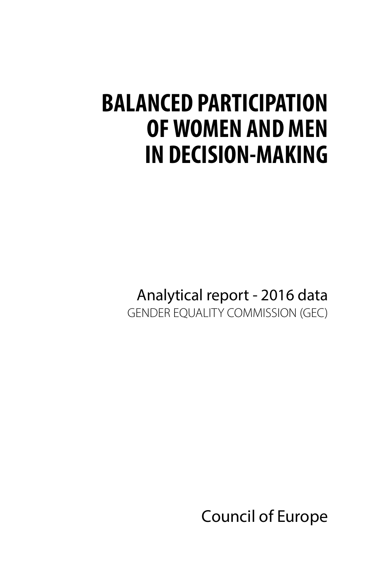# **BALANCED PARTICIPATION OF WOMEN AND MEN IN DECISION-MAKING**

Analytical report - 2016 data GENDER EQUALITY COMMISSION (GEC)

Council of Europe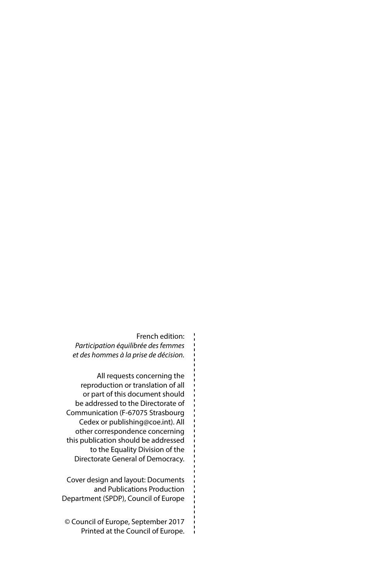French edition: *Participation équilibrée des femmes et des hommes à la prise de décision.*

All requests concerning the reproduction or translation of all or part of this document should be addressed to the Directorate of Communication (F-67075 Strasbourg Cedex or publishing@coe.int). All other correspondence concerning this publication should be addressed to the Equality Division of the Directorate General of Democracy.

Cover design and layout: Documents and Publications Production Department (SPDP), Council of Europe

© Council of Europe, September 2017 Printed at the Council of Europe.

 $\frac{1}{1}$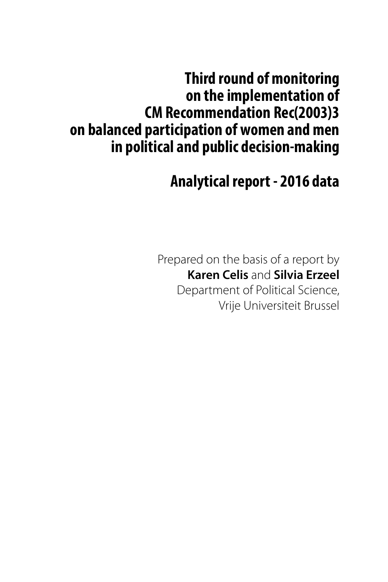### **Third round of monitoring on the implementation of CM Recommendation Rec(2003)3 on balanced participation of women and men in political and public decision-making**

### **Analytical report - 2016 data**

Prepared on the basis of a report by **Karen Celis** and **Silvia Erzeel** Department of Political Science, Vrije Universiteit Brussel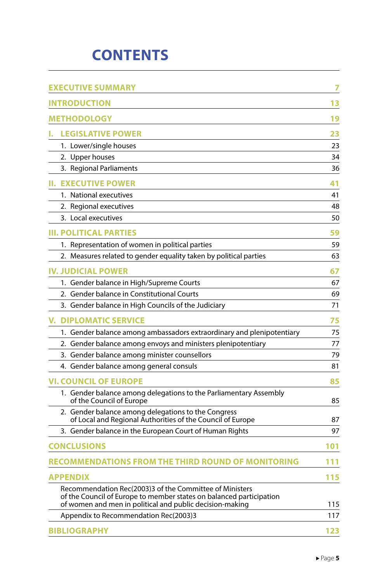### **CONTENTS**

| <b>EXECUTIVE SUMMARY</b>                                                                                                        | 7   |
|---------------------------------------------------------------------------------------------------------------------------------|-----|
| <b>INTRODUCTION</b>                                                                                                             | 13  |
| <b>METHODOLOGY</b>                                                                                                              | 19  |
| <b>LEGISLATIVE POWER</b><br>ı.                                                                                                  | 23  |
| 1. Lower/single houses                                                                                                          | 23  |
| 2. Upper houses                                                                                                                 | 34  |
| 3. Regional Parliaments                                                                                                         | 36  |
| <b>II. EXECUTIVE POWER</b>                                                                                                      | 41  |
| 1. National executives                                                                                                          | 41  |
| 2. Regional executives                                                                                                          | 48  |
| 3. Local executives                                                                                                             | 50  |
| <b>III. POLITICAL PARTIES</b>                                                                                                   | 59  |
| 1. Representation of women in political parties                                                                                 | 59  |
| 2. Measures related to gender equality taken by political parties                                                               | 63  |
| <b>IV. JUDICIAL POWER</b>                                                                                                       | 67  |
| 1. Gender balance in High/Supreme Courts                                                                                        | 67  |
| 2. Gender balance in Constitutional Courts                                                                                      | 69  |
| 3. Gender balance in High Councils of the Judiciary                                                                             | 71  |
| <b>V. DIPLOMATIC SERVICE</b>                                                                                                    | 75  |
| 1. Gender balance among ambassadors extraordinary and plenipotentiary                                                           | 75  |
| 2. Gender balance among envoys and ministers plenipotentiary                                                                    | 77  |
| 3. Gender balance among minister counsellors                                                                                    | 79  |
| 4. Gender balance among general consuls                                                                                         | 81  |
| VI. COUNCIL OF EUROPE                                                                                                           | 85  |
| 1. Gender balance among delegations to the Parliamentary Assembly<br>of the Council of Europe                                   | 85  |
| 2. Gender balance among delegations to the Congress<br>of Local and Regional Authorities of the Council of Europe               | 87  |
| 3. Gender balance in the European Court of Human Rights                                                                         | 97  |
| <b>CONCLUSIONS</b>                                                                                                              | 101 |
| RECOMMENDATIONS FROM THE THIRD ROUND OF MONITORING                                                                              | 111 |
| <b>APPENDIX</b>                                                                                                                 | 115 |
| Recommendation Rec(2003)3 of the Committee of Ministers                                                                         |     |
| of the Council of Europe to member states on balanced participation<br>of women and men in political and public decision-making | 115 |
| Appendix to Recommendation Rec(2003)3                                                                                           | 117 |
| <b>BIBLIOGRAPHY</b>                                                                                                             | 123 |
|                                                                                                                                 |     |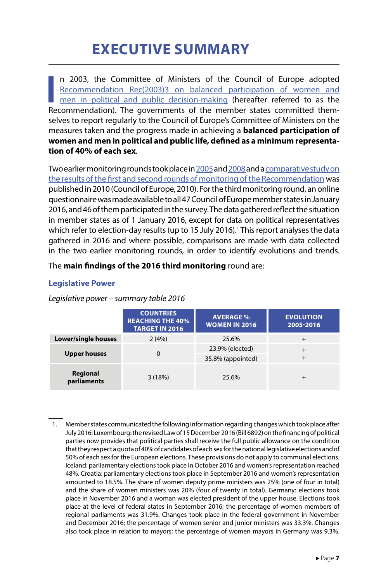## **EXECUTIVE SUMMARY**

<span id="page-8-0"></span>n 2003, the Committee of Ministers of the Council of Europe adopted<br>
<u>Recommendation Rec(2003)3 on balanced participation of women and<br>
<u>men in political and public decision-making</u> (hereafter referred to as the<br>
Recommend</u> n 2003, the Committee of Ministers of the Council of Europe adopted [Recommendation Rec\(2003\)3 on balanced participation of women and](https://search.coe.int/cm/Pages/result_details.aspx?ObjectID=09000016805e0848)  [men in political and public decision-making](https://search.coe.int/cm/Pages/result_details.aspx?ObjectID=09000016805e0848) (hereafter referred to as the selves to report regularly to the Council of Europe's Committee of Ministers on the measures taken and the progress made in achieving a **balanced participation of women and men in political and public life, defined as a minimum representation of 40% of each sex**.

Two earlier monitoring rounds took place in [2005](https://rm.coe.int/CoERMPublicCommonSearchServices/DisplayDCTMContent?documentId=0900001680591671) and [2008](https://rm.coe.int/CoERMPublicCommonSearchServices/DisplayDCTMContent?documentId=0900001680591674) and a [comparative study on](https://rm.coe.int/CoERMPublicCommonSearchServices/DisplayDCTMContent?documentId=0900001680591672)  [the results of the first and second rounds of monitoring of the Recommendation](https://rm.coe.int/CoERMPublicCommonSearchServices/DisplayDCTMContent?documentId=0900001680591672) was published in 2010 (Council of Europe, 2010). For the third monitoring round, an online questionnaire was made available to all 47 Council of Europe member states in January 2016, and 46 of them participated in the survey. The data gathered reflect the situation in member states as of 1 January 2016, except for data on political representatives which refer to election-day results (up to 15 July 2016).<sup>1</sup> This report analyses the data gathered in 2016 and where possible, comparisons are made with data collected in the two earlier monitoring rounds, in order to identify evolutions and trends.

#### The **main findings of the 2016 third monitoring** round are:

#### **Legislative Power**

|                            | <b>COUNTRIES</b><br><b>REACHING THE 40%</b><br><b>TARGET IN 2016</b> | <b>AVERAGE %</b><br><b>WOMEN IN 2016</b> | <b>EVOLUTION</b><br>2005-2016 |
|----------------------------|----------------------------------------------------------------------|------------------------------------------|-------------------------------|
| <b>Lower/single houses</b> | 2(4%)                                                                | 25.6%                                    | $^{+}$                        |
| <b>Upper houses</b>        | 0                                                                    | 23.9% (elected)                          | $+$                           |
|                            |                                                                      | 35.8% (appointed)                        | $\ddot{}$                     |
| Regional<br>parliaments    | 3(18%)                                                               | 25.6%                                    |                               |

#### *Legislative power – summary table 2016*

1. Member states communicated the following information regarding changes which took place after July 2016: Luxembourg: the revised Law of 15 December 2016 (Bill 6892) on the financing of political parties now provides that political parties shall receive the full public allowance on the condition that they respect a quota of 40% of candidates of each sex for the national legislative elections and of 50% of each sex for the European elections. These provisions do not apply to communal elections. Iceland: parliamentary elections took place in October 2016 and women's representation reached 48%. Croatia: parliamentary elections took place in September 2016 and women's representation amounted to 18.5%. The share of women deputy prime ministers was 25% (one of four in total) and the share of women ministers was 20% (four of twenty in total). Germany: elections took place in November 2016 and a woman was elected president of the upper house. Elections took place at the level of federal states in September 2016; the percentage of women members of regional parliaments was 31.9%. Changes took place in the federal government in November and December 2016; the percentage of women senior and junior ministers was 33.3%. Changes also took place in relation to mayors; the percentage of women mayors in Germany was 9.3%.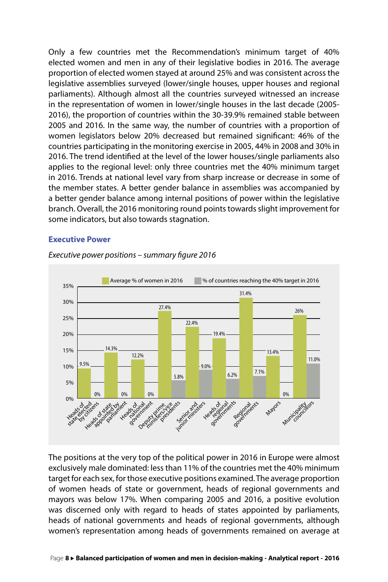Only a few countries met the Recommendation's minimum target of 40% elected women and men in any of their legislative bodies in 2016. The average proportion of elected women stayed at around 25% and was consistent across the legislative assemblies surveyed (lower/single houses, upper houses and regional parliaments). Although almost all the countries surveyed witnessed an increase in the representation of women in lower/single houses in the last decade (2005- 2016), the proportion of countries within the 30-39.9% remained stable between 2005 and 2016. In the same way, the number of countries with a proportion of women legislators below 20% decreased but remained significant: 46% of the countries participating in the monitoring exercise in 2005, 44% in 2008 and 30% in 2016. The trend identified at the level of the lower houses/single parliaments also applies to the regional level: only three countries met the 40% minimum target in 2016. Trends at national level vary from sharp increase or decrease in some of the member states. A better gender balance in assemblies was accompanied by a better gender balance among internal positions of power within the legislative branch. Overall, the 2016 monitoring round points towards slight improvement for some indicators, but also towards stagnation.

#### **Executive Power**



#### *Executive power positions – summary figure 2016*

The positions at the very top of the political power in 2016 in Europe were almost exclusively male dominated: less than 11% of the countries met the 40% minimum target for each sex, for those executive positions examined. The average proportion of women heads of state or government, heads of regional governments and mayors was below 17%. When comparing 2005 and 2016, a positive evolution was discerned only with regard to heads of states appointed by parliaments, heads of national governments and heads of regional governments, although women's representation among heads of governments remained on average at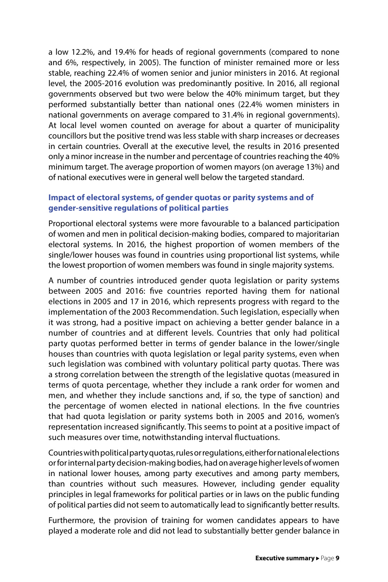a low 12.2%, and 19.4% for heads of regional governments (compared to none and 6%, respectively, in 2005). The function of minister remained more or less stable, reaching 22.4% of women senior and junior ministers in 2016. At regional level, the 2005-2016 evolution was predominantly positive. In 2016, all regional governments observed but two were below the 40% minimum target, but they performed substantially better than national ones (22.4% women ministers in national governments on average compared to 31.4% in regional governments). At local level women counted on average for about a quarter of municipality councillors but the positive trend was less stable with sharp increases or decreases in certain countries. Overall at the executive level, the results in 2016 presented only a minor increase in the number and percentage of countries reaching the 40% minimum target. The average proportion of women mayors (on average 13%) and of national executives were in general well below the targeted standard.

#### **Impact of electoral systems, of gender quotas or parity systems and of gender-sensitive regulations of political parties**

Proportional electoral systems were more favourable to a balanced participation of women and men in political decision-making bodies, compared to majoritarian electoral systems. In 2016, the highest proportion of women members of the single/lower houses was found in countries using proportional list systems, while the lowest proportion of women members was found in single majority systems.

A number of countries introduced gender quota legislation or parity systems between 2005 and 2016: five countries reported having them for national elections in 2005 and 17 in 2016, which represents progress with regard to the implementation of the 2003 Recommendation. Such legislation, especially when it was strong, had a positive impact on achieving a better gender balance in a number of countries and at different levels. Countries that only had political party quotas performed better in terms of gender balance in the lower/single houses than countries with quota legislation or legal parity systems, even when such legislation was combined with voluntary political party quotas. There was a strong correlation between the strength of the legislative quotas (measured in terms of quota percentage, whether they include a rank order for women and men, and whether they include sanctions and, if so, the type of sanction) and the percentage of women elected in national elections. In the five countries that had quota legislation or parity systems both in 2005 and 2016, women's representation increased significantly. This seems to point at a positive impact of such measures over time, notwithstanding interval fluctuations.

Countries with political party quotas, rules or regulations, either for national elections or for internal party decision-making bodies, had on average higher levels of women in national lower houses, among party executives and among party members, than countries without such measures. However, including gender equality principles in legal frameworks for political parties or in laws on the public funding of political parties did not seem to automatically lead to significantly better results.

Furthermore, the provision of training for women candidates appears to have played a moderate role and did not lead to substantially better gender balance in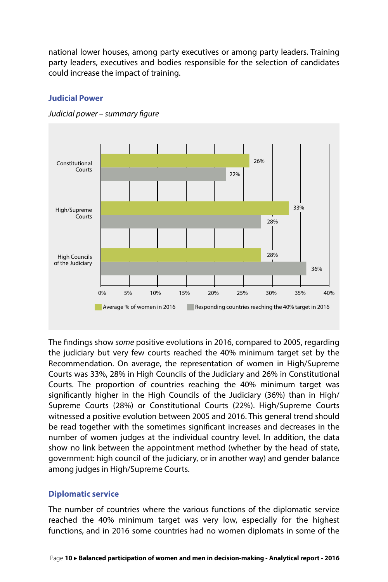national lower houses, among party executives or among party leaders. Training party leaders, executives and bodies responsible for the selection of candidates could increase the impact of training.



#### **Judicial Power**

*Judicial power – summary figure*

The findings show *some* positive evolutions in 2016, compared to 2005, regarding the judiciary but very few courts reached the 40% minimum target set by the Recommendation. On average, the representation of women in High/Supreme Courts was 33%, 28% in High Councils of the Judiciary and 26% in Constitutional Courts. The proportion of countries reaching the 40% minimum target was significantly higher in the High Councils of the Judiciary (36%) than in High/ Supreme Courts (28%) or Constitutional Courts (22%). High/Supreme Courts witnessed a positive evolution between 2005 and 2016. This general trend should be read together with the sometimes significant increases and decreases in the number of women judges at the individual country level. In addition, the data show no link between the appointment method (whether by the head of state, government: high council of the judiciary, or in another way) and gender balance among judges in High/Supreme Courts.

#### **Diplomatic service**

The number of countries where the various functions of the diplomatic service reached the 40% minimum target was very low, especially for the highest functions, and in 2016 some countries had no women diplomats in some of the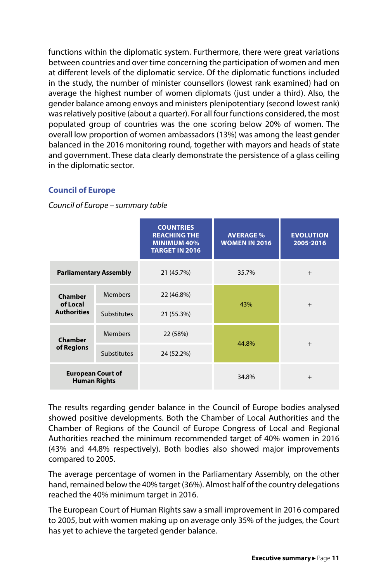functions within the diplomatic system. Furthermore, there were great variations between countries and over time concerning the participation of women and men at different levels of the diplomatic service. Of the diplomatic functions included in the study, the number of minister counsellors (lowest rank examined) had on average the highest number of women diplomats (just under a third). Also, the gender balance among envoys and ministers plenipotentiary (second lowest rank) was relatively positive (about a quarter). For all four functions considered, the most populated group of countries was the one scoring below 20% of women. The overall low proportion of women ambassadors (13%) was among the least gender balanced in the 2016 monitoring round, together with mayors and heads of state and government. These data clearly demonstrate the persistence of a glass ceiling in the diplomatic sector.

#### **Council of Europe**

*Council of Europe – summary table*

|                                                 |                    | <b>COUNTRIES</b><br><b>REACHING THE</b><br><b>MINIMUM 40%</b><br><b>TARGET IN 2016</b> | <b>AVERAGE %</b><br><b>WOMEN IN 2016</b> | <b>EVOLUTION</b><br>2005-2016 |  |
|-------------------------------------------------|--------------------|----------------------------------------------------------------------------------------|------------------------------------------|-------------------------------|--|
| <b>Parliamentary Assembly</b>                   |                    | 21 (45.7%)                                                                             | 35.7%                                    | $+$                           |  |
| Chamber<br>of Local                             | <b>Members</b>     | 22 (46.8%)                                                                             | 43%                                      | $+$                           |  |
| <b>Authorities</b>                              | Substitutes        | 21 (55.3%)                                                                             |                                          |                               |  |
| <b>Chamber</b>                                  | <b>Members</b>     |                                                                                        | 44.8%                                    |                               |  |
| of Regions                                      | <b>Substitutes</b> | 24 (52.2%)                                                                             |                                          | $+$                           |  |
| <b>European Court of</b><br><b>Human Rights</b> |                    |                                                                                        | 34.8%                                    | $^{+}$                        |  |

The results regarding gender balance in the Council of Europe bodies analysed showed positive developments. Both the Chamber of Local Authorities and the Chamber of Regions of the Council of Europe Congress of Local and Regional Authorities reached the minimum recommended target of 40% women in 2016 (43% and 44.8% respectively). Both bodies also showed major improvements compared to 2005.

The average percentage of women in the Parliamentary Assembly, on the other hand, remained below the 40% target (36%). Almost half of the country delegations reached the 40% minimum target in 2016.

The European Court of Human Rights saw a small improvement in 2016 compared to 2005, but with women making up on average only 35% of the judges, the Court has yet to achieve the targeted gender balance.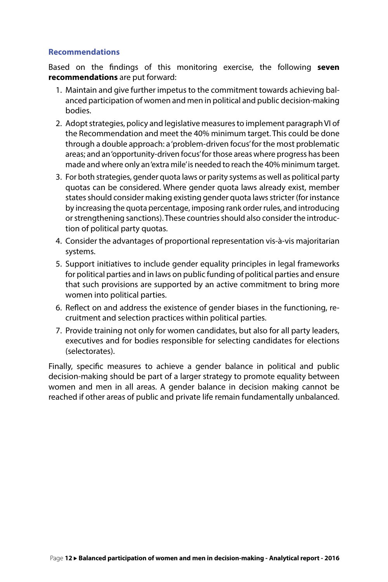#### **Recommendations**

Based on the findings of this monitoring exercise, the following **seven recommendations** are put forward:

- 1. Maintain and give further impetus to the commitment towards achieving balanced participation of women and men in political and public decision-making bodies.
- 2. Adopt strategies, policy and legislative measures to implement paragraph VI of the Recommendation and meet the 40% minimum target. This could be done through a double approach: a 'problem-driven focus' for the most problematic areas; and an 'opportunity-driven focus' for those areas where progress has been made and where only an 'extra mile' is needed to reach the 40% minimum target.
- 3. For both strategies, gender quota laws or parity systems as well as political party quotas can be considered. Where gender quota laws already exist, member states should consider making existing gender quota laws stricter (for instance by increasing the quota percentage, imposing rank order rules, and introducing or strengthening sanctions). These countries should also consider the introduction of political party quotas.
- 4. Consider the advantages of proportional representation vis-à-vis majoritarian systems.
- 5. Support initiatives to include gender equality principles in legal frameworks for political parties and in laws on public funding of political parties and ensure that such provisions are supported by an active commitment to bring more women into political parties.
- 6. Reflect on and address the existence of gender biases in the functioning, recruitment and selection practices within political parties.
- 7. Provide training not only for women candidates, but also for all party leaders, executives and for bodies responsible for selecting candidates for elections (selectorates).

Finally, specific measures to achieve a gender balance in political and public decision-making should be part of a larger strategy to promote equality between women and men in all areas. A gender balance in decision making cannot be reached if other areas of public and private life remain fundamentally unbalanced.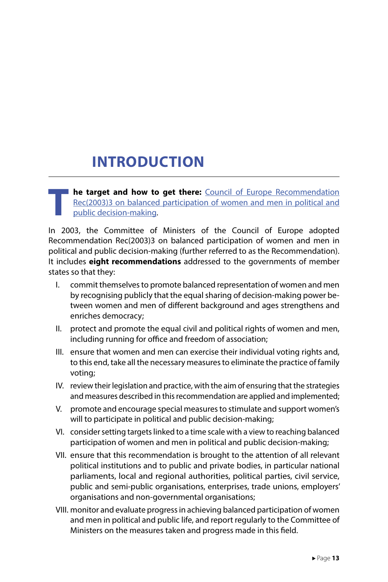### <span id="page-14-0"></span>**INTRODUCTION**

#### **T he target and how to get there:** [Council of Europe Recommendation](https://search.coe.int/cm/Pages/result_details.aspx?ObjectID=09000016805e0848)  [Rec\(2003\)3 on balanced participation of women and men in political and](https://search.coe.int/cm/Pages/result_details.aspx?ObjectID=09000016805e0848)  [public decision-making.](https://search.coe.int/cm/Pages/result_details.aspx?ObjectID=09000016805e0848)

In 2003, the Committee of Ministers of the Council of Europe adopted Recommendation Rec(2003)3 on balanced participation of women and men in political and public decision-making (further referred to as the Recommendation). It includes **eight recommendations** addressed to the governments of member states so that they:

- I. commit themselves to promote balanced representation of women and men by recognising publicly that the equal sharing of decision-making power between women and men of different background and ages strengthens and enriches democracy;
- II. protect and promote the equal civil and political rights of women and men, including running for office and freedom of association;
- III. ensure that women and men can exercise their individual voting rights and, to this end, take all the necessary measures to eliminate the practice of family voting;
- IV. review their legislation and practice, with the aim of ensuring that the strategies and measures described in this recommendation are applied and implemented;
- V. promote and encourage special measures to stimulate and support women's will to participate in political and public decision-making;
- VI. consider setting targets linked to a time scale with a view to reaching balanced participation of women and men in political and public decision-making;
- VII. ensure that this recommendation is brought to the attention of all relevant political institutions and to public and private bodies, in particular national parliaments, local and regional authorities, political parties, civil service, public and semi-public organisations, enterprises, trade unions, employers' organisations and non-governmental organisations;
- VIII. monitor and evaluate progress in achieving balanced participation of women and men in political and public life, and report regularly to the Committee of Ministers on the measures taken and progress made in this field.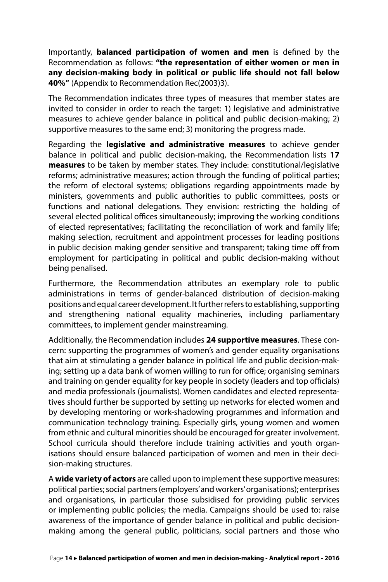Importantly, **balanced participation of women and men** is defined by the Recommendation as follows: **"the representation of either women or men in any decision-making body in political or public life should not fall below 40%"** (Appendix to Recommendation Rec(2003)3).

The Recommendation indicates three types of measures that member states are invited to consider in order to reach the target: 1) legislative and administrative measures to achieve gender balance in political and public decision-making; 2) supportive measures to the same end; 3) monitoring the progress made.

Regarding the **legislative and administrative measures** to achieve gender balance in political and public decision-making, the Recommendation lists **17 measures** to be taken by member states. They include: constitutional/legislative reforms; administrative measures; action through the funding of political parties; the reform of electoral systems; obligations regarding appointments made by ministers, governments and public authorities to public committees, posts or functions and national delegations. They envision: restricting the holding of several elected political offices simultaneously; improving the working conditions of elected representatives; facilitating the reconciliation of work and family life; making selection, recruitment and appointment processes for leading positions in public decision making gender sensitive and transparent; taking time off from employment for participating in political and public decision-making without being penalised.

Furthermore, the Recommendation attributes an exemplary role to public administrations in terms of gender-balanced distribution of decision-making positions and equal career development. It further refers to establishing, supporting and strengthening national equality machineries, including parliamentary committees, to implement gender mainstreaming.

Additionally, the Recommendation includes **24 supportive measures**. These concern: supporting the programmes of women's and gender equality organisations that aim at stimulating a gender balance in political life and public decision-making; setting up a data bank of women willing to run for office; organising seminars and training on gender equality for key people in society (leaders and top officials) and media professionals (journalists). Women candidates and elected representatives should further be supported by setting up networks for elected women and by developing mentoring or work-shadowing programmes and information and communication technology training. Especially girls, young women and women from ethnic and cultural minorities should be encouraged for greater involvement. School curricula should therefore include training activities and youth organisations should ensure balanced participation of women and men in their decision-making structures.

A **wide variety of actors** are called upon to implement these supportive measures: political parties; social partners (employers' and workers' organisations); enterprises and organisations, in particular those subsidised for providing public services or implementing public policies; the media. Campaigns should be used to: raise awareness of the importance of gender balance in political and public decisionmaking among the general public, politicians, social partners and those who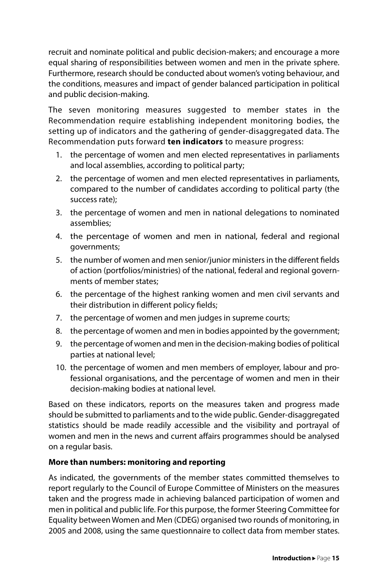recruit and nominate political and public decision-makers; and encourage a more equal sharing of responsibilities between women and men in the private sphere. Furthermore, research should be conducted about women's voting behaviour, and the conditions, measures and impact of gender balanced participation in political and public decision-making.

The seven monitoring measures suggested to member states in the Recommendation require establishing independent monitoring bodies, the setting up of indicators and the gathering of gender-disaggregated data. The Recommendation puts forward **ten indicators** to measure progress:

- 1. the percentage of women and men elected representatives in parliaments and local assemblies, according to political party;
- 2. the percentage of women and men elected representatives in parliaments, compared to the number of candidates according to political party (the success rate);
- 3. the percentage of women and men in national delegations to nominated assemblies;
- 4. the percentage of women and men in national, federal and regional governments;
- 5. the number of women and men senior/junior ministers in the different fields of action (portfolios/ministries) of the national, federal and regional governments of member states;
- 6. the percentage of the highest ranking women and men civil servants and their distribution in different policy fields;
- 7. the percentage of women and men judges in supreme courts;
- 8. the percentage of women and men in bodies appointed by the government;
- 9. the percentage of women and men in the decision-making bodies of political parties at national level;
- 10. the percentage of women and men members of employer, labour and professional organisations, and the percentage of women and men in their decision-making bodies at national level.

Based on these indicators, reports on the measures taken and progress made should be submitted to parliaments and to the wide public. Gender-disaggregated statistics should be made readily accessible and the visibility and portrayal of women and men in the news and current affairs programmes should be analysed on a regular basis.

#### **More than numbers: monitoring and reporting**

As indicated, the governments of the member states committed themselves to report regularly to the Council of Europe Committee of Ministers on the measures taken and the progress made in achieving balanced participation of women and men in political and public life. For this purpose, the former Steering Committee for Equality between Women and Men (CDEG) organised two rounds of monitoring, in 2005 and 2008, using the same questionnaire to collect data from member states.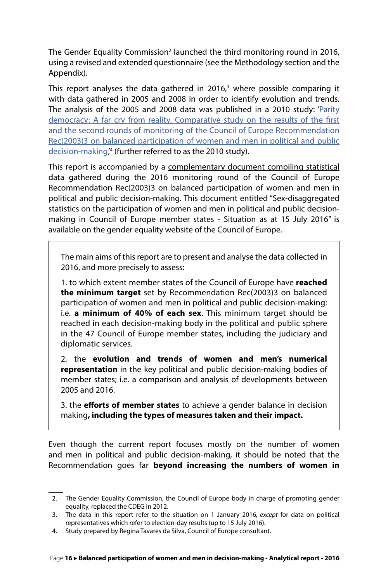The Gender Equality Commission<sup>2</sup> launched the third monitoring round in 2016, using a revised and extended questionnaire (see the Methodology section and the Appendix).

This report analyses the data gathered in 2016, $3$  where possible comparing it with data gathered in 2005 and 2008 in order to identify evolution and trends. The analysis of the 2005 and 2008 data was published in a 2010 study: ['Parity](https://rm.coe.int/CoERMPublicCommonSearchServices/DisplayDCTMContent?documentId=0900001680591672)  [democracy: A far cry from reality. Comparative study on the results of the first](https://rm.coe.int/CoERMPublicCommonSearchServices/DisplayDCTMContent?documentId=0900001680591672)  [and the second rounds of monitoring of the Council of Europe Recommendation](https://rm.coe.int/CoERMPublicCommonSearchServices/DisplayDCTMContent?documentId=0900001680591672)  [Rec\(2003\)3 on balanced participation of women and men in political and public](https://rm.coe.int/CoERMPublicCommonSearchServices/DisplayDCTMContent?documentId=0900001680591672)  <u>[decision-making](https://rm.coe.int/CoERMPublicCommonSearchServices/DisplayDCTMContent?documentId=0900001680591672)</u>,<sup>4</sup> (further referred to as the 2010 study).

This report is accompanied by a complementary document compiling statistical data gathered during the 2016 monitoring round of the Council of Europe Recommendation Rec(2003)3 on balanced participation of women and men in political and public decision-making. This document entitled "Sex-disaggregated statistics on the participation of women and men in political and public decisionmaking in Council of Europe member states - Situation as at 15 July 2016" is available on the gender equality website of the Council of Europe.

The main aims of this report are to present and analyse the data collected in 2016, and more precisely to assess:

1. to which extent member states of the Council of Europe have **reached the minimum target** set by Recommendation Rec(2003)3 on balanced participation of women and men in political and public decision-making: i.e. **a minimum of 40% of each sex**. This minimum target should be reached in each decision-making body in the political and public sphere in the 47 Council of Europe member states, including the judiciary and diplomatic services.

2. the **evolution and trends of women and men's numerical representation** in the key political and public decision-making bodies of member states; i.e. a comparison and analysis of developments between 2005 and 2016.

3. the **efforts of member states** to achieve a gender balance in decision making**, including the types of measures taken and their impact.**

Even though the current report focuses mostly on the number of women and men in political and public decision-making, it should be noted that the Recommendation goes far **beyond increasing the numbers of women in** 

<sup>2.</sup> The Gender Equality Commission, the Council of Europe body in charge of promoting gender equality, replaced the CDEG in 2012.

<sup>3.</sup> The data in this report refer to the situation on 1 January 2016*, except* for data on political representatives which refer to election-day results (up to 15 July 2016).

<sup>4.</sup> Study prepared by Regina Tavares da Silva, Council of Europe consultant.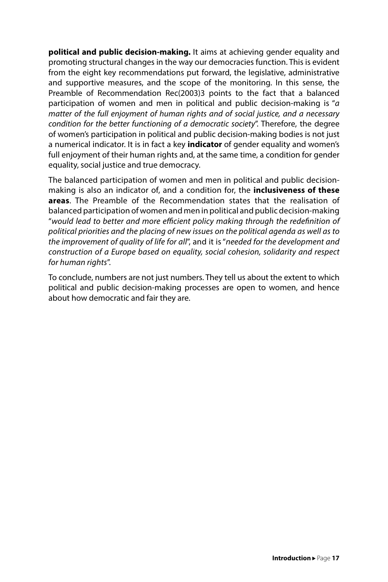**political and public decision-making.** It aims at achieving gender equality and promoting structural changes in the way our democracies function. This is evident from the eight key recommendations put forward, the legislative, administrative and supportive measures, and the scope of the monitoring. In this sense, the Preamble of Recommendation Rec(2003)3 points to the fact that a balanced participation of women and men in political and public decision-making is "*a matter of the full enjoyment of human rights and of social justice, and a necessary condition for the better functioning of a democratic society*". Therefore, the degree of women's participation in political and public decision-making bodies is not just a numerical indicator. It is in fact a key **indicator** of gender equality and women's full enjoyment of their human rights and, at the same time, a condition for gender equality, social justice and true democracy.

The balanced participation of women and men in political and public decisionmaking is also an indicator of, and a condition for, the **inclusiveness of these areas**. The Preamble of the Recommendation states that the realisation of balanced participation of women and men in political and public decision-making "*would lead to better and more efficient policy making through the redefinition of political priorities and the placing of new issues on the political agenda as well as to the improvement of quality of life for all*", and it is "*needed for the development and construction of a Europe based on equality, social cohesion, solidarity and respect for human rights*".

To conclude, numbers are not just numbers. They tell us about the extent to which political and public decision-making processes are open to women, and hence about how democratic and fair they are.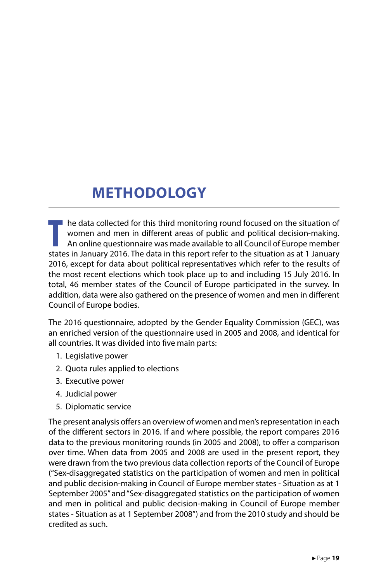### <span id="page-20-0"></span>**METHODOLOGY**

**THE STATE IS THE DETERM IS THE UP THE STATE IS THE UP THE STATE IS THE UP THE STATE OF STATE AN ONline questionnaire was made available to all Council of Europe member states in January 2016. The data in this report refer** he data collected for this third monitoring round focused on the situation of women and men in different areas of public and political decision-making. An online questionnaire was made available to all Council of Europe member 2016, except for data about political representatives which refer to the results of the most recent elections which took place up to and including 15 July 2016. In total, 46 member states of the Council of Europe participated in the survey. In addition, data were also gathered on the presence of women and men in different Council of Europe bodies.

The 2016 questionnaire, adopted by the Gender Equality Commission (GEC), was an enriched version of the questionnaire used in 2005 and 2008, and identical for all countries. It was divided into five main parts:

- 1. Legislative power
- 2. Quota rules applied to elections
- 3. Executive power
- 4. Judicial power
- 5. Diplomatic service

The present analysis offers an overview of women and men's representation in each of the different sectors in 2016. If and where possible, the report compares 2016 data to the previous monitoring rounds (in 2005 and 2008), to offer a comparison over time. When data from 2005 and 2008 are used in the present report, they were drawn from the two previous data collection reports of the Council of Europe ("Sex-disaggregated statistics on the participation of women and men in political and public decision-making in Council of Europe member states - Situation as at 1 September 2005" and "Sex-disaggregated statistics on the participation of women and men in political and public decision-making in Council of Europe member states - Situation as at 1 September 2008") and from the 2010 study and should be credited as such.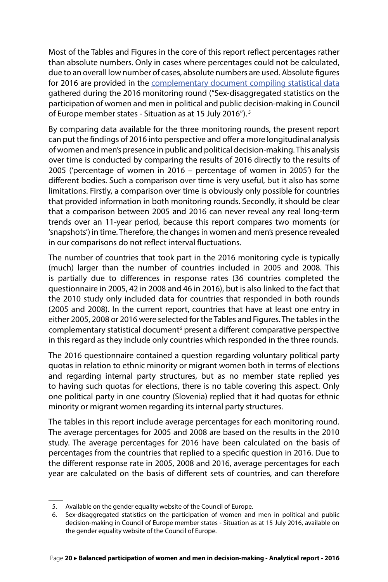Most of the Tables and Figures in the core of this report reflect percentages rather than absolute numbers. Only in cases where percentages could not be calculated, due to an overall low number of cases, absolute numbers are used. Absolute figures for 2016 are provided in the [complementary document compiling statistical data](https://rm.coe.int/statistical-data-balanced-participation-report/168072ab4b) gathered during the 2016 monitoring round ("Sex-disaggregated statistics on the participation of women and men in political and public decision-making in Council of Europe member states - Situation as at 15 July 2016"). 5

By comparing data available for the three monitoring rounds, the present report can put the findings of 2016 into perspective and offer a more longitudinal analysis of women and men's presence in public and political decision-making. This analysis over time is conducted by comparing the results of 2016 directly to the results of 2005 ('percentage of women in 2016 – percentage of women in 2005') for the different bodies. Such a comparison over time is very useful, but it also has some limitations. Firstly, a comparison over time is obviously only possible for countries that provided information in both monitoring rounds. Secondly, it should be clear that a comparison between 2005 and 2016 can never reveal any real long-term trends over an 11-year period, because this report compares two moments (or 'snapshots') in time. Therefore, the changes in women and men's presence revealed in our comparisons do not reflect interval fluctuations.

The number of countries that took part in the 2016 monitoring cycle is typically (much) larger than the number of countries included in 2005 and 2008. This is partially due to differences in response rates (36 countries completed the questionnaire in 2005, 42 in 2008 and 46 in 2016), but is also linked to the fact that the 2010 study only included data for countries that responded in both rounds (2005 and 2008). In the current report, countries that have at least one entry in either 2005, 2008 or 2016 were selected for the Tables and Figures. The tables in the complementary statistical document<sup>6</sup> present a different comparative perspective in this regard as they include only countries which responded in the three rounds.

The 2016 questionnaire contained a question regarding voluntary political party quotas in relation to ethnic minority or migrant women both in terms of elections and regarding internal party structures, but as no member state replied yes to having such quotas for elections, there is no table covering this aspect. Only one political party in one country (Slovenia) replied that it had quotas for ethnic minority or migrant women regarding its internal party structures.

The tables in this report include average percentages for each monitoring round. The average percentages for 2005 and 2008 are based on the results in the 2010 study. The average percentages for 2016 have been calculated on the basis of percentages from the countries that replied to a specific question in 2016. Due to the different response rate in 2005, 2008 and 2016, average percentages for each year are calculated on the basis of different sets of countries, and can therefore

<sup>5.</sup> Available on the gender equality website of the Council of Europe.

<sup>6.</sup> Sex-disaggregated statistics on the participation of women and men in political and public decision-making in Council of Europe member states - Situation as at 15 July 2016, available on the gender equality website of the Council of Europe.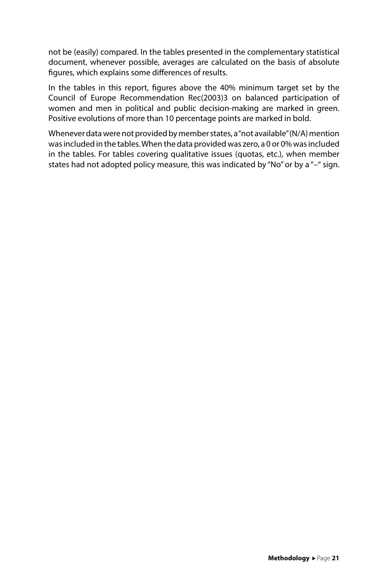not be (easily) compared. In the tables presented in the complementary statistical document, whenever possible, averages are calculated on the basis of absolute figures, which explains some differences of results.

In the tables in this report, figures above the 40% minimum target set by the Council of Europe Recommendation Rec(2003)3 on balanced participation of women and men in political and public decision-making are marked in green. Positive evolutions of more than 10 percentage points are marked in bold.

Whenever data were not provided by member states, a "not available" (N/A) mention was included in the tables. When the data provided was zero, a 0 or 0% was included in the tables. For tables covering qualitative issues (quotas, etc.), when member states had not adopted policy measure, this was indicated by "No" or by a "–" sign.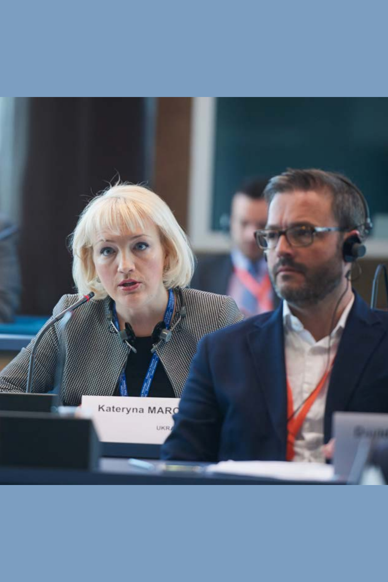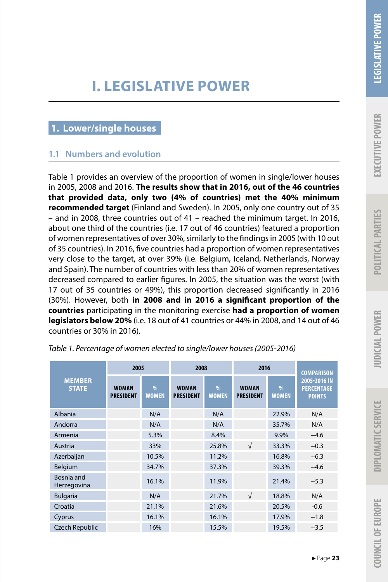## <span id="page-24-0"></span>**I. LEGISLATIVE POWER**

### **1. Lower/single houses**

#### **1.1 Numbers and evolution**

Table 1 provides an overview of the proportion of women in single/lower houses in 2005, 2008 and 2016. **The results show that in 2016, out of the 46 countries that provided data, only two (4% of countries) met the 40% minimum recommended target** (Finland and Sweden). In 2005, only one country out of 35 – and in 2008, three countries out of 41 – reached the minimum target. In 2016, about one third of the countries (i.e. 17 out of 46 countries) featured a proportion of women representatives of over 30%, similarly to the findings in 2005 (with 10 out of 35 countries). In 2016, five countries had a proportion of women representatives very close to the target, at over 39% (i.e. Belgium, Iceland, Netherlands, Norway and Spain). The number of countries with less than 20% of women representatives decreased compared to earlier figures. In 2005, the situation was the worst (with 17 out of 35 countries or 49%), this proportion decreased significantly in 2016 (30%). However, both **in 2008 and in 2016 a significant proportion of the countries** participating in the monitoring exercise **had a proportion of women legislators below 20%** (i.e. 18 out of 41 countries or 44% in 2008, and 14 out of 46 countries or 30% in 2016).

|                               | 2005                             |                               | 2008                             |                               | 2016                             |                   | <b>COMPARISON</b>                                  |
|-------------------------------|----------------------------------|-------------------------------|----------------------------------|-------------------------------|----------------------------------|-------------------|----------------------------------------------------|
| <b>MEMBER</b><br><b>STATE</b> | <b>WOMAN</b><br><b>PRESIDENT</b> | $\frac{0}{0}$<br><b>WOMEN</b> | <b>WOMAN</b><br><b>PRESIDENT</b> | $\frac{0}{0}$<br><b>WOMEN</b> | <b>WOMAN</b><br><b>PRESIDENT</b> | %<br><b>WOMEN</b> | 2005-2016 IN<br><b>PERCENTAGE</b><br><b>POINTS</b> |
| Albania                       |                                  | N/A                           |                                  | N/A                           |                                  | 22.9%             | N/A                                                |
| Andorra                       |                                  | N/A                           |                                  | N/A                           |                                  | 35.7%             | N/A                                                |
| Armenia                       |                                  | 5.3%                          |                                  | 8.4%                          |                                  | 9.9%              | $+4.6$                                             |
| Austria                       |                                  | 33%                           |                                  | 25.8%                         | $\sqrt{ }$                       | 33.3%             | $+0.3$                                             |
| Azerbaijan                    |                                  | 10.5%                         |                                  | 11.2%                         |                                  | 16.8%             | $+6.3$                                             |
| Belgium                       |                                  | 34.7%                         |                                  | 37.3%                         |                                  | 39.3%             | $+4.6$                                             |
| Bosnia and<br>Herzegovina     |                                  | 16.1%                         |                                  | 11.9%                         |                                  | 21.4%             | $+5.3$                                             |
| <b>Bulgaria</b>               |                                  | N/A                           |                                  | 21.7%                         | $\sqrt{ }$                       | 18.8%             | N/A                                                |
| Croatia                       |                                  | 21.1%                         |                                  | 21.6%                         |                                  | 20.5%             | $-0.6$                                             |
| Cyprus                        |                                  | 16.1%                         |                                  | 16.1%                         |                                  | 17.9%             | $+1.8$                                             |
| Czech Republic                |                                  | 16%                           |                                  | 15.5%                         |                                  | 19.5%             | $+3.5$                                             |

*Table 1. Percentage of women elected to single/lower houses (2005-2016)*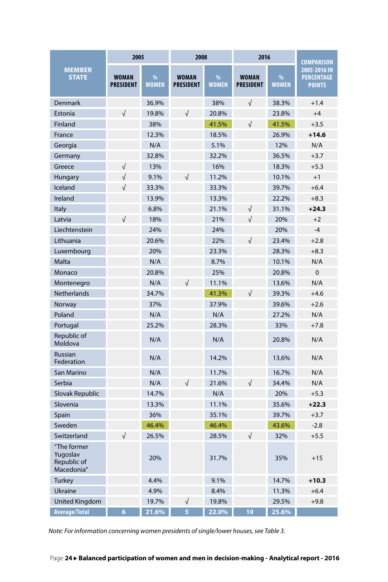|                                                      | 2005                             |                   | 2008                             |                   | 2016                             |                   | <b>COMPARISON</b>                                  |
|------------------------------------------------------|----------------------------------|-------------------|----------------------------------|-------------------|----------------------------------|-------------------|----------------------------------------------------|
| <b>MEMBER</b><br><b>STATE</b>                        | <b>WOMAN</b><br><b>PRESIDENT</b> | %<br><b>WOMEN</b> | <b>WOMAN</b><br><b>PRESIDENT</b> | %<br><b>WOMEN</b> | <b>WOMAN</b><br><b>PRESIDENT</b> | %<br><b>WOMEN</b> | 2005-2016 IN<br><b>PERCENTAGE</b><br><b>POINTS</b> |
| <b>Denmark</b>                                       |                                  | 36.9%             |                                  | 38%               | $\sqrt{ }$                       | 38.3%             | $+1.4$                                             |
| Estonia                                              | $\sqrt{ }$                       | 19.8%             | $\sqrt{ }$                       | 20.8%             |                                  | 23.8%             | $+4$                                               |
| Finland                                              |                                  | 38%               |                                  | 41.5%             | $\sqrt{ }$                       | 41.5%             | $+3.5$                                             |
| France                                               |                                  | 12.3%             |                                  | 18.5%             |                                  | 26.9%             | $+14.6$                                            |
| Georgia                                              |                                  | N/A               |                                  | 5.1%              |                                  | 12%               | N/A                                                |
| Germany                                              |                                  | 32.8%             |                                  | 32.2%             |                                  | 36.5%             | $+3.7$                                             |
| Greece                                               | $\sqrt{ }$                       | 13%               |                                  | 16%               |                                  | 18.3%             | $+5.3$                                             |
| Hungary                                              | $\sqrt{}$                        | 9.1%              | $\sqrt{ }$                       | 11.2%             |                                  | 10.1%             | $+1$                                               |
| Iceland                                              | $\sqrt{ }$                       | 33.3%             |                                  | 33.3%             |                                  | 39.7%             | $+6.4$                                             |
| Ireland                                              |                                  | 13.9%             |                                  | 13.3%             |                                  | 22.2%             | $+8.3$                                             |
| Italy                                                |                                  | 6.8%              |                                  | 21.1%             | $\sqrt{ }$                       | 31.1%             | $+24.3$                                            |
| Latvia                                               | $\sqrt{ }$                       | 18%               |                                  | 21%               | $\sqrt{}$                        | 20%               | $+2$                                               |
| Liechtenstein                                        |                                  | 24%               |                                  | 24%               |                                  | 20%               | $-4$                                               |
| Lithuania                                            |                                  | 20.6%             |                                  | 22%               | $\sqrt{ }$                       | 23.4%             | $+2.8$                                             |
| Luxembourg                                           |                                  | 20%               |                                  | 23.3%             |                                  | 28.3%             | $+8.3$                                             |
| Malta                                                |                                  | N/A               |                                  | 8.7%              |                                  | 10.1%             | N/A                                                |
| Monaco                                               |                                  | 20.8%             |                                  | 25%               |                                  | 20.8%             | 0                                                  |
| Montenegro                                           |                                  | N/A               | $\sqrt{}$                        | 11.1%             |                                  | 13.6%             | N/A                                                |
| Netherlands                                          |                                  | 34.7%             |                                  | 41.3%             | $\sqrt{ }$                       | 39.3%             | $+4.6$                                             |
| Norway                                               |                                  | 37%               |                                  | 37.9%             |                                  | 39.6%             | $+2.6$                                             |
| Poland                                               |                                  | N/A               |                                  | N/A               |                                  | 27.2%             | N/A                                                |
| Portugal                                             |                                  | 25.2%             |                                  | 28.3%             |                                  | 33%               | $+7.8$                                             |
| Republic of<br>Moldova                               |                                  | N/A               |                                  | N/A               |                                  | 20.8%             | N/A                                                |
| Russian<br>Federation                                |                                  | N/A               |                                  | 14.2%             |                                  | 13.6%             | N/A                                                |
| San Marino                                           |                                  | N/A               |                                  | 11.7%             |                                  | 16.7%             | N/A                                                |
| Serbia                                               |                                  | N/A               | $\sqrt{2}$                       | 21.6%             | $\sqrt{ }$                       | 34.4%             | N/A                                                |
| <b>Slovak Republic</b>                               |                                  | 14.7%             |                                  | N/A               |                                  | 20%               | $+5.3$                                             |
| Slovenia                                             |                                  | 13.3%             |                                  | 11.1%             |                                  | 35.6%             | $+22.3$                                            |
| Spain                                                |                                  | 36%               |                                  | 35.1%             |                                  | 39.7%             | $+3.7$                                             |
| Sweden                                               |                                  | 46.4%             |                                  | 46.4%             |                                  | 43.6%             | $-2.8$                                             |
| Switzerland                                          |                                  | 26.5%             |                                  | 28.5%             | √                                | 32%               | $+5.5$                                             |
| "The former<br>Yugoslav<br>Republic of<br>Macedonia" |                                  | 20%               |                                  | 31.7%             |                                  | 35%               | $+15$                                              |
| <b>Turkey</b>                                        |                                  | 4.4%              |                                  | 9.1%              |                                  | 14.7%             | $+10.3$                                            |
| Ukraine                                              |                                  | 4.9%              |                                  | 8.4%              |                                  | 11.3%             | $+6.4$                                             |
| United Kingdom                                       |                                  | 19.7%             | $\sqrt{ }$                       | 19.8%             |                                  | 29.5%             | $+9.8$                                             |
| <b>Average/Total</b>                                 | 6                                | 21.6%             | $\overline{5}$                   | 22.0%             | 10                               | 25.6%             |                                                    |

*Note: For information concerning women presidents of single/lower houses, see Table 3.*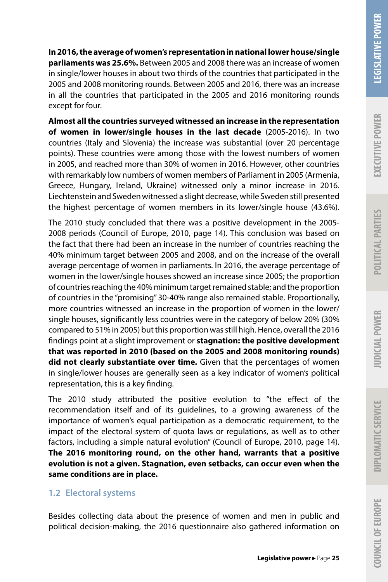**In 2016, the average of women's representation in national lower house/single parliaments was 25.6%.** Between 2005 and 2008 there was an increase of women in single/lower houses in about two thirds of the countries that participated in the 2005 and 2008 monitoring rounds. Between 2005 and 2016, there was an increase in all the countries that participated in the 2005 and 2016 monitoring rounds except for four.

**Almost all the countries surveyed witnessed an increase in the representation of women in lower/single houses in the last decade** (2005-2016). In two countries (Italy and Slovenia) the increase was substantial (over 20 percentage points). These countries were among those with the lowest numbers of women in 2005, and reached more than 30% of women in 2016. However, other countries with remarkably low numbers of women members of Parliament in 2005 (Armenia, Greece, Hungary, Ireland, Ukraine) witnessed only a minor increase in 2016. Liechtenstein and Sweden witnessed a slight decrease, while Sweden still presented the highest percentage of women members in its lower/single house (43.6%).

The 2010 study concluded that there was a positive development in the 2005- 2008 periods (Council of Europe, 2010, page 14). This conclusion was based on the fact that there had been an increase in the number of countries reaching the 40% minimum target between 2005 and 2008, and on the increase of the overall average percentage of women in parliaments. In 2016, the average percentage of women in the lower/single houses showed an increase since 2005; the proportion of countries reaching the 40% minimum target remained stable; and the proportion of countries in the "promising" 30-40% range also remained stable. Proportionally, more countries witnessed an increase in the proportion of women in the lower/ single houses, significantly less countries were in the category of below 20% (30% compared to 51% in 2005) but this proportion was still high. Hence, overall the 2016 findings point at a slight improvement or **stagnation: the positive development that was reported in 2010 (based on the 2005 and 2008 monitoring rounds) did not clearly substantiate over time.** Given that the percentages of women in single/lower houses are generally seen as a key indicator of women's political representation, this is a key finding.

The 2010 study attributed the positive evolution to "the effect of the recommendation itself and of its guidelines, to a growing awareness of the importance of women's equal participation as a democratic requirement, to the impact of the electoral system of quota laws or regulations, as well as to other factors, including a simple natural evolution" (Council of Europe, 2010, page 14). **The 2016 monitoring round, on the other hand, warrants that a positive evolution is not a given. Stagnation, even setbacks, can occur even when the same conditions are in place.** 

#### **1.2 Electoral systems**

Besides collecting data about the presence of women and men in public and political decision-making, the 2016 questionnaire also gathered information on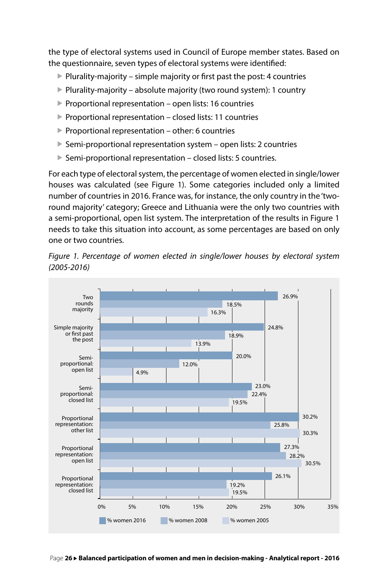the type of electoral systems used in Council of Europe member states. Based on the questionnaire, seven types of electoral systems were identified:

- $\blacktriangleright$  Plurality-majority simple majority or first past the post: 4 countries
- $\blacktriangleright$  Plurality-majority absolute majority (two round system): 1 country
- $\blacktriangleright$  Proportional representation open lists: 16 countries
- $\blacktriangleright$  Proportional representation closed lists: 11 countries
- $\blacktriangleright$  Proportional representation other: 6 countries
- $\triangleright$  Semi-proportional representation system open lists: 2 countries
- $\triangleright$  Semi-proportional representation closed lists: 5 countries.

For each type of electoral system, the percentage of women elected in single/lower houses was calculated (see Figure 1). Some categories included only a limited number of countries in 2016. France was, for instance, the only country in the 'tworound majority' category; Greece and Lithuania were the only two countries with a semi-proportional, open list system. The interpretation of the results in Figure 1 needs to take this situation into account, as some percentages are based on only one or two countries.



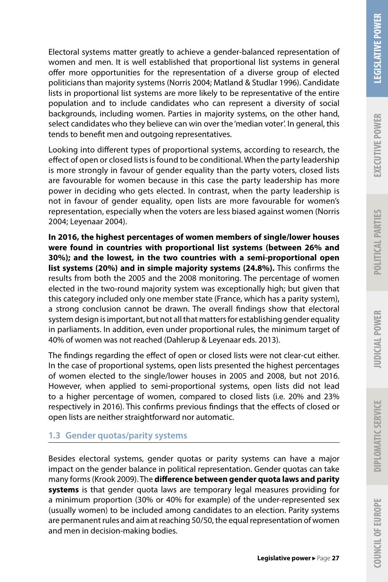Electoral systems matter greatly to achieve a gender-balanced representation of women and men. It is well established that proportional list systems in general offer more opportunities for the representation of a diverse group of elected politicians than majority systems (Norris 2004; Matland & Studlar 1996). Candidate lists in proportional list systems are more likely to be representative of the entire population and to include candidates who can represent a diversity of social backgrounds, including women. Parties in majority systems, on the other hand, select candidates who they believe can win over the 'median voter'. In general, this tends to benefit men and outgoing representatives.

Looking into different types of proportional systems, according to research, the effect of open or closed lists is found to be conditional. When the party leadership is more strongly in favour of gender equality than the party voters, closed lists are favourable for women because in this case the party leadership has more power in deciding who gets elected. In contrast, when the party leadership is not in favour of gender equality, open lists are more favourable for women's representation, especially when the voters are less biased against women (Norris 2004; Leyenaar 2004).

**In 2016, the highest percentages of women members of single/lower houses were found in countries with proportional list systems (between 26% and 30%); and the lowest, in the two countries with a semi-proportional open list systems (20%) and in simple majority systems (24.8%).** This confirms the results from both the 2005 and the 2008 monitoring. The percentage of women elected in the two-round majority system was exceptionally high; but given that this category included only one member state (France, which has a parity system), a strong conclusion cannot be drawn. The overall findings show that electoral system design is important, but not all that matters for establishing gender equality in parliaments. In addition, even under proportional rules, the minimum target of 40% of women was not reached (Dahlerup & Leyenaar eds. 2013).

The findings regarding the effect of open or closed lists were not clear-cut either. In the case of proportional systems, open lists presented the highest percentages of women elected to the single/lower houses in 2005 and 2008, but not 2016. However, when applied to semi-proportional systems, open lists did not lead to a higher percentage of women, compared to closed lists (i.e. 20% and 23% respectively in 2016). This confirms previous findings that the effects of closed or open lists are neither straightforward nor automatic.

#### **1.3 Gender quotas/parity systems**

Besides electoral systems, gender quotas or parity systems can have a major impact on the gender balance in political representation. Gender quotas can take many forms (Krook 2009). The **difference between gender quota laws and parity systems** is that gender quota laws are temporary legal measures providing for a minimum proportion (30% or 40% for example) of the under-represented sex (usually women) to be included among candidates to an election. Parity systems are permanent rules and aim at reaching 50/50, the equal representation of women and men in decision-making bodies.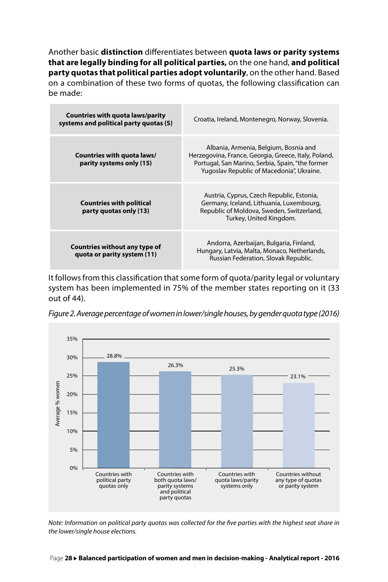Another basic **distinction** differentiates between **quota laws or parity systems that are legally binding for all political parties,** on the one hand, **and political party quotas that political parties adopt voluntarily**, on the other hand. Based on a combination of these two forms of quotas, the following classification can be made:

| Countries with quota laws/parity<br>systems and political party quotas (5) | Croatia, Ireland, Montenegro, Norway, Slovenia.                                                                                                                                                |
|----------------------------------------------------------------------------|------------------------------------------------------------------------------------------------------------------------------------------------------------------------------------------------|
| Countries with quota laws/<br>parity systems only (15)                     | Albania, Armenia, Belgium, Bosnia and<br>Herzegovina, France, Georgia, Greece, Italy, Poland,<br>Portugal, San Marino, Serbia, Spain, "the former<br>Yugoslav Republic of Macedonia", Ukraine. |
| <b>Countries with political</b><br>party quotas only (13)                  | Austria, Cyprus, Czech Republic, Estonia,<br>Germany, Iceland, Lithuania, Luxembourg,<br>Republic of Moldova, Sweden, Switzerland,<br>Turkey, United Kingdom.                                  |
| Countries without any type of<br>quota or parity system (11)               | Andorra, Azerbaijan, Bulgaria, Finland,<br>Hungary, Latvia, Malta, Monaco, Netherlands,<br>Russian Federation, Slovak Republic.                                                                |

It follows from this classification that some form of quota/parity legal or voluntary system has been implemented in 75% of the member states reporting on it (33 out of 44).

*Figure 2. Average percentage of women in lower/single houses, by gender quota type (2016)*



*Note: Information on political party quotas was collected for the five parties with the highest seat share in the lower/single house elections.*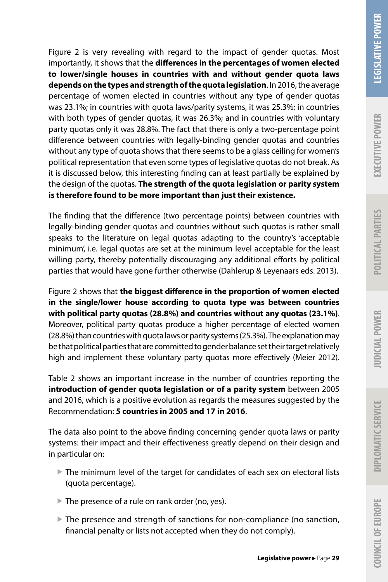Figure 2 is very revealing with regard to the impact of gender quotas. Most importantly, it shows that the **differences in the percentages of women elected to lower/single houses in countries with and without gender quota laws depends on the types and strength of the quota legislation**. In 2016, the average percentage of women elected in countries without any type of gender quotas was 23.1%; in countries with quota laws/parity systems, it was 25.3%; in countries with both types of gender quotas, it was 26.3%; and in countries with voluntary party quotas only it was 28.8%. The fact that there is only a two-percentage point difference between countries with legally-binding gender quotas and countries without any type of quota shows that there seems to be a glass ceiling for women's political representation that even some types of legislative quotas do not break. As it is discussed below, this interesting finding can at least partially be explained by the design of the quotas. **The strength of the quota legislation or parity system is therefore found to be more important than just their existence.**

The finding that the difference (two percentage points) between countries with legally-binding gender quotas and countries without such quotas is rather small speaks to the literature on legal quotas adapting to the country's 'acceptable minimum', i.e. legal quotas are set at the minimum level acceptable for the least willing party, thereby potentially discouraging any additional efforts by political parties that would have gone further otherwise (Dahlerup & Leyenaars eds. 2013).

Figure 2 shows that **the biggest difference in the proportion of women elected in the single/lower house according to quota type was between countries with political party quotas (28.8%) and countries without any quotas (23.1%)**. Moreover, political party quotas produce a higher percentage of elected women (28.8%) than countries with quota laws or parity systems (25.3%). The explanation may be that political parties that are committed to gender balance set their target relatively high and implement these voluntary party quotas more effectively (Meier 2012).

Table 2 shows an important increase in the number of countries reporting the **introduction of gender quota legislation or of a parity system** between 2005 and 2016, which is a positive evolution as regards the measures suggested by the Recommendation: **5 countries in 2005 and 17 in 2016**.

The data also point to the above finding concerning gender quota laws or parity systems: their impact and their effectiveness greatly depend on their design and in particular on:

- $\blacktriangleright$  The minimum level of the target for candidates of each sex on electoral lists (quota percentage).
- $\blacktriangleright$  The presence of a rule on rank order (no, yes).
- $\blacktriangleright$  The presence and strength of sanctions for non-compliance (no sanction, financial penalty or lists not accepted when they do not comply).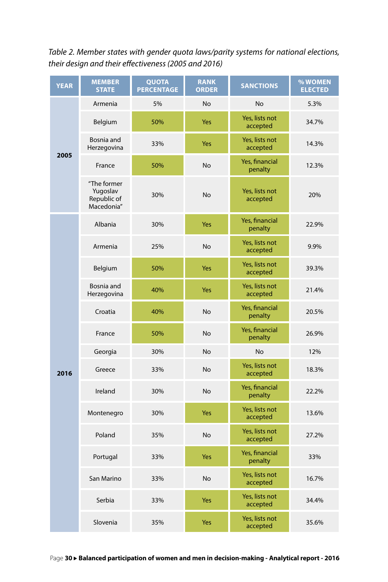*Table 2. Member states with gender quota laws/parity systems for national elections, their design and their effectiveness (2005 and 2016)*

| <b>YEAR</b> | <b>MEMBER</b><br><b>STATE</b>                        | <b>QUOTA</b><br><b>PERCENTAGE</b> | <b>RANK</b><br><b>ORDER</b> | <b>SANCTIONS</b>           | % WOMEN<br><b>ELECTED</b> |
|-------------|------------------------------------------------------|-----------------------------------|-----------------------------|----------------------------|---------------------------|
|             | Armenia                                              | 5%                                | No                          | No                         | 5.3%                      |
|             | Belgium                                              | 50%                               | <b>Yes</b>                  | Yes, lists not<br>accepted | 34.7%                     |
| 2005        | Bosnia and<br>Herzegovina                            | 33%                               | <b>Yes</b>                  | Yes, lists not<br>accepted | 14.3%                     |
|             | France                                               | 50%                               | No                          | Yes, financial<br>penalty  | 12.3%                     |
|             | "The former<br>Yugoslav<br>Republic of<br>Macedonia" | 30%                               | No                          | Yes, lists not<br>accepted | 20%                       |
|             | Albania                                              | 30%                               | Yes                         | Yes, financial<br>penalty  | 22.9%                     |
|             | Armenia                                              | 25%                               | No                          | Yes, lists not<br>accepted | 9.9%                      |
|             | Belgium                                              | 50%                               | Yes                         | Yes, lists not<br>accepted | 39.3%                     |
|             | Bosnia and<br>Herzegovina                            | 40%                               | <b>Yes</b>                  | Yes, lists not<br>accepted | 21.4%                     |
|             | Croatia                                              | 40%                               | No                          | Yes, financial<br>penalty  | 20.5%                     |
|             | France                                               | 50%                               | No                          | Yes, financial<br>penalty  | 26.9%                     |
|             | Georgia                                              | 30%                               | No                          | No                         | 12%                       |
| 2016        | Greece                                               | 33%                               | No                          | Yes, lists not<br>accepted | 18.3%                     |
|             | Ireland                                              | 30%                               | No                          | Yes, financial<br>penalty  | 22.2%                     |
|             | Montenegro                                           | 30%                               | Yes                         | Yes, lists not<br>accepted | 13.6%                     |
|             | Poland                                               | 35%                               | No                          | Yes, lists not<br>accepted | 27.2%                     |
|             | Portugal                                             | 33%                               | Yes                         | Yes, financial<br>penalty  | 33%                       |
|             | San Marino                                           | 33%                               | No                          | Yes, lists not<br>accepted | 16.7%                     |
|             | Serbia                                               | 33%                               | Yes                         | Yes, lists not<br>accepted | 34.4%                     |
|             | Slovenia                                             | 35%                               | Yes                         | Yes, lists not<br>accepted | 35.6%                     |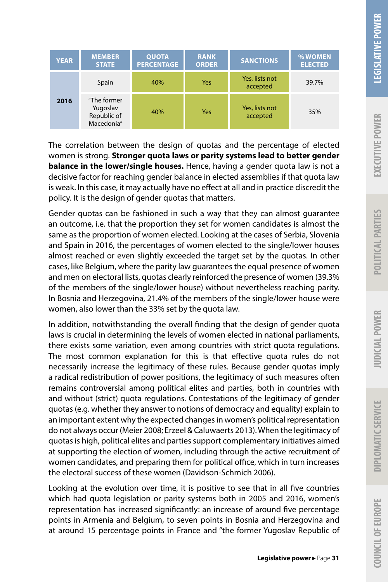| <b>YEAR</b> | <b>MEMBER</b><br><b>STATE</b>                        | <b>QUOTA</b><br><b>PERCENTAGE</b> | <b>RANK</b><br><b>ORDER</b> | <b>SANCTIONS</b>           | % WOMEN<br><b>ELECTED</b> |
|-------------|------------------------------------------------------|-----------------------------------|-----------------------------|----------------------------|---------------------------|
|             | Spain                                                | 40%                               | Yes                         | Yes, lists not<br>accepted | 39.7%                     |
| 2016        | "The former<br>Yugoslav<br>Republic of<br>Macedonia" | 40%                               | Yes                         | Yes, lists not<br>accepted | 35%                       |

The correlation between the design of quotas and the percentage of elected women is strong. **Stronger quota laws or parity systems lead to better gender balance in the lower/single houses.** Hence, having a gender quota law is not a decisive factor for reaching gender balance in elected assemblies if that quota law is weak. In this case, it may actually have no effect at all and in practice discredit the policy. It is the design of gender quotas that matters.

Gender quotas can be fashioned in such a way that they can almost guarantee an outcome, i.e. that the proportion they set for women candidates is almost the same as the proportion of women elected. Looking at the cases of Serbia, Slovenia and Spain in 2016, the percentages of women elected to the single/lower houses almost reached or even slightly exceeded the target set by the quotas. In other cases, like Belgium, where the parity law guarantees the equal presence of women and men on electoral lists, quotas clearly reinforced the presence of women (39.3% of the members of the single/lower house) without nevertheless reaching parity. In Bosnia and Herzegovina, 21.4% of the members of the single/lower house were women, also lower than the 33% set by the quota law.

In addition, notwithstanding the overall finding that the design of gender quota laws is crucial in determining the levels of women elected in national parliaments, there exists some variation, even among countries with strict quota regulations. The most common explanation for this is that effective quota rules do not necessarily increase the legitimacy of these rules. Because gender quotas imply a radical redistribution of power positions, the legitimacy of such measures often remains controversial among political elites and parties, both in countries with and without (strict) quota regulations. Contestations of the legitimacy of gender quotas (e.g. whether they answer to notions of democracy and equality) explain to an important extent why the expected changes in women's political representation do not always occur (Meier 2008; Erzeel & Caluwaerts 2013). When the legitimacy of quotas is high, political elites and parties support complementary initiatives aimed at supporting the election of women, including through the active recruitment of women candidates, and preparing them for political office, which in turn increases the electoral success of these women (Davidson-Schmich 2006).

Looking at the evolution over time, it is positive to see that in all five countries which had quota legislation or parity systems both in 2005 and 2016, women's representation has increased significantly: an increase of around five percentage points in Armenia and Belgium, to seven points in Bosnia and Herzegovina and at around 15 percentage points in France and "the former Yugoslav Republic of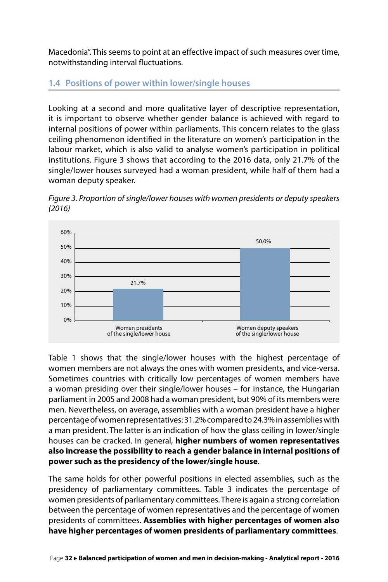Macedonia". This seems to point at an effective impact of such measures over time, notwithstanding interval fluctuations.

#### **1.4 Positions of power within lower/single houses**

Looking at a second and more qualitative layer of descriptive representation, it is important to observe whether gender balance is achieved with regard to internal positions of power within parliaments. This concern relates to the glass ceiling phenomenon identified in the literature on women's participation in the labour market, which is also valid to analyse women's participation in political institutions. Figure 3 shows that according to the 2016 data, only 21.7% of the single/lower houses surveyed had a woman president, while half of them had a woman deputy speaker.





Table 1 shows that the single/lower houses with the highest percentage of women members are not always the ones with women presidents, and vice-versa. Sometimes countries with critically low percentages of women members have a woman presiding over their single/lower houses – for instance, the Hungarian parliament in 2005 and 2008 had a woman president, but 90% of its members were men. Nevertheless, on average, assemblies with a woman president have a higher percentage of women representatives: 31.2% compared to 24.3% in assemblies with a man president. The latter is an indication of how the glass ceiling in lower/single houses can be cracked. In general, **higher numbers of women representatives also increase the possibility to reach a gender balance in internal positions of power such as the presidency of the lower/single house**.

The same holds for other powerful positions in elected assemblies, such as the presidency of parliamentary committees. Table 3 indicates the percentage of women presidents of parliamentary committees. There is again a strong correlation between the percentage of women representatives and the percentage of women presidents of committees. **Assemblies with higher percentages of women also have higher percentages of women presidents of parliamentary committees**.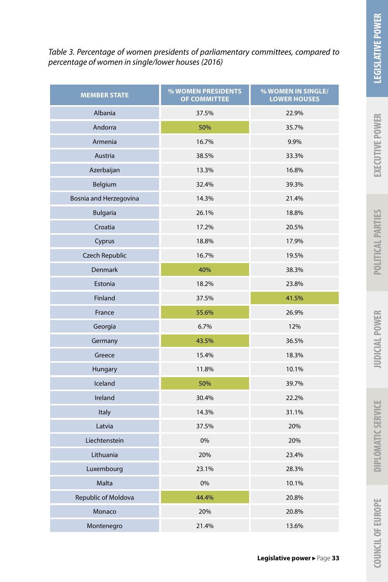| Table 3. Percentage of women presidents of parliamentary committees, compared to |  |
|----------------------------------------------------------------------------------|--|
| percentage of women in single/lower houses (2016)                                |  |

| <b>MEMBER STATE</b>    | % WOMEN PRESIDENTS<br>OF COMMITTEE | % WOMEN IN SINGLE/<br><b>LOWER HOUSES</b> |
|------------------------|------------------------------------|-------------------------------------------|
| Albania                | 37.5%                              | 22.9%                                     |
| Andorra                | 50%                                | 35.7%                                     |
| Armenia                | 16.7%                              | 9.9%                                      |
| Austria                | 38.5%                              | 33.3%                                     |
| Azerbaijan             | 13.3%                              | 16.8%                                     |
| Belgium                | 32.4%                              | 39.3%                                     |
| Bosnia and Herzegovina | 14.3%                              | 21.4%                                     |
| <b>Bulgaria</b>        | 26.1%                              | 18.8%                                     |
| Croatia                | 17.2%                              | 20.5%                                     |
| Cyprus                 | 18.8%                              | 17.9%                                     |
| Czech Republic         | 16.7%                              | 19.5%                                     |
| Denmark                | 40%                                | 38.3%                                     |
| Estonia                | 18.2%                              | 23.8%                                     |
| Finland                | 37.5%                              | 41.5%                                     |
| France                 | 55.6%                              | 26.9%                                     |
| Georgia                | 6.7%                               | 12%                                       |
| Germany                | 43.5%                              | 36.5%                                     |
| Greece                 | 15.4%                              | 18.3%                                     |
| Hungary                | 11.8%                              | 10.1%                                     |
| Iceland                | 50%                                | 39.7%                                     |
| Ireland                | 30.4%                              | 22.2%                                     |
| Italy                  | 14.3%                              | 31.1%                                     |
| Latvia                 | 37.5%                              | 20%                                       |
| Liechtenstein          | 0%                                 | 20%                                       |
| Lithuania              | 20%                                | 23.4%                                     |
| Luxembourg             | 23.1%                              | 28.3%                                     |
| Malta                  | $0\%$                              | 10.1%                                     |
| Republic of Moldova    | 44.4%                              | 20.8%                                     |
| Monaco                 | 20%                                | 20.8%                                     |
| Montenegro             | 21.4%                              | 13.6%                                     |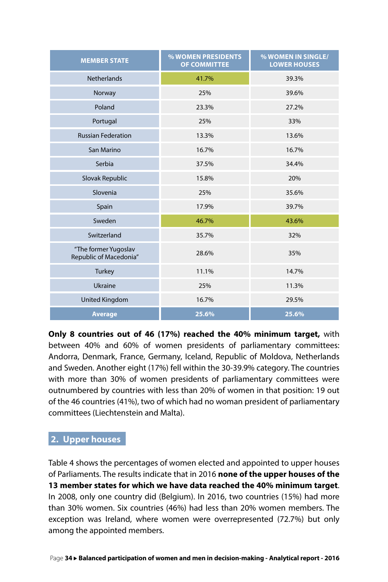<span id="page-35-0"></span>

| <b>MEMBER STATE</b>                            | % WOMEN PRESIDENTS<br><b>OF COMMITTEE</b> | % WOMEN IN SINGLE/<br><b>LOWER HOUSES</b> |
|------------------------------------------------|-------------------------------------------|-------------------------------------------|
| <b>Netherlands</b>                             | 41.7%                                     | 39.3%                                     |
| Norway                                         | 25%                                       | 39.6%                                     |
| Poland                                         | 23.3%                                     | 27.2%                                     |
| Portugal                                       | 25%                                       | 33%                                       |
| <b>Russian Federation</b>                      | 13.3%                                     | 13.6%                                     |
| San Marino                                     | 16.7%                                     | 16.7%                                     |
| Serbia                                         | 37.5%                                     | 34.4%                                     |
| Slovak Republic                                | 15.8%                                     | 20%                                       |
| Slovenia                                       | 25%                                       | 35.6%                                     |
| Spain                                          | 17.9%                                     | 39.7%                                     |
| Sweden                                         | 46.7%                                     | 43.6%                                     |
| Switzerland                                    | 35.7%                                     | 32%                                       |
| "The former Yugoslav<br>Republic of Macedonia" | 28.6%                                     | 35%                                       |
| Turkey                                         | 11.1%                                     | 14.7%                                     |
| Ukraine                                        | 25%                                       | 11.3%                                     |
| <b>United Kingdom</b>                          | 16.7%                                     | 29.5%                                     |
| <b>Average</b>                                 | 25.6%                                     | 25.6%                                     |

**Only 8 countries out of 46 (17%) reached the 40% minimum target,** with between 40% and 60% of women presidents of parliamentary committees: Andorra, Denmark, France, Germany, Iceland, Republic of Moldova, Netherlands and Sweden. Another eight (17%) fell within the 30-39.9% category. The countries with more than 30% of women presidents of parliamentary committees were outnumbered by countries with less than 20% of women in that position: 19 out of the 46 countries (41%), two of which had no woman president of parliamentary committees (Liechtenstein and Malta).

### **2. Upper houses**

Table 4 shows the percentages of women elected and appointed to upper houses of Parliaments. The results indicate that in 2016 **none of the upper houses of the 13 member states for which we have data reached the 40% minimum target**. In 2008, only one country did (Belgium). In 2016, two countries (15%) had more than 30% women. Six countries (46%) had less than 20% women members. The exception was Ireland, where women were overrepresented (72.7%) but only among the appointed members.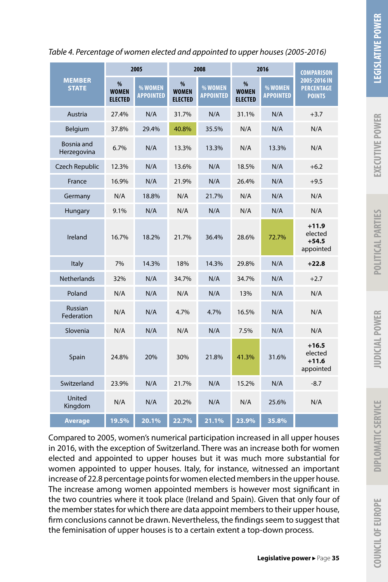|                               |                                     | 2005                        |                                     | 2008                        |                                     | 2016                        | <b>COMPARISON</b>                                  |  |
|-------------------------------|-------------------------------------|-----------------------------|-------------------------------------|-----------------------------|-------------------------------------|-----------------------------|----------------------------------------------------|--|
| <b>MEMBER</b><br><b>STATE</b> | %<br><b>WOMEN</b><br><b>ELECTED</b> | % WOMEN<br><b>APPOINTED</b> | %<br><b>WOMEN</b><br><b>ELECTED</b> | % WOMEN<br><b>APPOINTED</b> | %<br><b>WOMEN</b><br><b>ELECTED</b> | % WOMEN<br><b>APPOINTED</b> | 2005-2016 IN<br><b>PERCENTAGE</b><br><b>POINTS</b> |  |
| Austria                       | 27.4%                               | N/A                         | 31.7%                               | N/A                         | 31.1%                               | N/A                         | $+3.7$                                             |  |
| Belgium                       | 37.8%                               | 29.4%                       | 40.8%                               | 35.5%                       | N/A                                 | N/A                         | N/A                                                |  |
| Bosnia and<br>Herzegovina     | 6.7%                                | N/A                         | 13.3%                               | 13.3%                       | N/A                                 | 13.3%                       | N/A                                                |  |
| <b>Czech Republic</b>         | 12.3%                               | N/A                         | 13.6%                               | N/A                         | 18.5%                               | N/A                         | $+6.2$                                             |  |
| France                        | 16.9%                               | N/A                         | 21.9%                               | N/A                         | 26.4%                               | N/A                         | $+9.5$                                             |  |
| Germany                       | N/A                                 | 18.8%                       | N/A                                 | 21.7%                       | N/A                                 | N/A                         | N/A                                                |  |
| Hungary                       | 9.1%                                | N/A                         | N/A                                 | N/A                         | N/A                                 | N/A                         | N/A                                                |  |
| Ireland                       | 16.7%                               | 18.2%                       | 21.7%                               | 36.4%                       | 28.6%                               | 72.7%                       | $+11.9$<br>elected<br>$+54.5$<br>appointed         |  |
| Italy                         | 7%                                  | 14.3%                       | 18%                                 | 14.3%                       | 29.8%                               | N/A                         | $+22.8$                                            |  |
| <b>Netherlands</b>            | 32%                                 | N/A                         | 34.7%                               | N/A                         | 34.7%                               | N/A                         | $+2.7$                                             |  |
| Poland                        | N/A                                 | N/A                         | N/A                                 | N/A                         | 13%                                 | N/A                         | N/A                                                |  |
| <b>Russian</b><br>Federation  | N/A                                 | N/A                         | 4.7%                                | 4.7%                        | 16.5%                               | N/A                         | N/A                                                |  |
| Slovenia                      | N/A                                 | N/A                         | N/A                                 | N/A                         | 7.5%                                | N/A                         | N/A                                                |  |
| Spain                         | 24.8%                               | 20%                         | 30%                                 | 21.8%                       | 41.3%                               | 31.6%                       | $+16.5$<br>elected<br>$+11.6$<br>appointed         |  |
| Switzerland                   | 23.9%                               | N/A                         | 21.7%                               | N/A                         | 15.2%                               | N/A                         | $-8.7$                                             |  |
| United<br>Kingdom             | N/A                                 | N/A                         | 20.2%                               | N/A                         | N/A                                 | 25.6%                       | N/A                                                |  |
| <b>Average</b>                | 19.5%                               | 20.1%                       | 22.7%                               | 21.1%                       | 23.9%                               | 35.8%                       |                                                    |  |

### *Table 4. Percentage of women elected and appointed to upper houses (2005-2016)*

Compared to 2005, women's numerical participation increased in all upper houses in 2016, with the exception of Switzerland. There was an increase both for women elected and appointed to upper houses but it was much more substantial for women appointed to upper houses. Italy, for instance, witnessed an important increase of 22.8 percentage points for women elected members in the upper house. The increase among women appointed members is however most significant in the two countries where it took place (Ireland and Spain). Given that only four of the member states for which there are data appoint members to their upper house, firm conclusions cannot be drawn. Nevertheless, the findings seem to suggest that the feminisation of upper houses is to a certain extent a top-down process.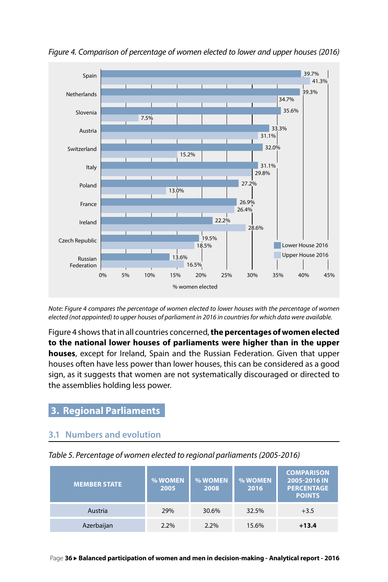

*Figure 4. Comparison of percentage of women elected to lower and upper houses (2016)*

*Note: Figure 4 compares the percentage of women elected to lower houses with the percentage of women elected (not appointed) to upper houses of parliament in 2016 in countries for which data were available.*

Figure 4 shows that in all countries concerned, **the percentages of women elected to the national lower houses of parliaments were higher than in the upper houses**, except for Ireland, Spain and the Russian Federation. Given that upper houses often have less power than lower houses, this can be considered as a good sign, as it suggests that women are not systematically discouraged or directed to the assemblies holding less power.

### **3. Regional Parliaments**

### **3.1 Numbers and evolution**

| <b>MEMBER STATE</b> | % WOMEN<br>2005 | $\sqrt{2}$ women<br>2008 | % WOMEN<br>2016 | <b>COMPARISON</b><br>2005-2016 IN<br><b>PERCENTAGE</b><br><b>POINTS</b> |
|---------------------|-----------------|--------------------------|-----------------|-------------------------------------------------------------------------|
| Austria             | 29%             | 30.6%                    | 32.5%           | $+3.5$                                                                  |
| Azerbaijan          | 2.2%            | $2.2\%$                  | 15.6%           | $+13.4$                                                                 |

### *Table 5. Percentage of women elected to regional parliaments (2005-2016)*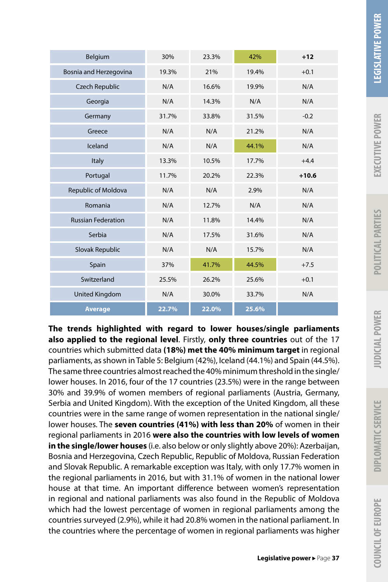| Belgium                   | 30%   | 23.3% | 42%   | $+12$   |
|---------------------------|-------|-------|-------|---------|
| Bosnia and Herzegovina    | 19.3% | 21%   | 19.4% | $+0.1$  |
| Czech Republic            | N/A   | 16.6% | 19.9% | N/A     |
| Georgia                   | N/A   | 14.3% | N/A   | N/A     |
| Germany                   | 31.7% | 33.8% | 31.5% | $-0.2$  |
| Greece                    | N/A   | N/A   | 21.2% | N/A     |
| Iceland                   | N/A   | N/A   | 44.1% | N/A     |
| Italy                     | 13.3% | 10.5% | 17.7% | $+4.4$  |
| Portugal                  | 11.7% | 20.2% | 22.3% | $+10.6$ |
| Republic of Moldova       | N/A   | N/A   | 2.9%  | N/A     |
| Romania                   | N/A   | 12.7% | N/A   | N/A     |
| <b>Russian Federation</b> | N/A   | 11.8% | 14.4% | N/A     |
| Serbia                    | N/A   | 17.5% | 31.6% | N/A     |
| Slovak Republic           | N/A   | N/A   | 15.7% | N/A     |
| Spain                     | 37%   | 41.7% | 44.5% | $+7.5$  |
| Switzerland               | 25.5% | 26.2% | 25.6% | $+0.1$  |
| United Kingdom            | N/A   | 30.0% | 33.7% | N/A     |
| <b>Average</b>            | 22.7% | 22.0% | 25.6% |         |
|                           |       |       |       |         |

**The trends highlighted with regard to lower houses/single parliaments also applied to the regional level**. Firstly, **only three countries** out of the 17 countries which submitted data **(18%) met the 40% minimum target** in regional parliaments, as shown in Table 5: Belgium (42%), Iceland (44.1%) and Spain (44.5%). The same three countries almost reached the 40% minimum threshold in the single/ lower houses. In 2016, four of the 17 countries (23.5%) were in the range between 30% and 39.9% of women members of regional parliaments (Austria, Germany, Serbia and United Kingdom). With the exception of the United Kingdom, all these countries were in the same range of women representation in the national single/ lower houses. The **seven countries (41%) with less than 20%** of women in their regional parliaments in 2016 **were also the countries with low levels of women in the single/lower houses** (i.e. also below or only slightly above 20%): Azerbaijan, Bosnia and Herzegovina, Czech Republic, Republic of Moldova, Russian Federation and Slovak Republic. A remarkable exception was Italy, with only 17.7% women in the regional parliaments in 2016, but with 31.1% of women in the national lower house at that time. An important difference between women's representation in regional and national parliaments was also found in the Republic of Moldova which had the lowest percentage of women in regional parliaments among the countries surveyed (2.9%), while it had 20.8% women in the national parliament. In the countries where the percentage of women in regional parliaments was higher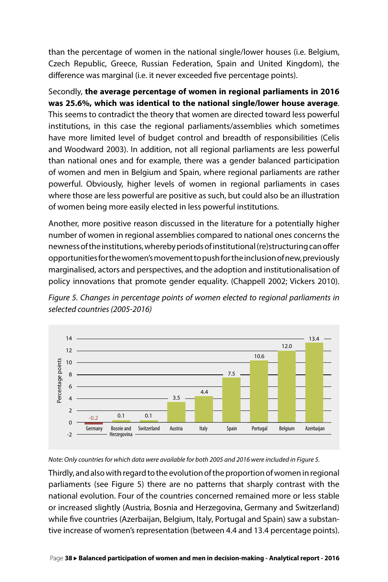than the percentage of women in the national single/lower houses (i.e. Belgium, Czech Republic, Greece, Russian Federation, Spain and United Kingdom), the difference was marginal (i.e. it never exceeded five percentage points).

Secondly, **the average percentage of women in regional parliaments in 2016 was 25.6%, which was identical to the national single/lower house average**. This seems to contradict the theory that women are directed toward less powerful institutions, in this case the regional parliaments/assemblies which sometimes have more limited level of budget control and breadth of responsibilities (Celis and Woodward 2003). In addition, not all regional parliaments are less powerful than national ones and for example, there was a gender balanced participation of women and men in Belgium and Spain, where regional parliaments are rather powerful. Obviously, higher levels of women in regional parliaments in cases where those are less powerful are positive as such, but could also be an illustration of women being more easily elected in less powerful institutions.

Another, more positive reason discussed in the literature for a potentially higher number of women in regional assemblies compared to national ones concerns the newness of the institutions, whereby periods of institutional (re)structuring can offer opportunities for the women's movement to push for the inclusion of new, previously marginalised, actors and perspectives, and the adoption and institutionalisation of policy innovations that promote gender equality. (Chappell 2002; Vickers 2010).





*Note: Only countries for which data were available for both 2005 and 2016 were included in Figure 5.*

Thirdly, and also with regard to the evolution of the proportion of women in regional parliaments (see Figure 5) there are no patterns that sharply contrast with the national evolution. Four of the countries concerned remained more or less stable or increased slightly (Austria, Bosnia and Herzegovina, Germany and Switzerland) while five countries (Azerbaijan, Belgium, Italy, Portugal and Spain) saw a substantive increase of women's representation (between 4.4 and 13.4 percentage points).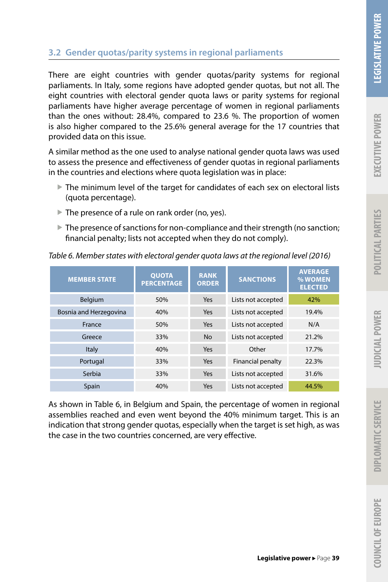# **COUNCIL OF EUROPE EXECUTIVE POWER DIPLOMATIC SERVICE** DIPLOMATIC SERVICE

### **3.2 Gender quotas/parity systems in regional parliaments**

There are eight countries with gender quotas/parity systems for regional parliaments. In Italy, some regions have adopted gender quotas, but not all. The eight countries with electoral gender quota laws or parity systems for regional parliaments have higher average percentage of women in regional parliaments than the ones without: 28.4%, compared to 23.6 %. The proportion of women is also higher compared to the 25.6% general average for the 17 countries that provided data on this issue.

A similar method as the one used to analyse national gender quota laws was used to assess the presence and effectiveness of gender quotas in regional parliaments in the countries and elections where quota legislation was in place:

- $\blacktriangleright$  The minimum level of the target for candidates of each sex on electoral lists (quota percentage).
- $\blacktriangleright$  The presence of a rule on rank order (no, yes).
- $\blacktriangleright$  The presence of sanctions for non-compliance and their strength (no sanction; financial penalty; lists not accepted when they do not comply).

| <b>MEMBER STATE</b>    | <b>QUOTA</b><br><b>PERCENTAGE</b> | <b>RANK</b><br><b>ORDER</b> | <b>SANCTIONS</b>   | <b>AVERAGE</b><br>% WOMEN<br><b>ELECTED</b> |
|------------------------|-----------------------------------|-----------------------------|--------------------|---------------------------------------------|
| Belgium                | 50%                               | Yes                         | Lists not accepted | 42%                                         |
| Bosnia and Herzegovina | 40%                               | Yes                         | Lists not accepted | 19.4%                                       |
| France                 | 50%                               | Yes                         | Lists not accepted | N/A                                         |
| Greece                 | 33%                               | <b>No</b>                   | Lists not accepted | 21.2%                                       |
| Italy                  | 40%                               | Yes                         | Other              | 17.7%                                       |
| Portugal               | 33%                               | Yes                         | Financial penalty  | 22.3%                                       |
| Serbia                 | 33%                               | Yes                         | Lists not accepted | 31.6%                                       |
| Spain                  | 40%                               | Yes                         | Lists not accepted | 44.5%                                       |

*Table 6. Member states with electoral gender quota laws at the regional level (2016)*

As shown in Table 6, in Belgium and Spain, the percentage of women in regional assemblies reached and even went beyond the 40% minimum target. This is an indication that strong gender quotas, especially when the target is set high, as was the case in the two countries concerned, are very effective.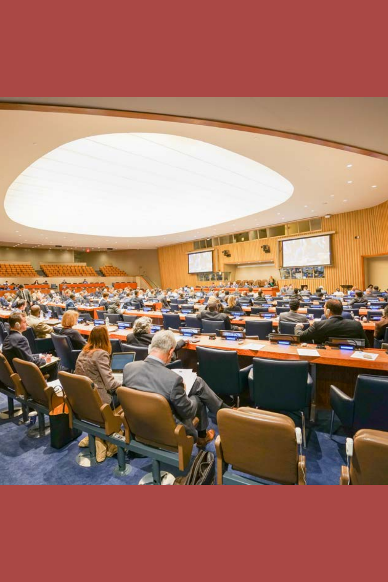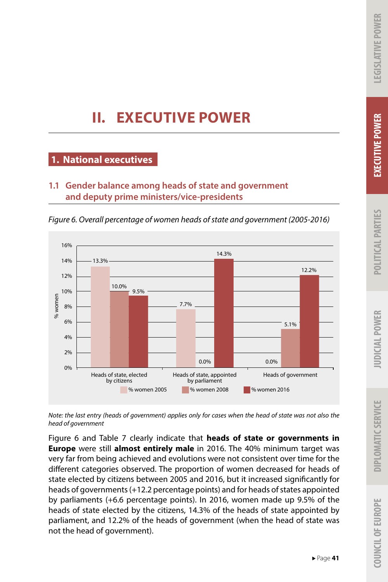# **II. EXECUTIVE POWER**

### **1. National executives**

### **1.1 Gender balance among heads of state and government and deputy prime ministers/vice-presidents**

*Figure 6. Overall percentage of women heads of state and government (2005-2016)*



*Note: the last entry (heads of government) applies only for cases when the head of state was not also the head of government*

Figure 6 and Table 7 clearly indicate that **heads of state or governments in Europe** were still **almost entirely male** in 2016. The 40% minimum target was very far from being achieved and evolutions were not consistent over time for the different categories observed. The proportion of women decreased for heads of state elected by citizens between 2005 and 2016, but it increased significantly for heads of governments (+12.2 percentage points) and for heads of states appointed by parliaments (+6.6 percentage points). In 2016, women made up 9.5% of the heads of state elected by the citizens, 14.3% of the heads of state appointed by parliament, and 12.2% of the heads of government (when the head of state was not the head of government).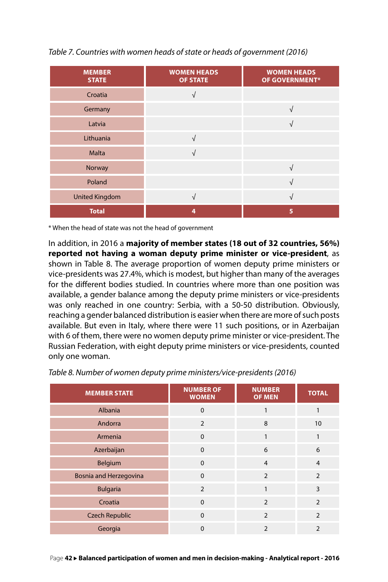| <b>MEMBER</b><br><b>STATE</b> | <b>WOMEN HEADS</b><br><b>OF STATE</b> | <b>WOMEN HEADS</b><br>OF GOVERNMENT* |
|-------------------------------|---------------------------------------|--------------------------------------|
| Croatia                       | $\sqrt{ }$                            |                                      |
| Germany                       |                                       | $\sqrt{ }$                           |
| Latvia                        |                                       | $\sqrt{ }$                           |
| Lithuania                     | $\sqrt{ }$                            |                                      |
| <b>Malta</b>                  | $\sqrt{ }$                            |                                      |
| Norway                        |                                       | $\sqrt{ }$                           |
| Poland                        |                                       | $\sqrt{ }$                           |
| <b>United Kingdom</b>         | $\sqrt{ }$                            | $\sqrt{ }$                           |
| <b>Total</b>                  | 4                                     | 5                                    |

*Table 7. Countries with women heads of state or heads of government (2016)*

\* When the head of state was not the head of government

In addition, in 2016 a **majority of member states (18 out of 32 countries, 56%) reported not having a woman deputy prime minister or vice-president**, as shown in Table 8. The average proportion of women deputy prime ministers or vice-presidents was 27.4%, which is modest, but higher than many of the averages for the different bodies studied. In countries where more than one position was available, a gender balance among the deputy prime ministers or vice-presidents was only reached in one country: Serbia, with a 50-50 distribution. Obviously, reaching a gender balanced distribution is easier when there are more of such posts available. But even in Italy, where there were 11 such positions, or in Azerbaijan with 6 of them, there were no women deputy prime minister or vice-president. The Russian Federation, with eight deputy prime ministers or vice-presidents, counted only one woman.

| <b>MEMBER STATE</b>    | <b>NUMBER OF</b><br><b>WOMEN</b> | <b>NUMBER</b><br><b>OF MEN</b> | <b>TOTAL</b>   |
|------------------------|----------------------------------|--------------------------------|----------------|
| Albania                | $\mathbf 0$                      | 1                              | 1              |
| Andorra                | $\overline{2}$                   | 8                              | 10             |
| Armenia                | $\mathbf 0$                      | 1                              | 1              |
| Azerbaijan             | $\mathbf 0$                      | 6                              | 6              |
| Belgium                | $\mathbf 0$                      | $\overline{4}$                 | $\overline{4}$ |
| Bosnia and Herzegovina | $\mathbf 0$                      | $\overline{2}$                 | $\overline{2}$ |
| <b>Bulgaria</b>        | $\overline{2}$                   | $\mathbf{1}$                   | 3              |
| Croatia                | $\mathbf 0$                      | $\overline{2}$                 | $\overline{2}$ |
| <b>Czech Republic</b>  | $\Omega$                         | $\overline{2}$                 | $\overline{2}$ |
| Georgia                | $\mathbf 0$                      | $\overline{2}$                 | 2              |

| Table 8. Number of women deputy prime ministers/vice-presidents (2016) |  |  |
|------------------------------------------------------------------------|--|--|
|                                                                        |  |  |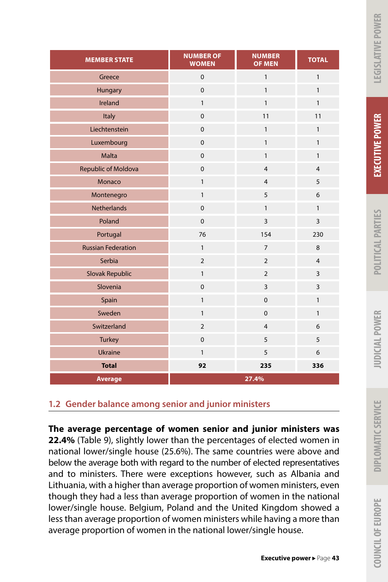| <b>MEMBER STATE</b>        | <b>NUMBER OF</b><br><b>WOMEN</b> | <b>NUMBER</b><br><b>OF MEN</b> | <b>TOTAL</b>   |
|----------------------------|----------------------------------|--------------------------------|----------------|
| Greece                     | $\mathbf 0$                      | $\mathbf{1}$                   | $\mathbf{1}$   |
| Hungary                    | $\pmb{0}$                        | $\mathbf{1}$                   | $\mathbf{1}$   |
| Ireland                    | $\mathbf{1}$                     | $\mathbf{1}$                   | $\mathbf{1}$   |
| Italy                      | $\mathbf 0$                      | 11                             | 11             |
| Liechtenstein              | $\mathbf 0$                      | $\mathbf{1}$                   | $\mathbf{1}$   |
| Luxembourg                 | $\mathbf 0$                      | $\mathbf{1}$                   | $\mathbf{1}$   |
| <b>Malta</b>               | $\mathbf 0$                      | $\mathbf{1}$                   | $\mathbf{1}$   |
| <b>Republic of Moldova</b> | $\pmb{0}$                        | $\overline{4}$                 | $\overline{4}$ |
| Monaco                     | $\mathbf{1}$                     | $\overline{4}$                 | 5              |
| Montenegro                 | $\mathbf{1}$                     | 5                              | 6              |
| Netherlands                | $\pmb{0}$                        | $\mathbf{1}$                   | $\mathbf{1}$   |
| Poland                     | $\mathbf 0$                      | $\overline{3}$                 | 3              |
| Portugal                   | 76                               | 154                            | 230            |
| <b>Russian Federation</b>  | $\mathbf{1}$                     | $\overline{7}$                 | 8              |
| Serbia                     | $\overline{2}$                   | $\overline{2}$                 | $\overline{4}$ |
| <b>Slovak Republic</b>     | $\mathbf{1}$                     | $\overline{2}$                 | $\overline{3}$ |
| Slovenia                   | $\mathbf 0$                      | $\overline{3}$                 | 3              |
| Spain                      | $\mathbf{1}$                     | $\pmb{0}$                      | $\mathbf{1}$   |
| Sweden                     | $\mathbf{1}$                     | $\pmb{0}$                      | $\mathbf{1}$   |
| Switzerland                | $\overline{2}$                   | $\overline{4}$                 | 6              |
| Turkey                     | $\pmb{0}$                        | 5                              | 5              |
| <b>Ukraine</b>             | $\mathbf{1}$                     | 5                              | 6              |
| <b>Total</b>               | 92                               | 235                            | 336            |
| <b>Average</b>             |                                  | 27.4%                          |                |

### **1.2 Gender balance among senior and junior ministers**

**The average percentage of women senior and junior ministers was 22.4%** (Table 9), slightly lower than the percentages of elected women in national lower/single house (25.6%). The same countries were above and below the average both with regard to the number of elected representatives and to ministers. There were exceptions however, such as Albania and Lithuania, with a higher than average proportion of women ministers, even though they had a less than average proportion of women in the national lower/single house. Belgium, Poland and the United Kingdom showed a less than average proportion of women ministers while having a more than average proportion of women in the national lower/single house.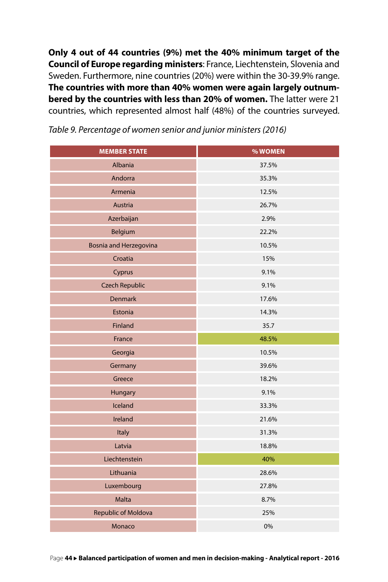**Only 4 out of 44 countries (9%) met the 40% minimum target of the Council of Europe regarding ministers**: France, Liechtenstein, Slovenia and Sweden. Furthermore, nine countries (20%) were within the 30-39.9% range. **The countries with more than 40% women were again largely outnumbered by the countries with less than 20% of women.** The latter were 21 countries, which represented almost half (48%) of the countries surveyed.

| <b>MEMBER STATE</b>           | % WOMEN |
|-------------------------------|---------|
| Albania                       | 37.5%   |
| Andorra                       | 35.3%   |
| Armenia                       | 12.5%   |
| Austria                       | 26.7%   |
| Azerbaijan                    | 2.9%    |
| Belgium                       | 22.2%   |
| <b>Bosnia and Herzegovina</b> | 10.5%   |
| Croatia                       | 15%     |
| Cyprus                        | 9.1%    |
| <b>Czech Republic</b>         | 9.1%    |
| <b>Denmark</b>                | 17.6%   |
| Estonia                       | 14.3%   |
| Finland                       | 35.7    |
| France                        | 48.5%   |
| Georgia                       | 10.5%   |
| Germany                       | 39.6%   |
| Greece                        | 18.2%   |
| Hungary                       | 9.1%    |
| Iceland                       | 33.3%   |
| Ireland                       | 21.6%   |
| Italy                         | 31.3%   |
| Latvia                        | 18.8%   |
| Liechtenstein                 | 40%     |
| Lithuania                     | 28.6%   |
| Luxembourg                    | 27.8%   |
| Malta                         | 8.7%    |
| Republic of Moldova           | 25%     |
| Monaco                        | 0%      |

*Table 9. Percentage of women senior and junior ministers (2016)*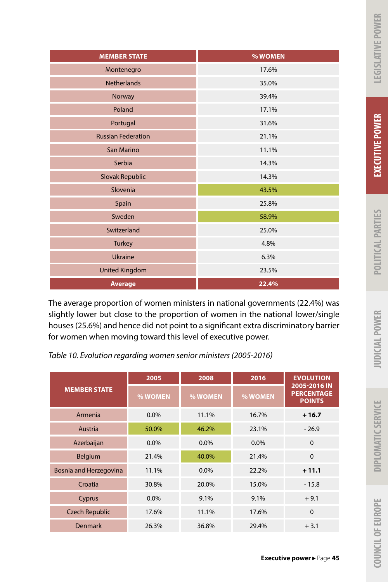| <b>MEMBER STATE</b>       | % WOMEN |
|---------------------------|---------|
| Montenegro                | 17.6%   |
| <b>Netherlands</b>        | 35.0%   |
| Norway                    | 39.4%   |
| Poland                    | 17.1%   |
| Portugal                  | 31.6%   |
| <b>Russian Federation</b> | 21.1%   |
| <b>San Marino</b>         | 11.1%   |
| Serbia                    | 14.3%   |
| <b>Slovak Republic</b>    | 14.3%   |
| Slovenia                  | 43.5%   |
| Spain                     | 25.8%   |
| Sweden                    | 58.9%   |
| Switzerland               | 25.0%   |
| <b>Turkey</b>             | 4.8%    |
| <b>Ukraine</b>            | 6.3%    |
| <b>United Kingdom</b>     | 23.5%   |
| <b>Average</b>            | 22.4%   |

The average proportion of women ministers in national governments (22.4%) was slightly lower but close to the proportion of women in the national lower/single houses (25.6%) and hence did not point to a significant extra discriminatory barrier for women when moving toward this level of executive power.

*Table 10. Evolution regarding women senior ministers (2005-2016)*

|                               | 2005    | 2008    | 2016    | <b>EVOLUTION</b>                                   |
|-------------------------------|---------|---------|---------|----------------------------------------------------|
| <b>MEMBER STATE</b>           | % WOMEN | % WOMEN | % WOMEN | 2005-2016 IN<br><b>PERCENTAGE</b><br><b>POINTS</b> |
| Armenia                       | 0.0%    | 11.1%   | 16.7%   | $+16.7$                                            |
| Austria                       | 50.0%   | 46.2%   | 23.1%   | $-26.9$                                            |
| Azerbaijan                    | 0.0%    | $0.0\%$ | 0.0%    | $\mathbf 0$                                        |
| Belgium                       | 21.4%   | 40.0%   | 21.4%   | $\Omega$                                           |
| <b>Bosnia and Herzegovina</b> | 11.1%   | $0.0\%$ | 22.2%   | $+11.1$                                            |
| Croatia                       | 30.8%   | 20.0%   | 15.0%   | $-15.8$                                            |
| Cyprus                        | 0.0%    | 9.1%    | 9.1%    | $+9.1$                                             |
| <b>Czech Republic</b>         | 17.6%   | 11.1%   | 17.6%   | $\mathbf 0$                                        |
| <b>Denmark</b>                | 26.3%   | 36.8%   | 29.4%   | $+3.1$                                             |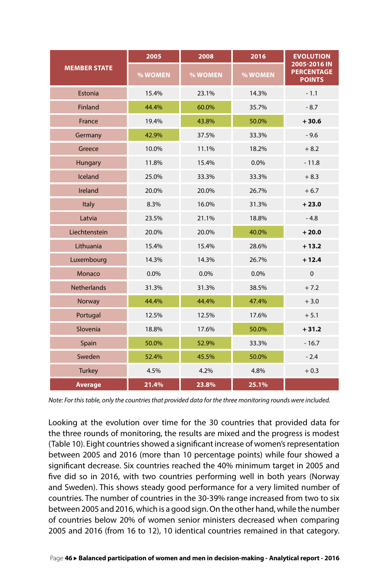|                     | 2005    | 2008    | 2016    | <b>EVOLUTION</b>                                   |
|---------------------|---------|---------|---------|----------------------------------------------------|
| <b>MEMBER STATE</b> | % WOMEN | % WOMEN | % WOMEN | 2005-2016 IN<br><b>PERCENTAGE</b><br><b>POINTS</b> |
| Estonia             | 15.4%   | 23.1%   | 14.3%   | $-1.1$                                             |
| <b>Finland</b>      | 44.4%   | 60.0%   | 35.7%   | $-8.7$                                             |
| France              | 19.4%   | 43.8%   | 50.0%   | $+30.6$                                            |
| Germany             | 42.9%   | 37.5%   | 33.3%   | $-9.6$                                             |
| Greece              | 10.0%   | 11.1%   | 18.2%   | $+8.2$                                             |
| Hungary             | 11.8%   | 15.4%   | 0.0%    | $-11.8$                                            |
| Iceland             | 25.0%   | 33.3%   | 33.3%   | $+8.3$                                             |
| Ireland             | 20.0%   | 20.0%   | 26.7%   | $+6.7$                                             |
| Italy               | 8.3%    | 16.0%   | 31.3%   | $+23.0$                                            |
| Latvia              | 23.5%   | 21.1%   | 18.8%   | $-4.8$                                             |
| Liechtenstein       | 20.0%   | 20.0%   | 40.0%   | $+20.0$                                            |
| Lithuania           | 15.4%   | 15.4%   | 28.6%   | $+13.2$                                            |
| Luxembourg          | 14.3%   | 14.3%   | 26.7%   | $+12.4$                                            |
| Monaco              | 0.0%    | 0.0%    | $0.0\%$ | $\mathbf 0$                                        |
| <b>Netherlands</b>  | 31.3%   | 31.3%   | 38.5%   | $+7.2$                                             |
| Norway              | 44.4%   | 44.4%   | 47.4%   | $+3.0$                                             |
| Portugal            | 12.5%   | 12.5%   | 17.6%   | $+5.1$                                             |
| Slovenia            | 18.8%   | 17.6%   | 50.0%   | $+31.2$                                            |
| Spain               | 50.0%   | 52.9%   | 33.3%   | $-16.7$                                            |
| Sweden              | 52.4%   | 45.5%   | 50.0%   | $-2.4$                                             |
| <b>Turkey</b>       | 4.5%    | 4.2%    | 4.8%    | $+0.3$                                             |
| <b>Average</b>      | 21.4%   | 23.8%   | 25.1%   |                                                    |

*Note: For this table, only the countries that provided data for the three monitoring rounds were included.*

Looking at the evolution over time for the 30 countries that provided data for the three rounds of monitoring, the results are mixed and the progress is modest (Table 10). Eight countries showed a significant increase of women's representation between 2005 and 2016 (more than 10 percentage points) while four showed a significant decrease. Six countries reached the 40% minimum target in 2005 and five did so in 2016, with two countries performing well in both years (Norway and Sweden). This shows steady good performance for a very limited number of countries. The number of countries in the 30-39% range increased from two to six between 2005 and 2016, which is a good sign. On the other hand, while the number of countries below 20% of women senior ministers decreased when comparing 2005 and 2016 (from 16 to 12), 10 identical countries remained in that category.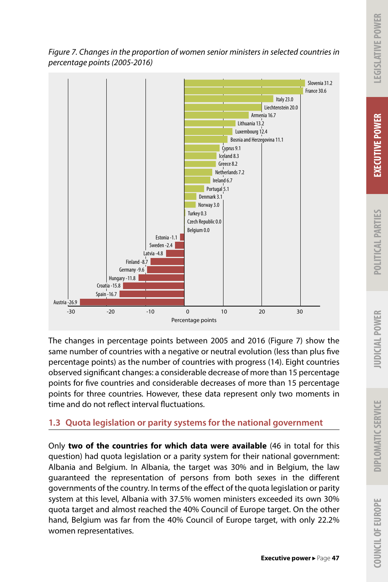



The changes in percentage points between 2005 and 2016 (Figure 7) show the same number of countries with a negative or neutral evolution (less than plus five percentage points) as the number of countries with progress (14). Eight countries observed significant changes: a considerable decrease of more than 15 percentage points for five countries and considerable decreases of more than 15 percentage points for three countries. However, these data represent only two moments in time and do not reflect interval fluctuations.

### **1.3 Quota legislation or parity systems for the national government**

Only **two of the countries for which data were available** (46 in total for this question) had quota legislation or a parity system for their national government: Albania and Belgium. In Albania, the target was 30% and in Belgium, the law guaranteed the representation of persons from both sexes in the different governments of the country. In terms of the effect of the quota legislation or parity system at this level, Albania with 37.5% women ministers exceeded its own 30% quota target and almost reached the 40% Council of Europe target. On the other hand, Belgium was far from the 40% Council of Europe target, with only 22.2% women representatives.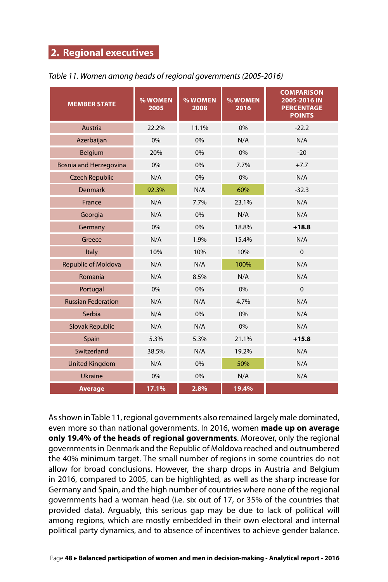### **2. Regional executives**

| <b>MEMBER STATE</b>       | % WOMEN<br>2005 | % WOMEN<br>2008 | % WOMEN<br>2016 | <b>COMPARISON</b><br>2005-2016 IN<br><b>PERCENTAGE</b><br><b>POINTS</b> |
|---------------------------|-----------------|-----------------|-----------------|-------------------------------------------------------------------------|
| Austria                   | 22.2%           | 11.1%           | 0%              | $-22.2$                                                                 |
| Azerbaijan                | 0%              | 0%              | N/A             | N/A                                                                     |
| Belgium                   | 20%             | 0%              | 0%              | $-20$                                                                   |
| Bosnia and Herzegovina    | 0%              | 0%              | 7.7%            | $+7.7$                                                                  |
| <b>Czech Republic</b>     | N/A             | 0%              | 0%              | N/A                                                                     |
| <b>Denmark</b>            | 92.3%           | N/A             | 60%             | $-32.3$                                                                 |
| France                    | N/A             | 7.7%            | 23.1%           | N/A                                                                     |
| Georgia                   | N/A             | 0%              | N/A             | N/A                                                                     |
| Germany                   | 0%              | 0%              | 18.8%           | $+18.8$                                                                 |
| Greece                    | N/A             | 1.9%            | 15.4%           | N/A                                                                     |
| <b>Italy</b>              | 10%             | 10%             | 10%             | $\mathbf 0$                                                             |
| Republic of Moldova       | N/A             | N/A             | 100%            | N/A                                                                     |
| Romania                   | N/A             | 8.5%            | N/A             | N/A                                                                     |
| Portugal                  | 0%              | 0%              | 0%              | $\mathbf{0}$                                                            |
| <b>Russian Federation</b> | N/A             | N/A             | 4.7%            | N/A                                                                     |
| Serbia                    | N/A             | 0%              | 0%              | N/A                                                                     |
| <b>Slovak Republic</b>    | N/A             | N/A             | 0%              | N/A                                                                     |
| Spain                     | 5.3%            | 5.3%            | 21.1%           | $+15.8$                                                                 |
| Switzerland               | 38.5%           | N/A             | 19.2%           | N/A                                                                     |
| <b>United Kingdom</b>     | N/A             | 0%              | 50%             | N/A                                                                     |
| <b>Ukraine</b>            | 0%              | 0%              | N/A             | N/A                                                                     |
| <b>Average</b>            | 17.1%           | 2.8%            | 19.4%           |                                                                         |

|  |  |  |  | Table 11. Women among heads of regional governments (2005-2016) |  |
|--|--|--|--|-----------------------------------------------------------------|--|
|--|--|--|--|-----------------------------------------------------------------|--|

As shown in Table 11, regional governments also remained largely male dominated, even more so than national governments. In 2016, women **made up on average only 19.4% of the heads of regional governments**. Moreover, only the regional governments in Denmark and the Republic of Moldova reached and outnumbered the 40% minimum target. The small number of regions in some countries do not allow for broad conclusions. However, the sharp drops in Austria and Belgium in 2016, compared to 2005, can be highlighted, as well as the sharp increase for Germany and Spain, and the high number of countries where none of the regional governments had a woman head (i.e. six out of 17, or 35% of the countries that provided data). Arguably, this serious gap may be due to lack of political will among regions, which are mostly embedded in their own electoral and internal political party dynamics, and to absence of incentives to achieve gender balance.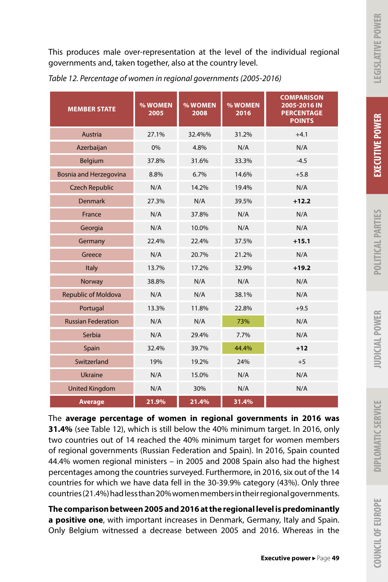This produces male over-representation at the level of the individual regional governments and, taken together, also at the country level.

| <b>MEMBER STATE</b>           | % WOMEN<br>2005 | % WOMEN<br>2008 | % WOMEN<br>2016 | <b>COMPARISON</b><br>2005-2016 IN<br><b>PERCENTAGE</b><br><b>POINTS</b> |
|-------------------------------|-----------------|-----------------|-----------------|-------------------------------------------------------------------------|
| <b>Austria</b>                | 27.1%           | 32.4%%          | 31.2%           | $+4.1$                                                                  |
| Azerbaijan                    | 0%              | 4.8%            | N/A             | N/A                                                                     |
| Belgium                       | 37.8%           | 31.6%           | 33.3%           | $-4.5$                                                                  |
| <b>Bosnia and Herzegovina</b> | 8.8%            | 6.7%            | 14.6%           | $+5.8$                                                                  |
| <b>Czech Republic</b>         | N/A             | 14.2%           | 19.4%           | N/A                                                                     |
| <b>Denmark</b>                | 27.3%           | N/A             | 39.5%           | $+12.2$                                                                 |
| France                        | N/A             | 37.8%           | N/A             | N/A                                                                     |
| Georgia                       | N/A             | 10.0%           | N/A             | N/A                                                                     |
| Germany                       | 22.4%           | 22.4%           | 37.5%           | $+15.1$                                                                 |
| Greece                        | N/A             | 20.7%           | 21.2%           | N/A                                                                     |
| Italy                         | 13.7%           | 17.2%           | 32.9%           | $+19.2$                                                                 |
| Norway                        | 38.8%           | N/A             | N/A             | N/A                                                                     |
| <b>Republic of Moldova</b>    | N/A             | N/A             | 38.1%           | N/A                                                                     |
| Portugal                      | 13.3%           | 11.8%           | 22.8%           | $+9.5$                                                                  |
| <b>Russian Federation</b>     | N/A             | N/A             | 73%             | N/A                                                                     |
| Serbia                        | N/A             | 29.4%           | 7.7%            | N/A                                                                     |
| Spain                         | 32.4%           | 39.7%           | 44.4%           | $+12$                                                                   |
| Switzerland                   | 19%             | 19.2%           | 24%             | $+5$                                                                    |
| Ukraine                       | N/A             | 15.0%           | N/A             | N/A                                                                     |
| <b>United Kingdom</b>         | N/A             | 30%             | N/A             | N/A                                                                     |
| <b>Average</b>                | 21.9%           | 21.4%           | 31.4%           |                                                                         |

*Table 12. Percentage of women in regional governments (2005-2016)*

The **average percentage of women in regional governments in 2016 was 31.4%** (see Table 12), which is still below the 40% minimum target. In 2016, only two countries out of 14 reached the 40% minimum target for women members of regional governments (Russian Federation and Spain). In 2016, Spain counted 44.4% women regional ministers – in 2005 and 2008 Spain also had the highest percentages among the countries surveyed. Furthermore, in 2016, six out of the 14 countries for which we have data fell in the 30-39.9% category (43%). Only three countries (21.4%) had less than 20% women members in their regional governments.

**The comparison between 2005 and 2016 at the regional level is predominantly a positive one**, with important increases in Denmark, Germany, Italy and Spain. Only Belgium witnessed a decrease between 2005 and 2016. Whereas in the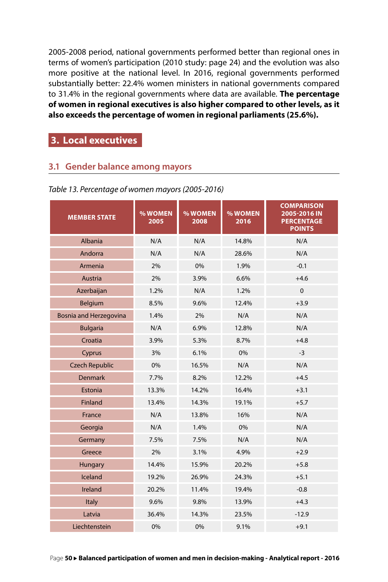2005-2008 period, national governments performed better than regional ones in terms of women's participation (2010 study: page 24) and the evolution was also more positive at the national level. In 2016, regional governments performed substantially better: 22.4% women ministers in national governments compared to 31.4% in the regional governments where data are available. **The percentage of women in regional executives is also higher compared to other levels, as it also exceeds the percentage of women in regional parliaments (25.6%).**

### **3. Local executives**

### **3.1 Gender balance among mayors**

| <b>MEMBER STATE</b>           | % WOMEN<br>2005 | % WOMEN<br>2008 | % WOMEN<br>2016 | <b>COMPARISON</b><br>2005-2016 IN<br><b>PERCENTAGE</b><br><b>POINTS</b> |
|-------------------------------|-----------------|-----------------|-----------------|-------------------------------------------------------------------------|
| Albania                       | N/A             | N/A             | 14.8%           | N/A                                                                     |
| Andorra                       | N/A             | N/A             | 28.6%           | N/A                                                                     |
| Armenia                       | 2%              | 0%              | 1.9%            | $-0.1$                                                                  |
| Austria                       | 2%              | 3.9%            | 6.6%            | $+4.6$                                                                  |
| Azerbaijan                    | 1.2%            | N/A             | 1.2%            | $\pmb{0}$                                                               |
| Belgium                       | 8.5%            | 9.6%            | 12.4%           | $+3.9$                                                                  |
| <b>Bosnia and Herzegovina</b> | 1.4%            | 2%              | N/A             | N/A                                                                     |
| <b>Bulgaria</b>               | N/A             | 6.9%            | 12.8%           | N/A                                                                     |
| Croatia                       | 3.9%            | 5.3%            | 8.7%            | $+4.8$                                                                  |
| Cyprus                        | 3%              | 6.1%            | 0%              | $-3$                                                                    |
| <b>Czech Republic</b>         | 0%              | 16.5%           | N/A             | N/A                                                                     |
| <b>Denmark</b>                | 7.7%            | 8.2%            | 12.2%           | $+4.5$                                                                  |
| Estonia                       | 13.3%           | 14.2%           | 16.4%           | $+3.1$                                                                  |
| <b>Finland</b>                | 13.4%           | 14.3%           | 19.1%           | $+5.7$                                                                  |
| France                        | N/A             | 13.8%           | 16%             | N/A                                                                     |
| Georgia                       | N/A             | 1.4%            | 0%              | N/A                                                                     |
| Germany                       | 7.5%            | 7.5%            | N/A             | N/A                                                                     |
| Greece                        | 2%              | 3.1%            | 4.9%            | $+2.9$                                                                  |
| Hungary                       | 14.4%           | 15.9%           | 20.2%           | $+5.8$                                                                  |
| Iceland                       | 19.2%           | 26.9%           | 24.3%           | $+5.1$                                                                  |
| Ireland                       | 20.2%           | 11.4%           | 19.4%           | $-0.8$                                                                  |
| Italy                         | 9.6%            | 9.8%            | 13.9%           | $+4.3$                                                                  |
| Latvia                        | 36.4%           | 14.3%           | 23.5%           | $-12.9$                                                                 |
| Liechtenstein                 | 0%              | 0%              | 9.1%            | $+9.1$                                                                  |

*Table 13. Percentage of women mayors (2005-2016)*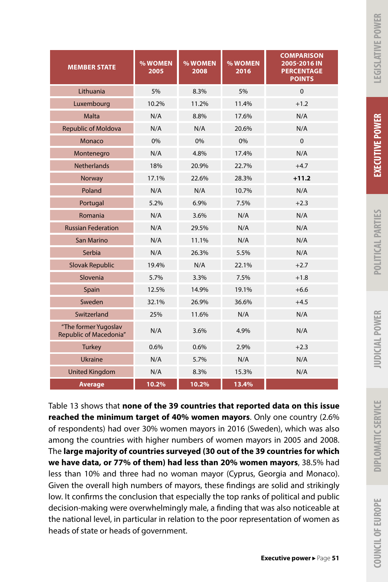| <b>MEMBER STATE</b>                            | % WOMEN<br>2005 | % WOMEN<br>2008 | % WOMEN<br>2016 | <b>COMPARISON</b><br>2005-2016 IN<br><b>PERCENTAGE</b><br><b>POINTS</b> |
|------------------------------------------------|-----------------|-----------------|-----------------|-------------------------------------------------------------------------|
| Lithuania                                      | 5%              | 8.3%            | 5%              | $\Omega$                                                                |
| Luxembourg                                     | 10.2%           | 11.2%           | 11.4%           | $+1.2$                                                                  |
| Malta                                          | N/A             | 8.8%            | 17.6%           | N/A                                                                     |
| <b>Republic of Moldova</b>                     | N/A             | N/A             | 20.6%           | N/A                                                                     |
| Monaco                                         | 0%              | 0%              | 0%              | $\Omega$                                                                |
| Montenegro                                     | N/A             | 4.8%            | 17.4%           | N/A                                                                     |
| <b>Netherlands</b>                             | 18%             | 20.9%           | 22.7%           | $+4.7$                                                                  |
| Norway                                         | 17.1%           | 22.6%           | 28.3%           | $+11.2$                                                                 |
| Poland                                         | N/A             | N/A             | 10.7%           | N/A                                                                     |
| Portugal                                       | 5.2%            | 6.9%            | 7.5%            | $+2.3$                                                                  |
| Romania                                        | N/A             | 3.6%            | N/A             | N/A                                                                     |
| <b>Russian Federation</b>                      | N/A             | 29.5%           | N/A             | N/A                                                                     |
| San Marino                                     | N/A             | 11.1%           | N/A             | N/A                                                                     |
| Serbia                                         | N/A             | 26.3%           | 5.5%            | N/A                                                                     |
| <b>Slovak Republic</b>                         | 19.4%           | N/A             | 22.1%           | $+2.7$                                                                  |
| Slovenia                                       | 5.7%            | 3.3%            | 7.5%            | $+1.8$                                                                  |
| Spain                                          | 12.5%           | 14.9%           | 19.1%           | $+6.6$                                                                  |
| Sweden                                         | 32.1%           | 26.9%           | 36.6%           | $+4.5$                                                                  |
| Switzerland                                    | 25%             | 11.6%           | N/A             | N/A                                                                     |
| "The former Yugoslav<br>Republic of Macedonia" | N/A             | 3.6%            | 4.9%            | N/A                                                                     |
| <b>Turkey</b>                                  | 0.6%            | 0.6%            | 2.9%            | $+2.3$                                                                  |
| Ukraine                                        | N/A             | 5.7%            | N/A             | N/A                                                                     |
| <b>United Kingdom</b>                          | N/A             | 8.3%            | 15.3%           | N/A                                                                     |
| <b>Average</b>                                 | 10.2%           | 10.2%           | 13.4%           |                                                                         |

Table 13 shows that **none of the 39 countries that reported data on this issue reached the minimum target of 40% women mayors**. Only one country (2.6% of respondents) had over 30% women mayors in 2016 (Sweden), which was also among the countries with higher numbers of women mayors in 2005 and 2008. The **large majority of countries surveyed (30 out of the 39 countries for which we have data, or 77% of them) had less than 20% women mayors**, 38.5% had less than 10% and three had no woman mayor (Cyprus, Georgia and Monaco). Given the overall high numbers of mayors, these findings are solid and strikingly low. It confirms the conclusion that especially the top ranks of political and public decision-making were overwhelmingly male, a finding that was also noticeable at the national level, in particular in relation to the poor representation of women as heads of state or heads of government.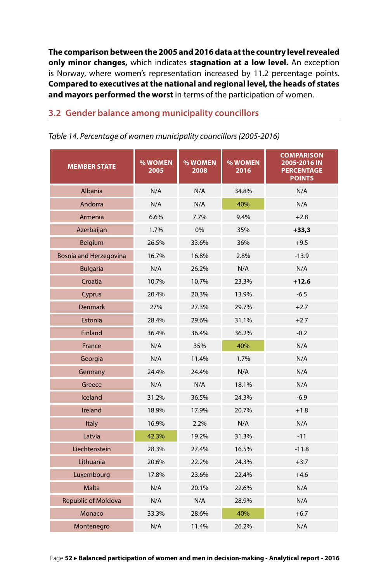**The comparison between the 2005 and 2016 data at the country level revealed only minor changes,** which indicates **stagnation at a low level.** An exception is Norway, where women's representation increased by 11.2 percentage points. **Compared to executives at the national and regional level, the heads of states and mayors performed the worst** in terms of the participation of women.

### **3.2 Gender balance among municipality councillors**

| <b>MEMBER STATE</b>           | % WOMEN<br>2005 | % WOMEN<br>2008 | % WOMEN<br>2016 | <b>COMPARISON</b><br>2005-2016 IN<br><b>PERCENTAGE</b><br><b>POINTS</b> |
|-------------------------------|-----------------|-----------------|-----------------|-------------------------------------------------------------------------|
| Albania                       | N/A             | N/A             | 34.8%           | N/A                                                                     |
| Andorra                       | N/A             | N/A             | 40%             | N/A                                                                     |
| Armenia                       | 6.6%            | 7.7%            | 9.4%            | $+2.8$                                                                  |
| Azerbaijan                    | 1.7%            | 0%              | 35%             | $+33,3$                                                                 |
| Belgium                       | 26.5%           | 33.6%           | 36%             | $+9.5$                                                                  |
| <b>Bosnia and Herzegovina</b> | 16.7%           | 16.8%           | 2.8%            | $-13.9$                                                                 |
| <b>Bulgaria</b>               | N/A             | 26.2%           | N/A             | N/A                                                                     |
| Croatia                       | 10.7%           | 10.7%           | 23.3%           | $+12.6$                                                                 |
| Cyprus                        | 20.4%           | 20.3%           | 13.9%           | $-6.5$                                                                  |
| <b>Denmark</b>                | 27%             | 27.3%           | 29.7%           | $+2.7$                                                                  |
| Estonia                       | 28.4%           | 29.6%           | 31.1%           | $+2.7$                                                                  |
| <b>Finland</b>                | 36.4%           | 36.4%           | 36.2%           | $-0.2$                                                                  |
| France                        | N/A             | 35%             | 40%             | N/A                                                                     |
| Georgia                       | N/A             | 11.4%           | 1.7%            | N/A                                                                     |
| Germany                       | 24.4%           | 24.4%           | N/A             | N/A                                                                     |
| Greece                        | N/A             | N/A             | 18.1%           | N/A                                                                     |
| Iceland                       | 31.2%           | 36.5%           | 24.3%           | $-6.9$                                                                  |
| Ireland                       | 18.9%           | 17.9%           | 20.7%           | $+1.8$                                                                  |
| <b>Italy</b>                  | 16.9%           | 2.2%            | N/A             | N/A                                                                     |
| Latvia                        | 42.3%           | 19.2%           | 31.3%           | $-11$                                                                   |
| Liechtenstein                 | 28.3%           | 27.4%           | 16.5%           | $-11.8$                                                                 |
| Lithuania                     | 20.6%           | 22.2%           | 24.3%           | $+3.7$                                                                  |
| Luxembourg                    | 17.8%           | 23.6%           | 22.4%           | $+4.6$                                                                  |
| Malta                         | N/A             | 20.1%           | 22.6%           | N/A                                                                     |
| <b>Republic of Moldova</b>    | N/A             | N/A             | 28.9%           | N/A                                                                     |
| Monaco                        | 33.3%           | 28.6%           | 40%             | $+6.7$                                                                  |
| Montenegro                    | N/A             | 11.4%           | 26.2%           | N/A                                                                     |

*Table 14. Percentage of women municipality councillors (2005-2016)*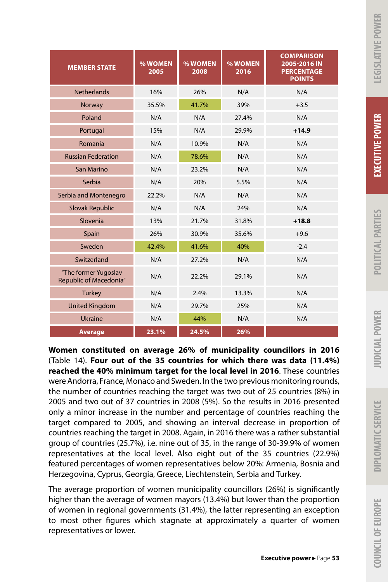| <b>MEMBER STATE</b>                            | % WOMEN<br>2005 | % WOMEN<br>2008 | % WOMEN<br>2016 | <b>COMPARISON</b><br>2005-2016 IN<br><b>PERCENTAGE</b><br><b>POINTS</b> |
|------------------------------------------------|-----------------|-----------------|-----------------|-------------------------------------------------------------------------|
| <b>Netherlands</b>                             | 16%             | 26%             | N/A             | N/A                                                                     |
| Norway                                         | 35.5%           | 41.7%           | 39%             | $+3.5$                                                                  |
| Poland                                         | N/A             | N/A             | 27.4%           | N/A                                                                     |
| Portugal                                       | 15%             | N/A             | 29.9%           | $+14.9$                                                                 |
| Romania                                        | N/A             | 10.9%           | N/A             | N/A                                                                     |
| <b>Russian Federation</b>                      | N/A             | 78.6%           | N/A             | N/A                                                                     |
| San Marino                                     | N/A             | 23.2%           | N/A             | N/A                                                                     |
| Serbia                                         | N/A             | 20%             | 5.5%            | N/A                                                                     |
| Serbia and Montenegro                          | 22.2%           | N/A             | N/A             | N/A                                                                     |
| <b>Slovak Republic</b>                         | N/A             | N/A             | 24%             | N/A                                                                     |
| Slovenia                                       | 13%             | 21.7%           | 31.8%           | $+18.8$                                                                 |
| Spain                                          | 26%             | 30.9%           | 35.6%           | $+9.6$                                                                  |
| Sweden                                         | 42.4%           | 41.6%           | 40%             | $-2.4$                                                                  |
| Switzerland                                    | N/A             | 27.2%           | N/A             | N/A                                                                     |
| "The former Yugoslav<br>Republic of Macedonia" | N/A             | 22.2%           | 29.1%           | N/A                                                                     |
| <b>Turkey</b>                                  | N/A             | 2.4%            | 13.3%           | N/A                                                                     |
| <b>United Kingdom</b>                          | N/A             | 29.7%           | 25%             | N/A                                                                     |
| Ukraine                                        | N/A             | 44%             | N/A             | N/A                                                                     |
| <b>Average</b>                                 | 23.1%           | 24.5%           | 26%             |                                                                         |

**Women constituted on average 26% of municipality councillors in 2016** (Table 14). **Four out of the 35 countries for which there was data (11.4%) reached the 40% minimum target for the local level in 2016**. These countries were Andorra, France, Monaco and Sweden. In the two previous monitoring rounds, the number of countries reaching the target was two out of 25 countries (8%) in 2005 and two out of 37 countries in 2008 (5%). So the results in 2016 presented only a minor increase in the number and percentage of countries reaching the target compared to 2005, and showing an interval decrease in proportion of countries reaching the target in 2008. Again, in 2016 there was a rather substantial group of countries (25.7%), i.e. nine out of 35, in the range of 30-39.9% of women representatives at the local level. Also eight out of the 35 countries (22.9%) featured percentages of women representatives below 20%: Armenia, Bosnia and Herzegovina, Cyprus, Georgia, Greece, Liechtenstein, Serbia and Turkey.

The average proportion of women municipality councillors (26%) is significantly higher than the average of women mayors (13.4%) but lower than the proportion of women in regional governments (31.4%), the latter representing an exception to most other figures which stagnate at approximately a quarter of women representatives or lower.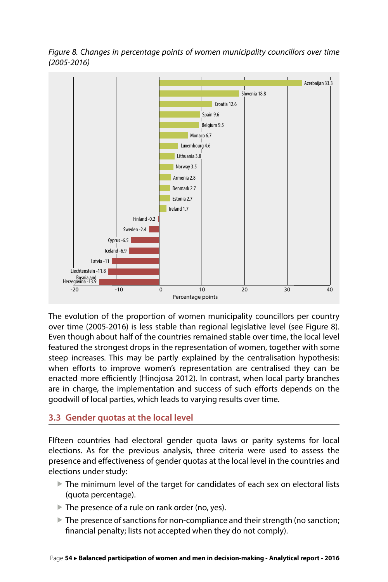



The evolution of the proportion of women municipality councillors per country over time (2005-2016) is less stable than regional legislative level (see Figure 8). Even though about half of the countries remained stable over time, the local level featured the strongest drops in the representation of women, together with some steep increases. This may be partly explained by the centralisation hypothesis: when efforts to improve women's representation are centralised they can be enacted more efficiently (Hinojosa 2012). In contrast, when local party branches are in charge, the implementation and success of such efforts depends on the goodwill of local parties, which leads to varying results over time.

### **3.3 Gender quotas at the local level**

FIfteen countries had electoral gender quota laws or parity systems for local elections. As for the previous analysis, three criteria were used to assess the presence and effectiveness of gender quotas at the local level in the countries and elections under study:

- $\blacktriangleright$  The minimum level of the target for candidates of each sex on electoral lists (quota percentage).
- $\blacktriangleright$  The presence of a rule on rank order (no, yes).
- $\blacktriangleright$  The presence of sanctions for non-compliance and their strength (no sanction; financial penalty; lists not accepted when they do not comply).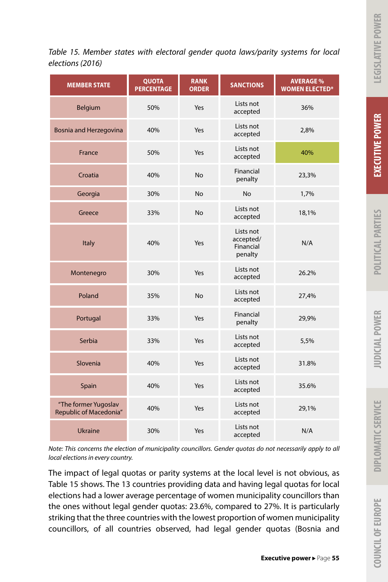*Table 15. Member states with electoral gender quota laws/parity systems for local elections (2016)*

| <b>MEMBER STATE</b>                            | QUOTA<br><b>PERCENTAGE</b> | <b>RANK</b><br><b>ORDER</b> | <b>SANCTIONS</b>                               | <b>AVERAGE %</b><br><b>WOMEN ELECTED*</b> |
|------------------------------------------------|----------------------------|-----------------------------|------------------------------------------------|-------------------------------------------|
| Belgium                                        | 50%                        | Yes                         | Lists not<br>accepted                          | 36%                                       |
| Bosnia and Herzegovina                         | 40%                        | Yes                         | Lists not<br>accepted                          | 2,8%                                      |
| France                                         | 50%                        | Yes                         | Lists not<br>accepted                          | 40%                                       |
| Croatia                                        | 40%                        | <b>No</b>                   | Financial<br>penalty                           | 23,3%                                     |
| Georgia                                        | 30%                        | <b>No</b>                   | <b>No</b>                                      | 1,7%                                      |
| Greece                                         | 33%                        | <b>No</b>                   | Lists not<br>accepted                          | 18,1%                                     |
| Italy                                          | 40%                        | Yes                         | Lists not<br>accepted/<br>Financial<br>penalty | N/A                                       |
| Montenegro                                     | 30%                        | Yes                         | Lists not<br>accepted                          | 26.2%                                     |
| Poland                                         | 35%                        | <b>No</b>                   | Lists not<br>accepted                          | 27,4%                                     |
| Portugal                                       | 33%                        | Yes                         | Financial<br>penalty                           | 29,9%                                     |
| Serbia                                         | 33%                        | Yes                         | Lists not<br>accepted                          | 5,5%                                      |
| Slovenia                                       | 40%                        | Yes                         | Lists not<br>accepted                          | 31.8%                                     |
| Spain                                          | 40%                        | Yes                         | Lists not<br>accepted                          | 35.6%                                     |
| "The former Yugoslav<br>Republic of Macedonia" | 40%                        | Yes                         | Lists not<br>accepted                          | 29,1%                                     |
| Ukraine                                        | 30%                        | Yes                         | Lists not<br>accepted                          | N/A                                       |

*Note: This concerns the election of municipality councillors. Gender quotas do not necessarily apply to all local elections in every country.*

The impact of legal quotas or parity systems at the local level is not obvious, as Table 15 shows. The 13 countries providing data and having legal quotas for local elections had a lower average percentage of women municipality councillors than the ones without legal gender quotas: 23.6%, compared to 27%. It is particularly striking that the three countries with the lowest proportion of women municipality councillors, of all countries observed, had legal gender quotas (Bosnia and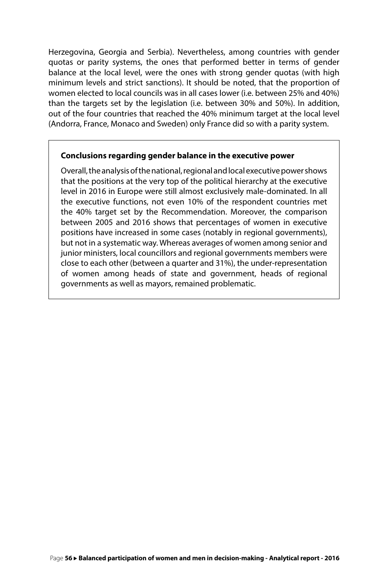Herzegovina, Georgia and Serbia). Nevertheless, among countries with gender quotas or parity systems, the ones that performed better in terms of gender balance at the local level, were the ones with strong gender quotas (with high minimum levels and strict sanctions). It should be noted, that the proportion of women elected to local councils was in all cases lower (i.e. between 25% and 40%) than the targets set by the legislation (i.e. between 30% and 50%). In addition, out of the four countries that reached the 40% minimum target at the local level (Andorra, France, Monaco and Sweden) only France did so with a parity system.

### **Conclusions regarding gender balance in the executive power**

Overall, the analysis of the national, regional and local executive power shows that the positions at the very top of the political hierarchy at the executive level in 2016 in Europe were still almost exclusively male-dominated. In all the executive functions, not even 10% of the respondent countries met the 40% target set by the Recommendation. Moreover, the comparison between 2005 and 2016 shows that percentages of women in executive positions have increased in some cases (notably in regional governments), but not in a systematic way. Whereas averages of women among senior and junior ministers, local councillors and regional governments members were close to each other (between a quarter and 31%), the under-representation of women among heads of state and government, heads of regional governments as well as mayors, remained problematic.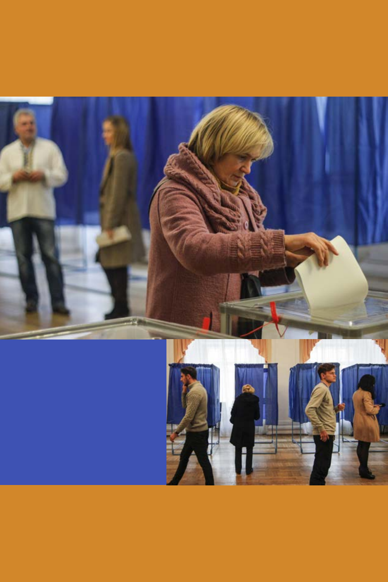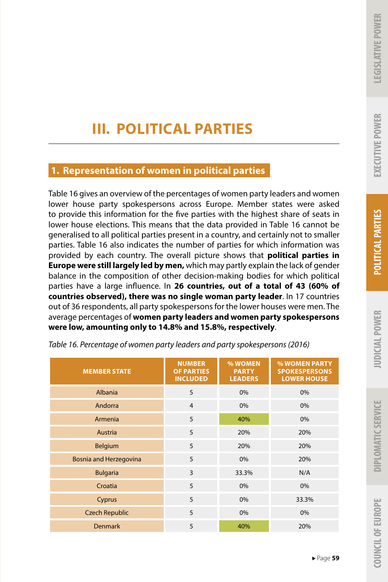# **III. POLITICAL PARTIES**

### **1. Representation of women in political parties**

Table 16 gives an overview of the percentages of women party leaders and women lower house party spokespersons across Europe. Member states were asked to provide this information for the five parties with the highest share of seats in lower house elections. This means that the data provided in Table 16 cannot be generalised to all political parties present in a country, and certainly not to smaller parties. Table 16 also indicates the number of parties for which information was provided by each country. The overall picture shows that **political parties in Europe were still largely led by men,** which may partly explain the lack of gender balance in the composition of other decision-making bodies for which political parties have a large influence. In **26 countries, out of a total of 43 (60% of countries observed), there was no single woman party leader**. In 17 countries out of 36 respondents, all party spokespersons for the lower houses were men. The average percentages of **women party leaders and women party spokespersons were low, amounting only to 14.8% and 15.8%, respectively**.

| <b>MEMBER STATE</b>           | <b>NUMBER</b><br><b>OF PARTIES</b><br><b>INCLUDED</b> | % WOMEN<br><b>PARTY</b><br><b>LEADERS</b> | % WOMEN PARTY<br><b>SPOKESPERSONS</b><br><b>LOWER HOUSE</b> |
|-------------------------------|-------------------------------------------------------|-------------------------------------------|-------------------------------------------------------------|
| Albania                       | 5                                                     | $0\%$                                     | 0%                                                          |
| Andorra                       | $\overline{4}$                                        | 0%                                        | 0%                                                          |
| Armenia                       | 5                                                     | 40%                                       | 0%                                                          |
| Austria                       | 5                                                     | 20%                                       | 20%                                                         |
| Belgium                       | 5                                                     | 20%                                       | 20%                                                         |
| <b>Bosnia and Herzegovina</b> | 5                                                     | 0%                                        | 20%                                                         |
| <b>Bulgaria</b>               | 3                                                     | 33.3%                                     | N/A                                                         |
| Croatia                       | 5                                                     | 0%                                        | 0%                                                          |
| Cyprus                        | 5                                                     | $0\%$                                     | 33.3%                                                       |
| <b>Czech Republic</b>         | 5                                                     | 0%                                        | 0%                                                          |
| <b>Denmark</b>                | 5                                                     | 40%                                       | 20%                                                         |

*Table 16. Percentage of women party leaders and party spokespersons (2016)*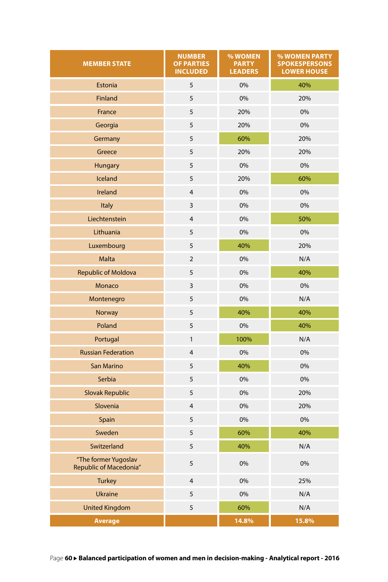| <b>MEMBER STATE</b>                            | <b>NUMBER</b><br>% WOMEN<br><b>OF PARTIES</b><br><b>PARTY</b><br><b>INCLUDED</b><br><b>LEADERS</b> |       | % WOMEN PARTY<br><b>SPOKESPERSONS</b><br><b>LOWER HOUSE</b> |
|------------------------------------------------|----------------------------------------------------------------------------------------------------|-------|-------------------------------------------------------------|
| Estonia                                        | 5                                                                                                  | 0%    | 40%                                                         |
| <b>Finland</b>                                 | 5                                                                                                  | 0%    | 20%                                                         |
| France                                         | 5                                                                                                  | 20%   | 0%                                                          |
| Georgia                                        | 5                                                                                                  | 20%   | 0%                                                          |
| Germany                                        | 5                                                                                                  | 60%   | 20%                                                         |
| Greece                                         | 5                                                                                                  | 20%   | 20%                                                         |
| Hungary                                        | 5                                                                                                  | $0\%$ | 0%                                                          |
| Iceland                                        | 5                                                                                                  | 20%   | 60%                                                         |
| Ireland                                        | 4                                                                                                  | 0%    | 0%                                                          |
| <b>Italy</b>                                   | 3                                                                                                  | 0%    | 0%                                                          |
| Liechtenstein                                  | $\overline{4}$                                                                                     | 0%    | 50%                                                         |
| Lithuania                                      | 5                                                                                                  | 0%    | 0%                                                          |
| Luxembourg                                     | 5                                                                                                  | 40%   | 20%                                                         |
| Malta                                          | $\overline{2}$                                                                                     | $0\%$ | N/A                                                         |
| <b>Republic of Moldova</b>                     | 5                                                                                                  | 0%    | 40%                                                         |
| Monaco                                         | 3                                                                                                  | 0%    | 0%                                                          |
| Montenegro                                     | 5                                                                                                  | 0%    | N/A                                                         |
| Norway                                         | 5                                                                                                  | 40%   | 40%                                                         |
| Poland                                         | 5                                                                                                  | 0%    | 40%                                                         |
| Portugal                                       | $\mathbf{1}$                                                                                       | 100%  | N/A                                                         |
| <b>Russian Federation</b>                      | 4                                                                                                  | 0%    | 0%                                                          |
| San Marino                                     | 5                                                                                                  | 40%   | 0%                                                          |
| <b>Serbia</b>                                  | 5                                                                                                  | 0%    | 0%                                                          |
| <b>Slovak Republic</b>                         | 5                                                                                                  | 0%    | 20%                                                         |
| Slovenia                                       | 4                                                                                                  | 0%    | 20%                                                         |
| Spain                                          | 5                                                                                                  | 0%    | 0%                                                          |
| Sweden                                         | 5                                                                                                  | 60%   | 40%                                                         |
| Switzerland                                    | 5                                                                                                  | 40%   | N/A                                                         |
| "The former Yugoslav<br>Republic of Macedonia" | 5                                                                                                  | 0%    | 0%                                                          |
| <b>Turkey</b>                                  | $\overline{4}$                                                                                     | $0\%$ | 25%                                                         |
| <b>Ukraine</b>                                 | $\sqrt{5}$                                                                                         | $0\%$ | N/A                                                         |
| <b>United Kingdom</b>                          | 5                                                                                                  | 60%   | N/A                                                         |
| <b>Average</b>                                 |                                                                                                    | 14.8% | 15.8%                                                       |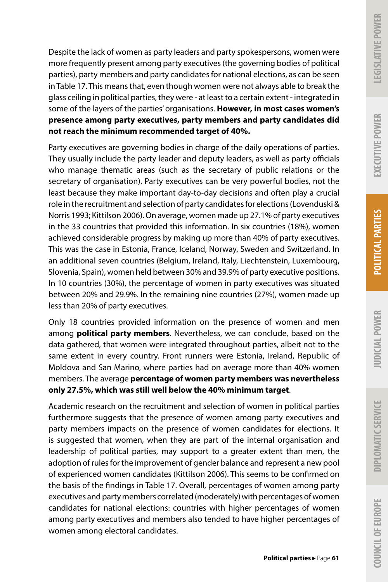**COUNCIL OF EUROPE EXECUTIVE POWER DIPLOMATIC SERVICE** DIPLOMATIC SERVICE

Despite the lack of women as party leaders and party spokespersons, women were more frequently present among party executives (the governing bodies of political parties), party members and party candidates for national elections, as can be seen in Table 17. This means that, even though women were not always able to break the glass ceiling in political parties, they were - at least to a certain extent - integrated in some of the layers of the parties' organisations. **However, in most cases women's presence among party executives, party members and party candidates did not reach the minimum recommended target of 40%.** 

Party executives are governing bodies in charge of the daily operations of parties. They usually include the party leader and deputy leaders, as well as party officials who manage thematic areas (such as the secretary of public relations or the secretary of organisation). Party executives can be very powerful bodies, not the least because they make important day-to-day decisions and often play a crucial role in the recruitment and selection of party candidates for elections (Lovenduski & Norris 1993; Kittilson 2006). On average, women made up 27.1% of party executives in the 33 countries that provided this information. In six countries (18%), women achieved considerable progress by making up more than 40% of party executives. This was the case in Estonia, France, Iceland, Norway, Sweden and Switzerland. In an additional seven countries (Belgium, Ireland, Italy, Liechtenstein, Luxembourg, Slovenia, Spain), women held between 30% and 39.9% of party executive positions. In 10 countries (30%), the percentage of women in party executives was situated between 20% and 29.9%. In the remaining nine countries (27%), women made up less than 20% of party executives.

Only 18 countries provided information on the presence of women and men among **political party members**. Nevertheless, we can conclude, based on the data gathered, that women were integrated throughout parties, albeit not to the same extent in every country. Front runners were Estonia, Ireland, Republic of Moldova and San Marino, where parties had on average more than 40% women members. The average **percentage of women party members was nevertheless only 27.5%, which was still well below the 40% minimum target**.

Academic research on the recruitment and selection of women in political parties furthermore suggests that the presence of women among party executives and party members impacts on the presence of women candidates for elections. It is suggested that women, when they are part of the internal organisation and leadership of political parties, may support to a greater extent than men, the adoption of rules for the improvement of gender balance and represent a new pool of experienced women candidates (Kittilson 2006). This seems to be confirmed on the basis of the findings in Table 17. Overall, percentages of women among party executives and party members correlated (moderately) with percentages of women candidates for national elections: countries with higher percentages of women among party executives and members also tended to have higher percentages of women among electoral candidates.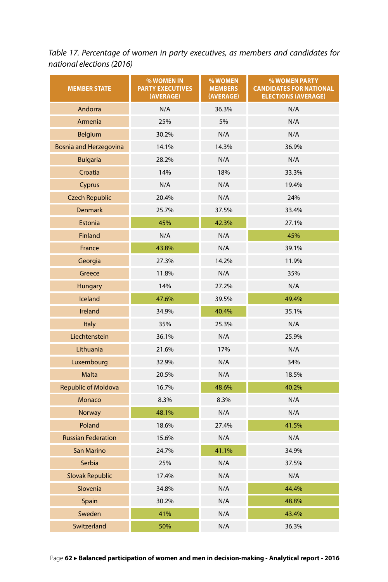*Table 17. Percentage of women in party executives, as members and candidates for national elections (2016)*

| <b>MEMBER STATE</b>           | % WOMEN IN<br><b>PARTY EXECUTIVES</b><br>(AVERAGE) | % WOMEN<br><b>MEMBERS</b><br>(AVERAGE) | % WOMEN PARTY<br><b>CANDIDATES FOR NATIONAL</b><br><b>ELECTIONS (AVERAGE)</b> |
|-------------------------------|----------------------------------------------------|----------------------------------------|-------------------------------------------------------------------------------|
| Andorra                       | N/A                                                | 36.3%                                  | N/A                                                                           |
| Armenia                       | 25%                                                | 5%                                     | N/A                                                                           |
| Belgium                       | 30.2%                                              | N/A                                    | N/A                                                                           |
| <b>Bosnia and Herzegovina</b> | 14.1%                                              | 14.3%                                  | 36.9%                                                                         |
| <b>Bulgaria</b>               | 28.2%                                              | N/A                                    | N/A                                                                           |
| Croatia                       | 14%                                                | 18%                                    | 33.3%                                                                         |
| Cyprus                        | N/A                                                | N/A                                    | 19.4%                                                                         |
| <b>Czech Republic</b>         | 20.4%                                              | N/A                                    | 24%                                                                           |
| <b>Denmark</b>                | 25.7%                                              | 37.5%                                  | 33.4%                                                                         |
| Estonia                       | 45%                                                | 42.3%                                  | 27.1%                                                                         |
| <b>Finland</b>                | N/A                                                | N/A                                    | 45%                                                                           |
| France                        | 43.8%                                              | N/A                                    | 39.1%                                                                         |
| Georgia                       | 27.3%                                              | 14.2%                                  | 11.9%                                                                         |
| Greece                        | 11.8%                                              | N/A                                    | 35%                                                                           |
| <b>Hungary</b>                | 14%                                                | 27.2%                                  | N/A                                                                           |
| Iceland                       | 47.6%                                              | 39.5%                                  | 49.4%                                                                         |
| Ireland                       | 34.9%                                              | 40.4%                                  | 35.1%                                                                         |
| <b>Italy</b>                  | 35%                                                | 25.3%                                  | N/A                                                                           |
| Liechtenstein                 | 36.1%                                              | N/A                                    | 25.9%                                                                         |
| Lithuania                     | 21.6%                                              | 17%                                    | N/A                                                                           |
| Luxembourg                    | 32.9%                                              | N/A                                    | 34%                                                                           |
| Malta                         | 20.5%                                              | N/A                                    | 18.5%                                                                         |
| <b>Republic of Moldova</b>    | 16.7%                                              | 48.6%                                  | 40.2%                                                                         |
| Monaco                        | 8.3%                                               | 8.3%                                   | N/A                                                                           |
| Norway                        | 48.1%                                              | N/A                                    | N/A                                                                           |
| Poland                        | 18.6%                                              | 27.4%                                  | 41.5%                                                                         |
| <b>Russian Federation</b>     | 15.6%                                              | N/A                                    | N/A                                                                           |
| San Marino                    | 24.7%                                              | 41.1%                                  | 34.9%                                                                         |
| Serbia                        | 25%                                                | N/A                                    | 37.5%                                                                         |
| <b>Slovak Republic</b>        | 17.4%                                              | N/A                                    | N/A                                                                           |
| Slovenia                      | 34.8%                                              | N/A                                    | 44.4%                                                                         |
| Spain                         | 30.2%                                              | N/A                                    | 48.8%                                                                         |
| Sweden                        | 41%                                                | N/A                                    | 43.4%                                                                         |
| Switzerland                   | 50%                                                | N/A                                    | 36.3%                                                                         |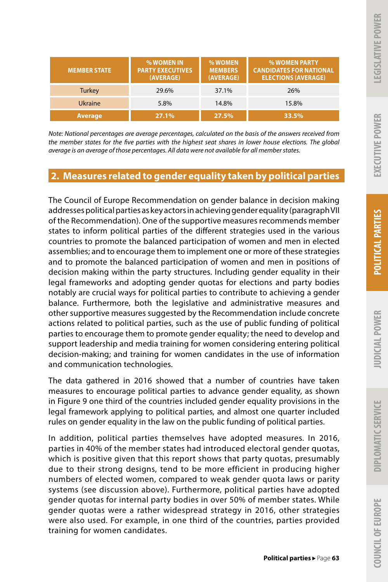| <b>MEMBER STATE</b> | % WOMEN IN<br><b>PARTY EXECUTIVES</b><br>(AVERAGE) | % WOMEN<br><b>MEMBERS</b><br>(AVERAGE) | <b>% WOMEN PARTY</b><br><b>CANDIDATES FOR NATIONAL</b><br><b>ELECTIONS (AVERAGE)</b> |
|---------------------|----------------------------------------------------|----------------------------------------|--------------------------------------------------------------------------------------|
| <b>Turkey</b>       | 29.6%                                              | 37.1%                                  | 26%                                                                                  |
| Ukraine             | 5.8%                                               | 14.8%                                  | 15.8%                                                                                |
| Average             | 27.1%                                              | 27.5%                                  | 33.5%                                                                                |

*Note: National percentages are average percentages, calculated on the basis of the answers received from the member states for the five parties with the highest seat shares in lower house elections. The global average is an average of those percentages. All data were not available for all member states.*

### **2. Measures related to gender equality taken by political parties**

The Council of Europe Recommendation on gender balance in decision making addresses political parties as key actors in achieving gender equality (paragraph VII of the Recommendation). One of the supportive measures recommends member states to inform political parties of the different strategies used in the various countries to promote the balanced participation of women and men in elected assemblies; and to encourage them to implement one or more of these strategies and to promote the balanced participation of women and men in positions of decision making within the party structures. Including gender equality in their legal frameworks and adopting gender quotas for elections and party bodies notably are crucial ways for political parties to contribute to achieving a gender balance. Furthermore, both the legislative and administrative measures and other supportive measures suggested by the Recommendation include concrete actions related to political parties, such as the use of public funding of political parties to encourage them to promote gender equality; the need to develop and support leadership and media training for women considering entering political decision-making; and training for women candidates in the use of information and communication technologies.

The data gathered in 2016 showed that a number of countries have taken measures to encourage political parties to advance gender equality, as shown in Figure 9 one third of the countries included gender equality provisions in the legal framework applying to political parties, and almost one quarter included rules on gender equality in the law on the public funding of political parties.

In addition, political parties themselves have adopted measures. In 2016, parties in 40% of the member states had introduced electoral gender quotas, which is positive given that this report shows that party quotas, presumably due to their strong designs, tend to be more efficient in producing higher numbers of elected women, compared to weak gender quota laws or parity systems (see discussion above). Furthermore, political parties have adopted gender quotas for internal party bodies in over 50% of member states. While gender quotas were a rather widespread strategy in 2016, other strategies were also used. For example, in one third of the countries, parties provided training for women candidates.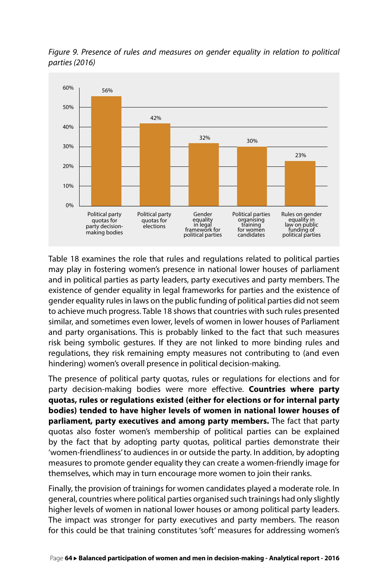

*Figure 9. Presence of rules and measures on gender equality in relation to political parties (2016)*

Table 18 examines the role that rules and regulations related to political parties may play in fostering women's presence in national lower houses of parliament and in political parties as party leaders, party executives and party members. The existence of gender equality in legal frameworks for parties and the existence of gender equality rules in laws on the public funding of political parties did not seem to achieve much progress. Table 18 shows that countries with such rules presented similar, and sometimes even lower, levels of women in lower houses of Parliament and party organisations. This is probably linked to the fact that such measures risk being symbolic gestures. If they are not linked to more binding rules and regulations, they risk remaining empty measures not contributing to (and even hindering) women's overall presence in political decision-making.

The presence of political party quotas, rules or regulations for elections and for party decision-making bodies were more effective. **Countries where party quotas, rules or regulations existed (either for elections or for internal party bodies) tended to have higher levels of women in national lower houses of parliament, party executives and among party members.** The fact that party quotas also foster women's membership of political parties can be explained by the fact that by adopting party quotas, political parties demonstrate their 'women-friendliness' to audiences in or outside the party. In addition, by adopting measures to promote gender equality they can create a women-friendly image for themselves, which may in turn encourage more women to join their ranks.

Finally, the provision of trainings for women candidates played a moderate role. In general, countries where political parties organised such trainings had only slightly higher levels of women in national lower houses or among political party leaders. The impact was stronger for party executives and party members. The reason for this could be that training constitutes 'soft' measures for addressing women's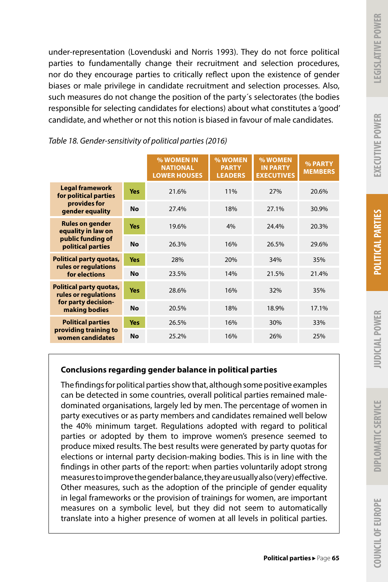under-representation (Lovenduski and Norris 1993). They do not force political parties to fundamentally change their recruitment and selection procedures, nor do they encourage parties to critically reflect upon the existence of gender biases or male privilege in candidate recruitment and selection processes. Also, such measures do not change the position of the party´s selectorates (the bodies responsible for selecting candidates for elections) about what constitutes a 'good' candidate, and whether or not this notion is biased in favour of male candidates.

|                                                        |            | % WOMEN IN<br><b>NATIONAL</b><br><b>LOWER HOUSES</b> | % WOMEN<br><b>PARTY</b><br><b>LEADERS</b> | % WOMEN<br><b>IN PARTY</b><br><b>EXECUTIVES</b> | % PARTY<br><b>MEMBERS</b> |
|--------------------------------------------------------|------------|------------------------------------------------------|-------------------------------------------|-------------------------------------------------|---------------------------|
| <b>Legal framework</b><br>for political parties        | <b>Yes</b> | 21.6%                                                | 11%                                       | 27%                                             | 20.6%                     |
| provides for<br>gender equality                        | <b>No</b>  | 27.4%                                                | 18%                                       | 27.1%                                           | 30.9%                     |
| <b>Rules on gender</b><br>equality in law on           | Yes        | 19.6%                                                | 4%                                        | 24.4%                                           | 20.3%                     |
| public funding of<br>political parties                 | No         | 26.3%                                                | 16%                                       | 26.5%                                           | 29.6%                     |
| Political party quotas,<br>rules or regulations        | <b>Yes</b> | 28%                                                  | 20%                                       | 34%                                             | 35%                       |
| for elections                                          | <b>No</b>  | 23.5%                                                | 14%                                       | 21.5%                                           | 21.4%                     |
| <b>Political party quotas,</b><br>rules or regulations | <b>Yes</b> | 28.6%                                                | 16%                                       | 32%                                             | 35%                       |
| for party decision-<br>making bodies                   | <b>No</b>  | 20.5%                                                | 18%                                       | 18.9%                                           | 17.1%                     |
| <b>Political parties</b>                               | <b>Yes</b> | 26.5%                                                | 16%                                       | 30%                                             | 33%                       |
| providing training to<br>women candidates              | <b>No</b>  | 25.2%                                                | 16%                                       | 26%                                             | 25%                       |

*Table 18. Gender-sensitivity of political parties (2016)*

### **Conclusions regarding gender balance in political parties**

The findings for political parties show that, although some positive examples can be detected in some countries, overall political parties remained maledominated organisations, largely led by men. The percentage of women in party executives or as party members and candidates remained well below the 40% minimum target. Regulations adopted with regard to political parties or adopted by them to improve women's presence seemed to produce mixed results. The best results were generated by party quotas for elections or internal party decision-making bodies. This is in line with the findings in other parts of the report: when parties voluntarily adopt strong measures to improve the gender balance, they are usually also (very) effective. Other measures, such as the adoption of the principle of gender equality in legal frameworks or the provision of trainings for women, are important measures on a symbolic level, but they did not seem to automatically translate into a higher presence of women at all levels in political parties.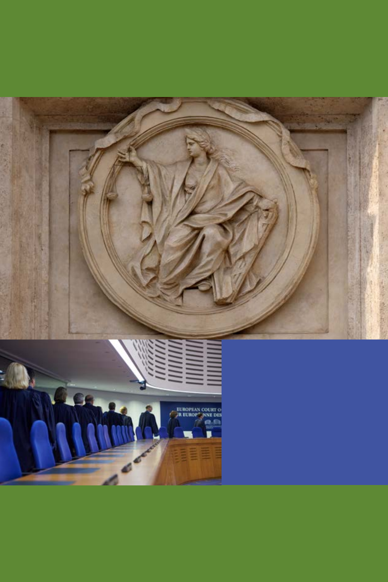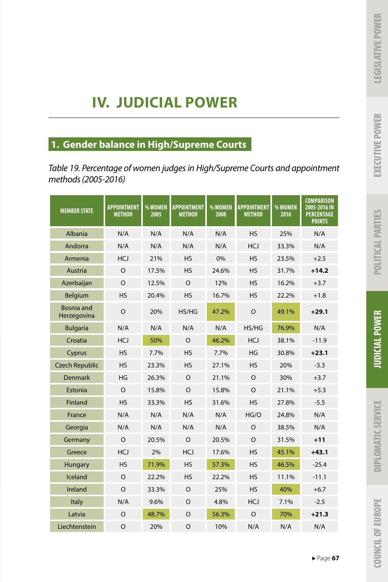# EXECUTIVE POWER

# **IV. JUDICIAL POWER**

### **1. Gender balance in High/Supreme Courts**

*Table 19. Percentage of women judges in High/Supreme Courts and appointment methods (2005-2016)*

| <b>MEMBER STATE</b>              | <b>APPOINTMENT</b><br><b>METHOD</b> | % WOMEN<br>2005 | <b>APPOINTMENT</b><br><b>METHOD</b> | % WOMEN<br>2008 | <b>APPOINTMENT</b><br><b>METHOD</b> | % WOMEN<br>2016 | <b>COMPARISON</b><br>2005-2016 IN<br><b>PERCENTAGE</b><br><b>POINTS</b> |
|----------------------------------|-------------------------------------|-----------------|-------------------------------------|-----------------|-------------------------------------|-----------------|-------------------------------------------------------------------------|
| Albania                          | N/A                                 | N/A             | N/A                                 | N/A             | <b>HS</b>                           | 25%             | N/A                                                                     |
| Andorra                          | N/A                                 | N/A             | N/A                                 | N/A             | <b>HCJ</b>                          | 33.3%           | N/A                                                                     |
| Armenia                          | <b>HCJ</b>                          | 21%             | <b>HS</b>                           | 0%              | <b>HS</b>                           | 23.5%           | $+2.5$                                                                  |
| Austria                          | $\circ$                             | 17.5%           | <b>HS</b>                           | 24.6%           | <b>HS</b>                           | 31.7%           | $+14.2$                                                                 |
| Azerbaijan                       | $\circ$                             | 12.5%           | $\circ$                             | 12%             | <b>HS</b>                           | 16.2%           | $+3.7$                                                                  |
| Belgium                          | <b>HS</b>                           | 20.4%           | <b>HS</b>                           | 16.7%           | <b>HS</b>                           | 22.2%           | $+1.8$                                                                  |
| <b>Bosnia and</b><br>Herzegovina | $\circ$                             | 20%             | HS/HG                               | 47.2%           | $\circ$                             | 49.1%           | $+29.1$                                                                 |
| <b>Bulgaria</b>                  | N/A                                 | N/A             | N/A                                 | N/A             | HS/HG                               | 76.9%           | N/A                                                                     |
| Croatia                          | <b>HCJ</b>                          | 50%             | O                                   | 46.2%           | <b>HCJ</b>                          | 38.1%           | $-11.9$                                                                 |
| Cyprus                           | HS                                  | 7.7%            | <b>HS</b>                           | 7.7%            | HG                                  | 30.8%           | $+23.1$                                                                 |
| <b>Czech Republic</b>            | <b>HS</b>                           | 23.3%           | <b>HS</b>                           | 27.1%           | <b>HS</b>                           | 20%             | $-3.3$                                                                  |
| <b>Denmark</b>                   | HG                                  | 26.3%           | $\circ$                             | 21.1%           | $\circ$                             | 30%             | $+3.7$                                                                  |
| Estonia                          | O                                   | 15.8%           | O                                   | 15.8%           | O                                   | 21.1%           | $+5.3$                                                                  |
| <b>Finland</b>                   | <b>HS</b>                           | 33.3%           | <b>HS</b>                           | 31.6%           | <b>HS</b>                           | 27.8%           | $-5.5$                                                                  |
| France                           | N/A                                 | N/A             | N/A                                 | N/A             | HG/O                                | 24.8%           | N/A                                                                     |
| Georgia                          | N/A                                 | N/A             | N/A                                 | N/A             | $\circ$                             | 38.5%           | N/A                                                                     |
| Germany                          | $\Omega$                            | 20.5%           | $\circ$                             | 20.5%           | $\Omega$                            | 31.5%           | $+11$                                                                   |
| Greece                           | <b>HCJ</b>                          | 2%              | HCJ                                 | 17.6%           | HS                                  | 45.1%           | $+43.1$                                                                 |
| Hungary                          | <b>HS</b>                           | 71.9%           | <b>HS</b>                           | 57.3%           | <b>HS</b>                           | 46.5%           | $-25.4$                                                                 |
| Iceland                          | $\circ$                             | 22.2%           | <b>HS</b>                           | 22.2%           | <b>HS</b>                           | 11.1%           | $-11.1$                                                                 |
| Ireland                          | $\circ$                             | 33.3%           | O                                   | 25%             | <b>HS</b>                           | 40%             | $+6.7$                                                                  |
| Italy                            | N/A                                 | 9.6%            | O                                   | 4.8%            | HCJ                                 | 7.1%            | $-2.5$                                                                  |
| Latvia                           | $\circ$                             | 48.7%           | $\circ$                             | 56.3%           | $\Omega$                            | 70%             | $+21.3$                                                                 |
| Liechtenstein                    | $\circ$                             | 20%             | $\circ$                             | 10%             | N/A                                 | N/A             | N/A                                                                     |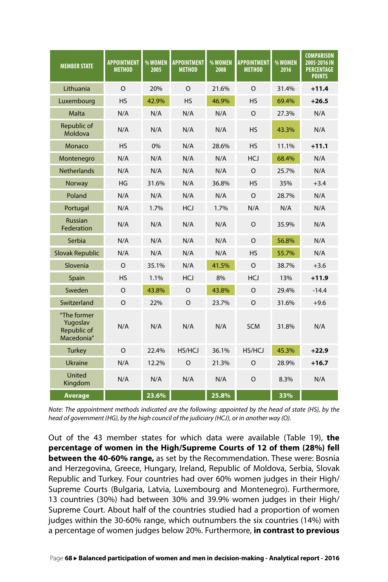| <b>MEMBER STATE</b>                                  | <b>APPOINTMENT</b><br><b>METHOD</b> | %WOMEN<br>2005 | <b>APPOINTMENT</b><br><b>METHOD</b> | % WOMEN<br>2008 | <b>APPOINTMENT</b><br><b>METHOD</b> | % WOMEN<br>2016 | <b>COMPARISON</b><br>2005-2016 IN<br><b>PERCENTAGE</b><br><b>POINTS</b> |
|------------------------------------------------------|-------------------------------------|----------------|-------------------------------------|-----------------|-------------------------------------|-----------------|-------------------------------------------------------------------------|
| Lithuania                                            | $\Omega$                            | 20%            | $\Omega$                            | 21.6%           | $\Omega$                            | 31.4%           | $+11.4$                                                                 |
| Luxembourg                                           | <b>HS</b>                           | 42.9%          | HS                                  | 46.9%           | <b>HS</b>                           | 69.4%           | $+26.5$                                                                 |
| Malta                                                | N/A                                 | N/A            | N/A                                 | N/A             | O                                   | 27.3%           | N/A                                                                     |
| Republic of<br>Moldova                               | N/A                                 | N/A            | N/A                                 | N/A             | <b>HS</b>                           | 43.3%           | N/A                                                                     |
| Monaco                                               | <b>HS</b>                           | 0%             | N/A                                 | 28.6%           | <b>HS</b>                           | 11.1%           | $+11.1$                                                                 |
| Montenegro                                           | N/A                                 | N/A            | N/A                                 | N/A             | HCJ                                 | 68.4%           | N/A                                                                     |
| <b>Netherlands</b>                                   | N/A                                 | N/A            | N/A                                 | N/A             | $\circ$                             | 25.7%           | N/A                                                                     |
| Norway                                               | HG                                  | 31.6%          | N/A                                 | 36.8%           | <b>HS</b>                           | 35%             | $+3.4$                                                                  |
| Poland                                               | N/A                                 | N/A            | N/A                                 | N/A             | $\circ$                             | 28.7%           | N/A                                                                     |
| Portugal                                             | N/A                                 | 1.7%           | <b>HCJ</b>                          | 1.7%            | N/A                                 | N/A             | N/A                                                                     |
| <b>Russian</b><br>Federation                         | N/A                                 | N/A            | N/A                                 | N/A             | $\Omega$                            | 35.9%           | N/A                                                                     |
| Serbia                                               | N/A                                 | N/A            | N/A                                 | N/A             | $\circ$                             | 56.8%           | N/A                                                                     |
| <b>Slovak Republic</b>                               | N/A                                 | N/A            | N/A                                 | N/A             | <b>HS</b>                           | 55.7%           | N/A                                                                     |
| Slovenia                                             | $\circ$                             | 35.1%          | N/A                                 | 41.5%           | $\circ$                             | 38.7%           | $+3.6$                                                                  |
| Spain                                                | HS                                  | 1.1%           | <b>HCJ</b>                          | 8%              | HCJ                                 | 13%             | $+11.9$                                                                 |
| Sweden                                               | O                                   | 43.8%          | O                                   | 43.8%           | O                                   | 29.4%           | $-14.4$                                                                 |
| Switzerland                                          | O                                   | 22%            | $\Omega$                            | 23.7%           | $\Omega$                            | 31.6%           | $+9.6$                                                                  |
| "The former<br>Yugoslav<br>Republic of<br>Macedonia" | N/A                                 | N/A            | N/A                                 | N/A             | <b>SCM</b>                          | 31.8%           | N/A                                                                     |
| <b>Turkey</b>                                        | $\circ$                             | 22.4%          | <b>HS/HCJ</b>                       | 36.1%           | HS/HCJ                              | 45.3%           | $+22.9$                                                                 |
| Ukraine                                              | N/A                                 | 12.2%          | O                                   | 21.3%           | O                                   | 28.9%           | $+16.7$                                                                 |
| <b>United</b><br>Kingdom                             | N/A                                 | N/A            | N/A                                 | N/A             | $\circ$                             | 8.3%            | N/A                                                                     |
| <b>Average</b>                                       |                                     | 23.6%          |                                     | 25.8%           |                                     | 33%             |                                                                         |

*Note: The appointment methods indicated are the following: appointed by the head of state (HS), by the head of government (HG), by the high council of the judiciary (HCJ), or in another way (O).* 

Out of the 43 member states for which data were available (Table 19), **the percentage of women in the High/Supreme Courts of 12 of them (28%) fell between the 40-60% range,** as set by the Recommendation. These were: Bosnia and Herzegovina, Greece, Hungary, Ireland, Republic of Moldova, Serbia, Slovak Republic and Turkey. Four countries had over 60% women judges in their High/ Supreme Courts (Bulgaria, Latvia, Luxembourg and Montenegro). Furthermore, 13 countries (30%) had between 30% and 39.9% women judges in their High/ Supreme Court. About half of the countries studied had a proportion of women judges within the 30-60% range, which outnumbers the six countries (14%) with a percentage of women judges below 20%. Furthermore, **in contrast to previous**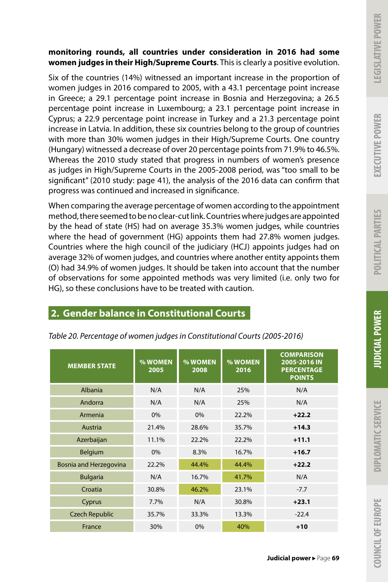### **monitoring rounds, all countries under consideration in 2016 had some women judges in their High/Supreme Courts**. This is clearly a positive evolution.

Six of the countries (14%) witnessed an important increase in the proportion of women judges in 2016 compared to 2005, with a 43.1 percentage point increase in Greece; a 29.1 percentage point increase in Bosnia and Herzegovina; a 26.5 percentage point increase in Luxembourg; a 23.1 percentage point increase in Cyprus; a 22.9 percentage point increase in Turkey and a 21.3 percentage point increase in Latvia. In addition, these six countries belong to the group of countries with more than 30% women judges in their High/Supreme Courts. One country (Hungary) witnessed a decrease of over 20 percentage points from 71.9% to 46.5%. Whereas the 2010 study stated that progress in numbers of women's presence as judges in High/Supreme Courts in the 2005-2008 period, was "too small to be significant" (2010 study: page 41), the analysis of the 2016 data can confirm that progress was continued and increased in significance.

When comparing the average percentage of women according to the appointment method, there seemed to be no clear-cut link. Countries where judges are appointed by the head of state (HS) had on average 35.3% women judges, while countries where the head of government (HG) appoints them had 27.8% women judges. Countries where the high council of the judiciary (HCJ) appoints judges had on average 32% of women judges, and countries where another entity appoints them (O) had 34.9% of women judges. It should be taken into account that the number of observations for some appointed methods was very limited (i.e. only two for HG), so these conclusions have to be treated with caution.

### **2. Gender balance in Constitutional Courts**

| <b>MEMBER STATE</b>           | % WOMEN<br>2005 | % WOMEN<br>2008 | % WOMEN<br>2016 | <b>COMPARISON</b><br>2005-2016 IN<br><b>PERCENTAGE</b><br><b>POINTS</b> |
|-------------------------------|-----------------|-----------------|-----------------|-------------------------------------------------------------------------|
| Albania                       | N/A             | N/A             | 25%             | N/A                                                                     |
| Andorra                       | N/A             | N/A             | 25%             | N/A                                                                     |
| Armenia                       | 0%              | 0%              | 22.2%           | $+22.2$                                                                 |
| Austria                       | 21.4%           | 28.6%           | 35.7%           | $+14.3$                                                                 |
| Azerbaijan                    | 11.1%           | 22.2%           | 22.2%           | $+11.1$                                                                 |
| Belgium                       | 0%              | 8.3%            | 16.7%           | $+16.7$                                                                 |
| <b>Bosnia and Herzegovina</b> | 22.2%           | 44.4%           | 44.4%           | $+22.2$                                                                 |
| <b>Bulgaria</b>               | N/A             | 16.7%           | 41.7%           | N/A                                                                     |
| Croatia                       | 30.8%           | 46.2%           | 23.1%           | $-7.7$                                                                  |
| Cyprus                        | 7.7%            | N/A             | 30.8%           | $+23.1$                                                                 |
| <b>Czech Republic</b>         | 35.7%           | 33.3%           | 13.3%           | $-22.4$                                                                 |
| France                        | 30%             | 0%              | 40%             | $+10$                                                                   |

### *Table 20. Percentage of women judges in Constitutional Courts (2005-2016)*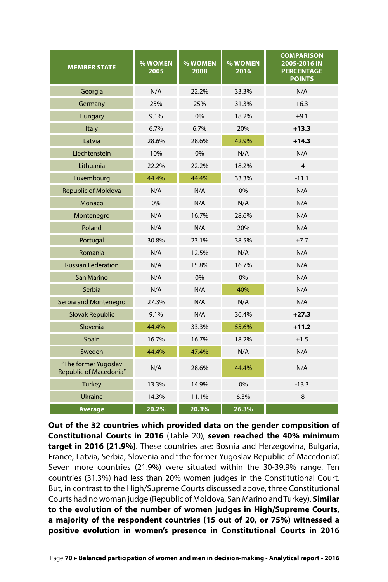| <b>MEMBER STATE</b>                            | % WOMEN<br>2005 | % WOMEN<br>2008 | % WOMEN<br>2016 | <b>COMPARISON</b><br>2005-2016 IN<br><b>PERCENTAGE</b><br><b>POINTS</b> |
|------------------------------------------------|-----------------|-----------------|-----------------|-------------------------------------------------------------------------|
| Georgia                                        | N/A             | 22.2%           | 33.3%           | N/A                                                                     |
| Germany                                        | 25%             | 25%             | 31.3%           | $+6.3$                                                                  |
| Hungary                                        | 9.1%            | 0%              | 18.2%           | $+9.1$                                                                  |
| Italy                                          | 6.7%            | 6.7%            | 20%             | $+13.3$                                                                 |
| Latvia                                         | 28.6%           | 28.6%           | 42.9%           | $+14.3$                                                                 |
| Liechtenstein                                  | 10%             | 0%              | N/A             | N/A                                                                     |
| Lithuania                                      | 22.2%           | 22.2%           | 18.2%           | $-4$                                                                    |
| Luxembourg                                     | 44.4%           | 44.4%           | 33.3%           | $-11.1$                                                                 |
| <b>Republic of Moldova</b>                     | N/A             | N/A             | 0%              | N/A                                                                     |
| Monaco                                         | 0%              | N/A             | N/A             | N/A                                                                     |
| Montenegro                                     | N/A             | 16.7%           | 28.6%           | N/A                                                                     |
| Poland                                         | N/A             | N/A             | 20%             | N/A                                                                     |
| Portugal                                       | 30.8%           | 23.1%           | 38.5%           | $+7.7$                                                                  |
| Romania                                        | N/A             | 12.5%           | N/A             | N/A                                                                     |
| <b>Russian Federation</b>                      | N/A             | 15.8%           | 16.7%           | N/A                                                                     |
| <b>San Marino</b>                              | N/A             | 0%              | 0%              | N/A                                                                     |
| Serbia                                         | N/A             | N/A             | 40%             | N/A                                                                     |
| Serbia and Montenegro                          | 27.3%           | N/A             | N/A             | N/A                                                                     |
| <b>Slovak Republic</b>                         | 9.1%            | N/A             | 36.4%           | $+27.3$                                                                 |
| Slovenia                                       | 44.4%           | 33.3%           | 55.6%           | $+11.2$                                                                 |
| Spain                                          | 16.7%           | 16.7%           | 18.2%           | $+1.5$                                                                  |
| Sweden                                         | 44.4%           | 47.4%           | N/A             | N/A                                                                     |
| "The former Yugoslav<br>Republic of Macedonia" | N/A             | 28.6%           | 44.4%           | N/A                                                                     |
| Turkey                                         | 13.3%           | 14.9%           | 0%              | $-13.3$                                                                 |
| Ukraine                                        | 14.3%           | 11.1%           | 6.3%            | -8                                                                      |
| <b>Average</b>                                 | 20.2%           | 20.3%           | 26.3%           |                                                                         |

**Out of the 32 countries which provided data on the gender composition of Constitutional Courts in 2016** (Table 20), **seven reached the 40% minimum target in 2016 (21.9%)**. These countries are: Bosnia and Herzegovina, Bulgaria, France, Latvia, Serbia, Slovenia and "the former Yugoslav Republic of Macedonia". Seven more countries (21.9%) were situated within the 30-39.9% range. Ten countries (31.3%) had less than 20% women judges in the Constitutional Court. But, in contrast to the High/Supreme Courts discussed above, three Constitutional Courts had no woman judge (Republic of Moldova, San Marino and Turkey). **Similar to the evolution of the number of women judges in High/Supreme Courts, a majority of the respondent countries (15 out of 20, or 75%) witnessed a positive evolution in women's presence in Constitutional Courts in 2016**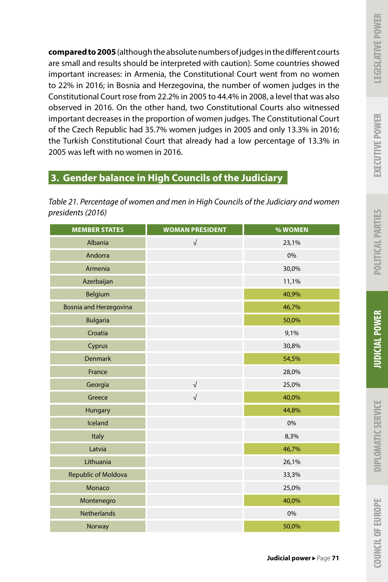**EGISLATIVE POWER LEGISLATIVE POWER**

**compared to 2005** (although the absolute numbers of judges in the different courts are small and results should be interpreted with caution). Some countries showed important increases: in Armenia, the Constitutional Court went from no women to 22% in 2016; in Bosnia and Herzegovina, the number of women judges in the Constitutional Court rose from 22.2% in 2005 to 44.4% in 2008, a level that was also observed in 2016. On the other hand, two Constitutional Courts also witnessed important decreases in the proportion of women judges. The Constitutional Court of the Czech Republic had 35.7% women judges in 2005 and only 13.3% in 2016; the Turkish Constitutional Court that already had a low percentage of 13.3% in 2005 was left with no women in 2016.

#### **3. Gender balance in High Councils of the Judiciary**

*Table 21. Percentage of women and men in High Councils of the Judiciary and women presidents (2016)*

| <b>MEMBER STATES</b>       | <b>WOMAN PRESIDENT</b> | % WOMEN |
|----------------------------|------------------------|---------|
| Albania                    | $\sqrt{}$              | 23,1%   |
| Andorra                    |                        | 0%      |
| Armenia                    |                        | 30,0%   |
| Azerbaijan                 |                        | 11,1%   |
| Belgium                    |                        | 40,9%   |
| Bosnia and Herzegovina     |                        | 46,7%   |
| <b>Bulgaria</b>            |                        | 50,0%   |
| Croatia                    |                        | 9,1%    |
| Cyprus                     |                        | 30,8%   |
| <b>Denmark</b>             |                        | 54,5%   |
| France                     |                        | 28,0%   |
| Georgia                    | $\sqrt{ }$             | 25,0%   |
| Greece                     | $\sqrt{}$              | 40,0%   |
| Hungary                    |                        | 44,8%   |
| Iceland                    |                        | 0%      |
| Italy                      |                        | 8,3%    |
| Latvia                     |                        | 46,7%   |
| Lithuania                  |                        | 26,1%   |
| <b>Republic of Moldova</b> |                        | 33,3%   |
| Monaco                     |                        | 25,0%   |
| Montenegro                 |                        | 40,0%   |
| Netherlands                |                        | 0%      |
| Norway                     |                        | 50,0%   |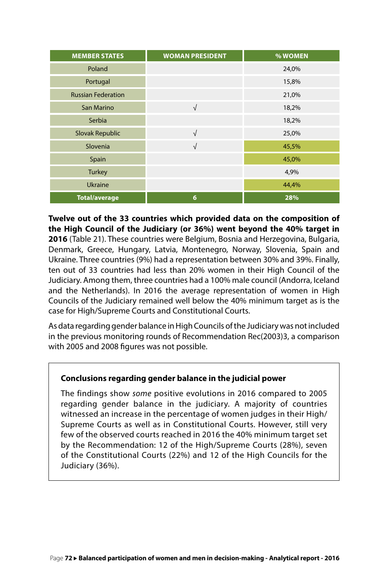| <b>MEMBER STATES</b>      | <b>WOMAN PRESIDENT</b> | % WOMEN |
|---------------------------|------------------------|---------|
| Poland                    |                        | 24,0%   |
| Portugal                  |                        | 15,8%   |
| <b>Russian Federation</b> |                        | 21,0%   |
| <b>San Marino</b>         | $\sqrt{ }$             | 18,2%   |
| Serbia                    |                        | 18,2%   |
| <b>Slovak Republic</b>    | $\sqrt{ }$             | 25,0%   |
| Slovenia                  | $\sqrt{ }$             | 45,5%   |
| Spain                     |                        | 45,0%   |
| <b>Turkey</b>             |                        | 4,9%    |
| <b>Ukraine</b>            |                        | 44,4%   |
| <b>Total/average</b>      | 6                      | 28%     |

**Twelve out of the 33 countries which provided data on the composition of the High Council of the Judiciary (or 36%) went beyond the 40% target in 2016** (Table 21). These countries were Belgium, Bosnia and Herzegovina, Bulgaria, Denmark, Greece, Hungary, Latvia, Montenegro, Norway, Slovenia, Spain and Ukraine. Three countries (9%) had a representation between 30% and 39%. Finally, ten out of 33 countries had less than 20% women in their High Council of the Judiciary. Among them, three countries had a 100% male council (Andorra, Iceland and the Netherlands). In 2016 the average representation of women in High Councils of the Judiciary remained well below the 40% minimum target as is the case for High/Supreme Courts and Constitutional Courts.

As data regarding gender balance in High Councils of the Judiciary was not included in the previous monitoring rounds of Recommendation Rec(2003)3, a comparison with 2005 and 2008 figures was not possible.

#### **Conclusions regarding gender balance in the judicial power**

The findings show *some* positive evolutions in 2016 compared to 2005 regarding gender balance in the judiciary. A majority of countries witnessed an increase in the percentage of women judges in their High/ Supreme Courts as well as in Constitutional Courts. However, still very few of the observed courts reached in 2016 the 40% minimum target set by the Recommendation: 12 of the High/Supreme Courts (28%), seven of the Constitutional Courts (22%) and 12 of the High Councils for the Judiciary (36%).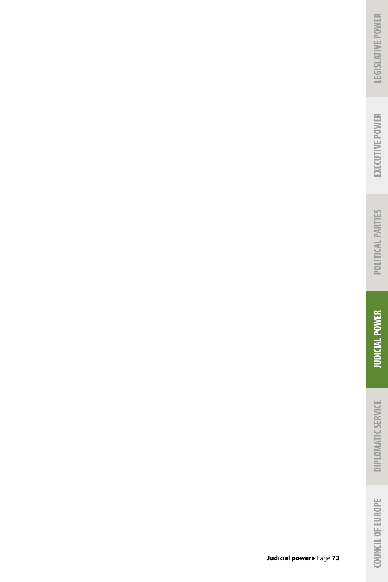**Judicial power** Page **73**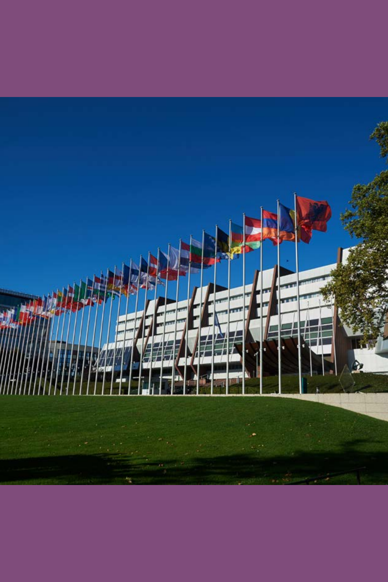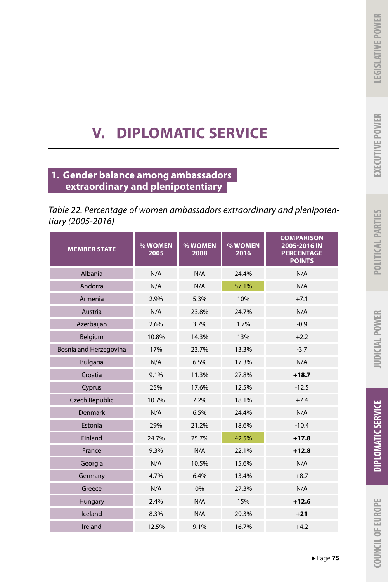## **V. DIPLOMATIC SERVICE**

#### **1. Gender balance among ambassadors extraordinary and plenipotentiary**

*Table 22. Percentage of women ambassadors extraordinary and plenipotentiary (2005-2016)*

| <b>MEMBER STATE</b>    | % WOMEN<br>2005 | % WOMEN<br>2008 | % WOMEN<br>2016 | <b>COMPARISON</b><br>2005-2016 IN<br><b>PERCENTAGE</b><br><b>POINTS</b> |
|------------------------|-----------------|-----------------|-----------------|-------------------------------------------------------------------------|
| Albania                | N/A             | N/A             | 24.4%           | N/A                                                                     |
| Andorra                | N/A             | N/A             | 57.1%           | N/A                                                                     |
| Armenia                | 2.9%            | 5.3%            | 10%             | $+7.1$                                                                  |
| Austria                | N/A             | 23.8%           | 24.7%           | N/A                                                                     |
| Azerbaijan             | 2.6%            | 3.7%            | 1.7%            | $-0.9$                                                                  |
| Belgium                | 10.8%           | 14.3%           | 13%             | $+2.2$                                                                  |
| Bosnia and Herzegovina | 17%             | 23.7%           | 13.3%           | $-3.7$                                                                  |
| <b>Bulgaria</b>        | N/A             | 6.5%            | 17.3%           | N/A                                                                     |
| Croatia                | 9.1%            | 11.3%           | 27.8%           | $+18.7$                                                                 |
| Cyprus                 | 25%             | 17.6%           | 12.5%           | $-12.5$                                                                 |
| <b>Czech Republic</b>  | 10.7%           | 7.2%            | 18.1%           | $+7.4$                                                                  |
| <b>Denmark</b>         | N/A             | 6.5%            | 24.4%           | N/A                                                                     |
| Estonia                | 29%             | 21.2%           | 18.6%           | $-10.4$                                                                 |
| Finland                | 24.7%           | 25.7%           | 42.5%           | $+17.8$                                                                 |
| France                 | 9.3%            | N/A             | 22.1%           | $+12.8$                                                                 |
| Georgia                | N/A             | 10.5%           | 15.6%           | N/A                                                                     |
| Germany                | 4.7%            | 6.4%            | 13.4%           | $+8.7$                                                                  |
| Greece                 | N/A             | 0%              | 27.3%           | N/A                                                                     |
| Hungary                | 2.4%            | N/A             | 15%             | $+12.6$                                                                 |
| Iceland                | 8.3%            | N/A             | 29.3%           | $+21$                                                                   |
| Ireland                | 12.5%           | 9.1%            | 16.7%           | $+4.2$                                                                  |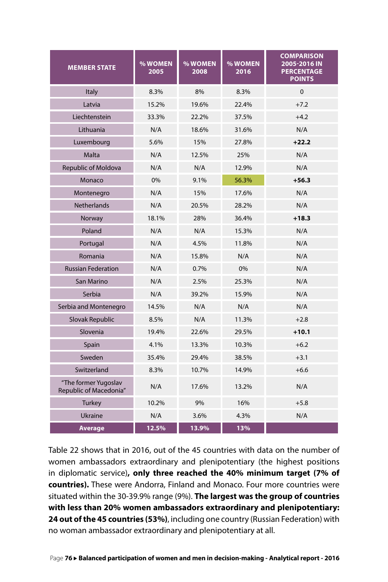| <b>MEMBER STATE</b>                            | % WOMEN<br>2005 | % WOMEN<br>2008 | % WOMEN<br>2016 | <b>COMPARISON</b><br>2005-2016 IN<br><b>PERCENTAGE</b><br><b>POINTS</b> |
|------------------------------------------------|-----------------|-----------------|-----------------|-------------------------------------------------------------------------|
| Italy                                          | 8.3%            | 8%              | 8.3%            | $\Omega$                                                                |
| Latvia                                         | 15.2%           | 19.6%           | 22.4%           | $+7.2$                                                                  |
| Liechtenstein                                  | 33.3%           | 22.2%           | 37.5%           | $+4.2$                                                                  |
| Lithuania                                      | N/A             | 18.6%           | 31.6%           | N/A                                                                     |
| Luxembourg                                     | 5.6%            | 15%             | 27.8%           | $+22.2$                                                                 |
| Malta                                          | N/A             | 12.5%           | 25%             | N/A                                                                     |
| Republic of Moldova                            | N/A             | N/A             | 12.9%           | N/A                                                                     |
| Monaco                                         | 0%              | 9.1%            | 56.3%           | $+56.3$                                                                 |
| Montenegro                                     | N/A             | 15%             | 17.6%           | N/A                                                                     |
| <b>Netherlands</b>                             | N/A             | 20.5%           | 28.2%           | N/A                                                                     |
| Norway                                         | 18.1%           | 28%             | 36.4%           | $+18.3$                                                                 |
| Poland                                         | N/A             | N/A             | 15.3%           | N/A                                                                     |
| Portugal                                       | N/A             | 4.5%            | 11.8%           | N/A                                                                     |
| Romania                                        | N/A             | 15.8%           | N/A             | N/A                                                                     |
| <b>Russian Federation</b>                      | N/A             | 0.7%            | 0%              | N/A                                                                     |
| San Marino                                     | N/A             | 2.5%            | 25.3%           | N/A                                                                     |
| Serbia                                         | N/A             | 39.2%           | 15.9%           | N/A                                                                     |
| Serbia and Montenegro                          | 14.5%           | N/A             | N/A             | N/A                                                                     |
| Slovak Republic                                | 8.5%            | N/A             | 11.3%           | $+2.8$                                                                  |
| Slovenia                                       | 19.4%           | 22.6%           | 29.5%           | $+10.1$                                                                 |
| Spain                                          | 4.1%            | 13.3%           | 10.3%           | $+6.2$                                                                  |
| Sweden                                         | 35.4%           | 29.4%           | 38.5%           | $+3.1$                                                                  |
| Switzerland                                    | 8.3%            | 10.7%           | 14.9%           | $+6.6$                                                                  |
| "The former Yugoslav<br>Republic of Macedonia" | N/A             | 17.6%           | 13.2%           | N/A                                                                     |
| Turkey                                         | 10.2%           | 9%              | 16%             | $+5.8$                                                                  |
| <b>Ukraine</b>                                 | N/A             | 3.6%            | 4.3%            | N/A                                                                     |
| <b>Average</b>                                 | 12.5%           | 13.9%           | 13%             |                                                                         |

Table 22 shows that in 2016, out of the 45 countries with data on the number of women ambassadors extraordinary and plenipotentiary (the highest positions in diplomatic service)**, only three reached the 40% minimum target (7% of countries).** These were Andorra, Finland and Monaco. Four more countries were situated within the 30-39.9% range (9%). **The largest was the group of countries with less than 20% women ambassadors extraordinary and plenipotentiary: 24 out of the 45 countries (53%)**, including one country (Russian Federation) with no woman ambassador extraordinary and plenipotentiary at all.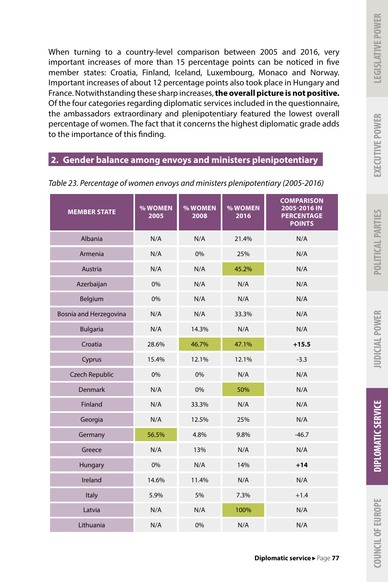**LEGISLATIVE POWER LEGISLATIVE POWER**

When turning to a country-level comparison between 2005 and 2016, very important increases of more than 15 percentage points can be noticed in five member states: Croatia, Finland, Iceland, Luxembourg, Monaco and Norway. Important increases of about 12 percentage points also took place in Hungary and France. Notwithstanding these sharp increases, **the overall picture is not positive.** Of the four categories regarding diplomatic services included in the questionnaire, the ambassadors extraordinary and plenipotentiary featured the lowest overall percentage of women. The fact that it concerns the highest diplomatic grade adds to the importance of this finding.

#### **2. Gender balance among envoys and ministers plenipotentiary**

| <b>MEMBER STATE</b>    | % WOMEN<br>2005 | % WOMEN<br>2008 | % WOMEN<br>2016 | <b>COMPARISON</b><br>2005-2016 IN<br><b>PERCENTAGE</b><br><b>POINTS</b> |
|------------------------|-----------------|-----------------|-----------------|-------------------------------------------------------------------------|
| Albania                | N/A             | N/A             | 21.4%           | N/A                                                                     |
| Armenia                | N/A             | 0%              | 25%             | N/A                                                                     |
| Austria                | N/A             | N/A             | 45.2%           | N/A                                                                     |
| Azerbaijan             | 0%              | N/A             | N/A             | N/A                                                                     |
| Belgium                | 0%              | N/A             | N/A             | N/A                                                                     |
| Bosnia and Herzegovina | N/A             | N/A             | 33.3%           | N/A                                                                     |
| <b>Bulgaria</b>        | N/A             | 14.3%           | N/A             | N/A                                                                     |
| Croatia                | 28.6%           | 46.7%           | 47.1%           | $+15.5$                                                                 |
| Cyprus                 | 15.4%           | 12.1%           | 12.1%           | $-3.3$                                                                  |
| <b>Czech Republic</b>  | 0%              | 0%              | N/A             | N/A                                                                     |
| <b>Denmark</b>         | N/A             | 0%              | 50%             | N/A                                                                     |
| Finland                | N/A             | 33.3%           | N/A             | N/A                                                                     |
| Georgia                | N/A             | 12.5%           | 25%             | N/A                                                                     |
| Germany                | 56.5%           | 4.8%            | 9.8%            | $-46.7$                                                                 |
| Greece                 | N/A             | 13%             | N/A             | N/A                                                                     |
| Hungary                | 0%              | N/A             | 14%             | $+14$                                                                   |
| Ireland                | 14.6%           | 11.4%           | N/A             | N/A                                                                     |
| Italy                  | 5.9%            | 5%              | 7.3%            | $+1.4$                                                                  |
| Latvia                 | N/A             | N/A             | 100%            | N/A                                                                     |
| Lithuania              | N/A             | 0%              | N/A             | N/A                                                                     |

*Table 23. Percentage of women envoys and ministers plenipotentiary (2005-2016)*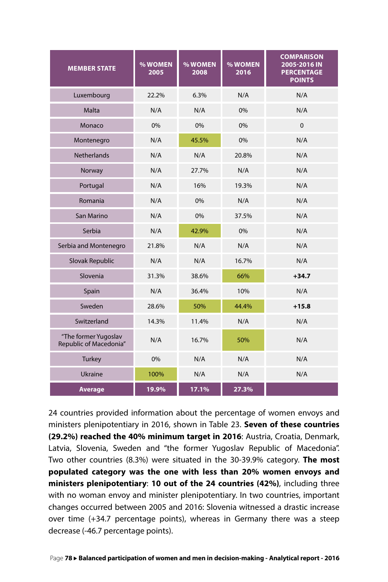| <b>MEMBER STATE</b>                            | % WOMEN<br>2005 | % WOMEN<br>2008 | % WOMEN<br>2016 | <b>COMPARISON</b><br>2005-2016 IN<br><b>PERCENTAGE</b><br><b>POINTS</b> |
|------------------------------------------------|-----------------|-----------------|-----------------|-------------------------------------------------------------------------|
| Luxembourg                                     | 22.2%           | 6.3%            | N/A             | N/A                                                                     |
| Malta                                          | N/A             | N/A             | 0%              | N/A                                                                     |
| Monaco                                         | 0%              | 0%              | 0%              | $\mathbf 0$                                                             |
| Montenegro                                     | N/A             | 45.5%           | 0%              | N/A                                                                     |
| <b>Netherlands</b>                             | N/A             | N/A             | 20.8%           | N/A                                                                     |
| Norway                                         | N/A             | 27.7%           | N/A             | N/A                                                                     |
| Portugal                                       | N/A             | 16%             | 19.3%           | N/A                                                                     |
| Romania                                        | N/A             | 0%              | N/A             | N/A                                                                     |
| San Marino                                     | N/A             | 0%              | 37.5%           | N/A                                                                     |
| Serbia                                         | N/A             | 42.9%           | 0%              | N/A                                                                     |
| Serbia and Montenegro                          | 21.8%           | N/A             | N/A             | N/A                                                                     |
| <b>Slovak Republic</b>                         | N/A             | N/A             | 16.7%           | N/A                                                                     |
| Slovenia                                       | 31.3%           | 38.6%           | 66%             | $+34.7$                                                                 |
| Spain                                          | N/A             | 36.4%           | 10%             | N/A                                                                     |
| Sweden                                         | 28.6%           | 50%             | 44.4%           | $+15.8$                                                                 |
| Switzerland                                    | 14.3%           | 11.4%           | N/A             | N/A                                                                     |
| "The former Yugoslav<br>Republic of Macedonia" | N/A             | 16.7%           | 50%             | N/A                                                                     |
| Turkey                                         | 0%              | N/A             | N/A             | N/A                                                                     |
| <b>Ukraine</b>                                 | 100%            | N/A             | N/A             | N/A                                                                     |
| <b>Average</b>                                 | 19.9%           | 17.1%           | 27.3%           |                                                                         |

24 countries provided information about the percentage of women envoys and ministers plenipotentiary in 2016, shown in Table 23. **Seven of these countries (29.2%) reached the 40% minimum target in 2016**: Austria, Croatia, Denmark, Latvia, Slovenia, Sweden and "the former Yugoslav Republic of Macedonia". Two other countries (8.3%) were situated in the 30-39.9% category. **The most populated category was the one with less than 20% women envoys and ministers plenipotentiary**: **10 out of the 24 countries (42%)**, including three with no woman envoy and minister plenipotentiary. In two countries, important changes occurred between 2005 and 2016: Slovenia witnessed a drastic increase over time (+34.7 percentage points), whereas in Germany there was a steep decrease (-46.7 percentage points).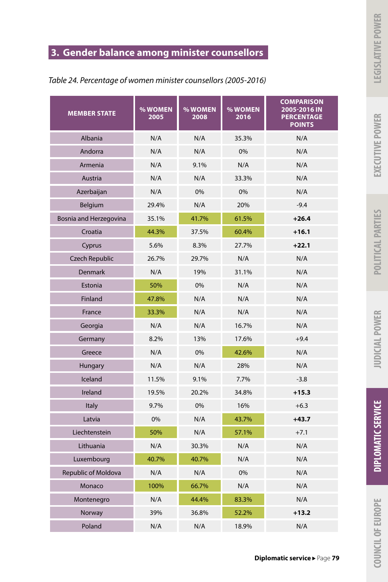#### **3. Gender balance among minister counsellors**

| <b>MEMBER STATE</b>        | % WOMEN<br>2005 | % WOMEN<br>2008 | % WOMEN<br>2016 | <b>COMPARISON</b><br>2005-2016 IN<br><b>PERCENTAGE</b><br><b>POINTS</b> |
|----------------------------|-----------------|-----------------|-----------------|-------------------------------------------------------------------------|
| Albania                    | N/A             | N/A             | 35.3%           | N/A                                                                     |
| Andorra                    | N/A             | N/A             | 0%              | N/A                                                                     |
| Armenia                    | N/A             | 9.1%            | N/A             | N/A                                                                     |
| Austria                    | N/A             | N/A             | 33.3%           | N/A                                                                     |
| Azerbaijan                 | N/A             | 0%              | 0%              | N/A                                                                     |
| Belgium                    | 29.4%           | N/A             | 20%             | $-9.4$                                                                  |
| Bosnia and Herzegovina     | 35.1%           | 41.7%           | 61.5%           | $+26.4$                                                                 |
| Croatia                    | 44.3%           | 37.5%           | 60.4%           | $+16.1$                                                                 |
| Cyprus                     | 5.6%            | 8.3%            | 27.7%           | $+22.1$                                                                 |
| <b>Czech Republic</b>      | 26.7%           | 29.7%           | N/A             | N/A                                                                     |
| <b>Denmark</b>             | N/A             | 19%             | 31.1%           | N/A                                                                     |
| Estonia                    | 50%             | 0%              | N/A             | N/A                                                                     |
| <b>Finland</b>             | 47.8%           | N/A             | N/A             | N/A                                                                     |
| France                     | 33.3%           | N/A             | N/A             | N/A                                                                     |
| Georgia                    | N/A             | N/A             | 16.7%           | N/A                                                                     |
| Germany                    | 8.2%            | 13%             | 17.6%           | $+9.4$                                                                  |
| Greece                     | N/A             | 0%              | 42.6%           | N/A                                                                     |
| Hungary                    | N/A             | N/A             | 28%             | N/A                                                                     |
| Iceland                    | 11.5%           | 9.1%            | 7.7%            | $-3.8$                                                                  |
| Ireland                    | 19.5%           | 20.2%           | 34.8%           | $+15.3$                                                                 |
| Italy                      | 9.7%            | 0%              | 16%             | $+6.3$                                                                  |
| Latvia                     | 0%              | N/A             | 43.7%           | $+43.7$                                                                 |
| Liechtenstein              | 50%             | N/A             | 57.1%           | $+7.1$                                                                  |
| Lithuania                  | N/A             | 30.3%           | N/A             | N/A                                                                     |
| Luxembourg                 | 40.7%           | 40.7%           | N/A             | N/A                                                                     |
| <b>Republic of Moldova</b> | N/A             | N/A             | 0%              | N/A                                                                     |
| Monaco                     | 100%            | 66.7%           | N/A             | N/A                                                                     |
| Montenegro                 | N/A             | 44.4%           | 83.3%           | N/A                                                                     |
| Norway                     | 39%             | 36.8%           | 52.2%           | $+13.2$                                                                 |
| Poland                     | N/A             | N/A             | 18.9%           | N/A                                                                     |

#### *Table 24. Percentage of women minister counsellors (2005-2016)*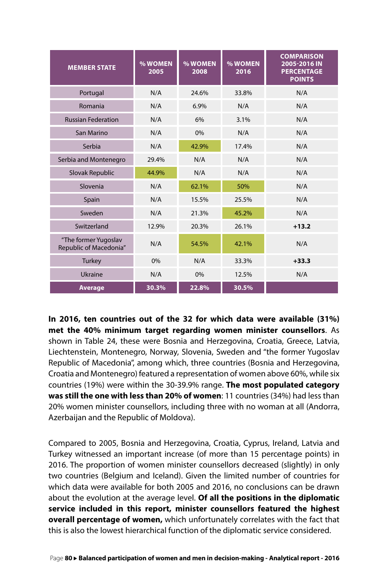| <b>MEMBER STATE</b>                            | % WOMEN<br>2005 | % WOMEN<br>2008 | % WOMEN<br>2016 | <b>COMPARISON</b><br>2005-2016 IN<br><b>PERCENTAGE</b><br><b>POINTS</b> |
|------------------------------------------------|-----------------|-----------------|-----------------|-------------------------------------------------------------------------|
| Portugal                                       | N/A             | 24.6%           | 33.8%           | N/A                                                                     |
| Romania                                        | N/A             | 6.9%            | N/A             | N/A                                                                     |
| <b>Russian Federation</b>                      | N/A             | 6%              | 3.1%            | N/A                                                                     |
| San Marino                                     | N/A             | 0%              | N/A             | N/A                                                                     |
| Serbia                                         | N/A             | 42.9%           | 17.4%           | N/A                                                                     |
| Serbia and Montenegro                          | 29.4%           | N/A             | N/A             | N/A                                                                     |
| Slovak Republic                                | 44.9%           | N/A             | N/A             | N/A                                                                     |
| Slovenia                                       | N/A             | 62.1%           | 50%             | N/A                                                                     |
| Spain                                          | N/A             | 15.5%           | 25.5%           | N/A                                                                     |
| Sweden                                         | N/A             | 21.3%           | 45.2%           | N/A                                                                     |
| Switzerland                                    | 12.9%           | 20.3%           | 26.1%           | $+13.2$                                                                 |
| "The former Yugoslav<br>Republic of Macedonia" | N/A             | 54.5%           | 42.1%           | N/A                                                                     |
| Turkey                                         | 0%              | N/A             | 33.3%           | $+33.3$                                                                 |
| Ukraine                                        | N/A             | 0%              | 12.5%           | N/A                                                                     |
| <b>Average</b>                                 | 30.3%           | 22.8%           | 30.5%           |                                                                         |

**In 2016, ten countries out of the 32 for which data were available (31%) met the 40% minimum target regarding women minister counsellors**. As shown in Table 24, these were Bosnia and Herzegovina, Croatia, Greece, Latvia, Liechtenstein, Montenegro, Norway, Slovenia, Sweden and "the former Yugoslav Republic of Macedonia", among which, three countries (Bosnia and Herzegovina, Croatia and Montenegro) featured a representation of women above 60%, while six countries (19%) were within the 30-39.9% range. **The most populated category was still the one with less than 20% of women**: 11 countries (34%) had less than 20% women minister counsellors, including three with no woman at all (Andorra, Azerbaijan and the Republic of Moldova).

Compared to 2005, Bosnia and Herzegovina, Croatia, Cyprus, Ireland, Latvia and Turkey witnessed an important increase (of more than 15 percentage points) in 2016. The proportion of women minister counsellors decreased (slightly) in only two countries (Belgium and Iceland). Given the limited number of countries for which data were available for both 2005 and 2016, no conclusions can be drawn about the evolution at the average level. **Of all the positions in the diplomatic service included in this report, minister counsellors featured the highest overall percentage of women,** which unfortunately correlates with the fact that this is also the lowest hierarchical function of the diplomatic service considered.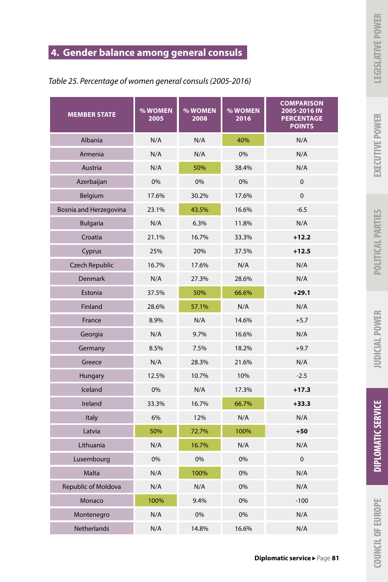#### **4. Gender balance among general consuls**

| Table 25. Percentage of women general consuls (2005-2016) |  |
|-----------------------------------------------------------|--|
|-----------------------------------------------------------|--|

| <b>MEMBER STATE</b>    | % WOMEN<br>2005 | % WOMEN<br>2008 | <b>% WOMEN</b><br>2016 | <b>COMPARISON</b><br>2005-2016 IN<br><b>PERCENTAGE</b><br><b>POINTS</b> |
|------------------------|-----------------|-----------------|------------------------|-------------------------------------------------------------------------|
| Albania                | N/A             | N/A             | 40%                    | N/A                                                                     |
| Armenia                | N/A             | N/A             | 0%                     | N/A                                                                     |
| Austria                | N/A             | 50%             | 38.4%                  | N/A                                                                     |
| Azerbaijan             | 0%              | 0%              | 0%                     | $\mathbf 0$                                                             |
| Belgium                | 17.6%           | 30.2%           | 17.6%                  | $\overline{0}$                                                          |
| Bosnia and Herzegovina | 23.1%           | 43.5%           | 16.6%                  | $-6.5$                                                                  |
| <b>Bulgaria</b>        | N/A             | 6.3%            | 11.8%                  | N/A                                                                     |
| Croatia                | 21.1%           | 16.7%           | 33.3%                  | $+12.2$                                                                 |
| Cyprus                 | 25%             | 20%             | 37.5%                  | $+12.5$                                                                 |
| Czech Republic         | 16.7%           | 17.6%           | N/A                    | N/A                                                                     |
| <b>Denmark</b>         | N/A             | 27.3%           | 28.6%                  | N/A                                                                     |
| Estonia                | 37.5%           | 50%             | 66.6%                  | $+29.1$                                                                 |
| Finland                | 28.6%           | 57.1%           | N/A                    | N/A                                                                     |
| France                 | 8.9%            | N/A             | 14.6%                  | $+5.7$                                                                  |
| Georgia                | N/A             | 9.7%            | 16.6%                  | N/A                                                                     |
| Germany                | 8.5%            | 7.5%            | 18.2%                  | $+9.7$                                                                  |
| Greece                 | N/A             | 28.3%           | 21.6%                  | N/A                                                                     |
| Hungary                | 12.5%           | 10.7%           | 10%                    | $-2.5$                                                                  |
| Iceland                | 0%              | N/A             | 17.3%                  | $+17.3$                                                                 |
| Ireland                | 33.3%           | 16.7%           | 66.7%                  | $+33.3$                                                                 |
| Italy                  | 6%              | 12%             | N/A                    | N/A                                                                     |
| Latvia                 | 50%             | 72.7%           | 100%                   | $+50$                                                                   |
| Lithuania              | N/A             | 16.7%           | N/A                    | N/A                                                                     |
| Luxembourg             | 0%              | 0%              | 0%                     | $\pmb{0}$                                                               |
| <b>Malta</b>           | N/A             | 100%            | 0%                     | N/A                                                                     |
| Republic of Moldova    | N/A             | N/A             | 0%                     | N/A                                                                     |
| Monaco                 | 100%            | 9.4%            | 0%                     | $-100$                                                                  |
| Montenegro             | N/A             | 0%              | 0%                     | N/A                                                                     |
| <b>Netherlands</b>     | N/A             | 14.8%           | 16.6%                  | N/A                                                                     |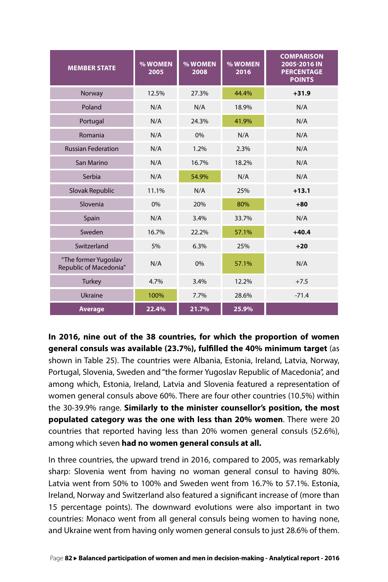| <b>MEMBER STATE</b>                            | % WOMEN<br>2005 | % WOMEN<br>2008 | % WOMEN<br>2016 | <b>COMPARISON</b><br>2005-2016 IN<br><b>PERCENTAGE</b><br><b>POINTS</b> |
|------------------------------------------------|-----------------|-----------------|-----------------|-------------------------------------------------------------------------|
| Norway                                         | 12.5%           | 27.3%           | 44.4%           | $+31.9$                                                                 |
| Poland                                         | N/A             | N/A             | 18.9%           | N/A                                                                     |
| Portugal                                       | N/A             | 24.3%           | 41.9%           | N/A                                                                     |
| Romania                                        | N/A             | 0%              | N/A             | N/A                                                                     |
| <b>Russian Federation</b>                      | N/A             | 1.2%            | 2.3%            | N/A                                                                     |
| San Marino                                     | N/A             | 16.7%           | 18.2%           | N/A                                                                     |
| Serbia                                         | N/A             | 54.9%           | N/A             | N/A                                                                     |
| <b>Slovak Republic</b>                         | 11.1%           | N/A             | 25%             | $+13.1$                                                                 |
| Slovenia                                       | 0%              | 20%             | 80%             | $+80$                                                                   |
| Spain                                          | N/A             | 3.4%            | 33.7%           | N/A                                                                     |
| Sweden                                         | 16.7%           | 22.2%           | 57.1%           | $+40.4$                                                                 |
| Switzerland                                    | 5%              | 6.3%            | 25%             | $+20$                                                                   |
| "The former Yugoslav<br>Republic of Macedonia" | N/A             | 0%              | 57.1%           | N/A                                                                     |
| Turkey                                         | 4.7%            | 3.4%            | 12.2%           | $+7.5$                                                                  |
| <b>Ukraine</b>                                 | 100%            | 7.7%            | 28.6%           | $-71.4$                                                                 |
| <b>Average</b>                                 | 22.4%           | 21.7%           | 25.9%           |                                                                         |

**In 2016, nine out of the 38 countries, for which the proportion of women general consuls was available (23.7%), fulfilled the 40% minimum target** (as shown in Table 25). The countries were Albania, Estonia, Ireland, Latvia, Norway, Portugal, Slovenia, Sweden and "the former Yugoslav Republic of Macedonia", and among which, Estonia, Ireland, Latvia and Slovenia featured a representation of women general consuls above 60%. There are four other countries (10.5%) within the 30-39.9% range. **Similarly to the minister counsellor's position, the most populated category was the one with less than 20% women**. There were 20 countries that reported having less than 20% women general consuls (52.6%), among which seven **had no women general consuls at all.**

In three countries, the upward trend in 2016, compared to 2005, was remarkably sharp: Slovenia went from having no woman general consul to having 80%. Latvia went from 50% to 100% and Sweden went from 16.7% to 57.1%. Estonia, Ireland, Norway and Switzerland also featured a significant increase of (more than 15 percentage points). The downward evolutions were also important in two countries: Monaco went from all general consuls being women to having none, and Ukraine went from having only women general consuls to just 28.6% of them.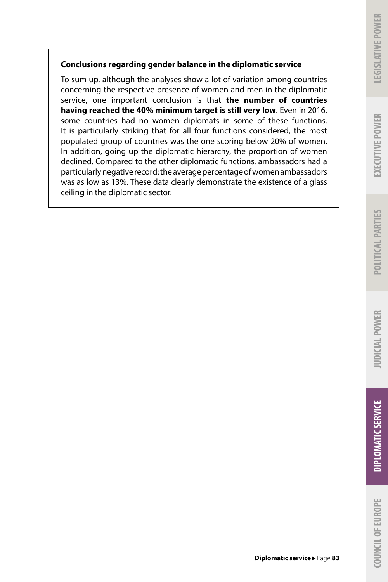## DIPLOMATIC SERVICE

#### **Conclusions regarding gender balance in the diplomatic service**

To sum up, although the analyses show a lot of variation among countries concerning the respective presence of women and men in the diplomatic service, one important conclusion is that **the number of countries having reached the 40% minimum target is still very low**. Even in 2016, some countries had no women diplomats in some of these functions. It is particularly striking that for all four functions considered, the most populated group of countries was the one scoring below 20% of women. In addition, going up the diplomatic hierarchy, the proportion of women declined. Compared to the other diplomatic functions, ambassadors had a particularly negative record: the average percentage of women ambassadors was as low as 13%. These data clearly demonstrate the existence of a glass ceiling in the diplomatic sector.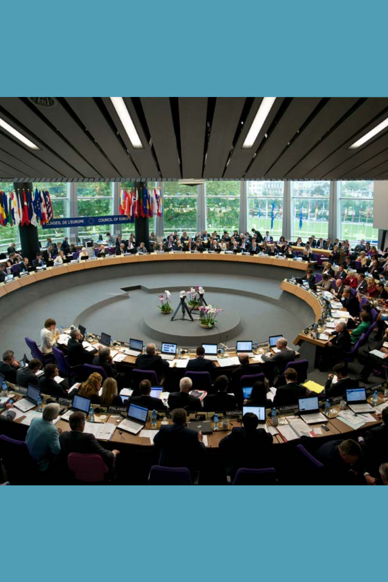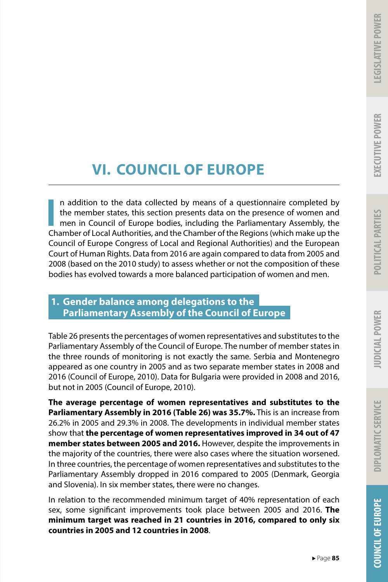POLITICAL PARTIES

## **VI. COUNCIL OF EUROPE**

In addition to the data collected by means of a questionnaire completed by the member states, this section presents data on the presence of women and men in Council of Europe bodies, including the Parliamentary Assembly, t n addition to the data collected by means of a questionnaire completed by the member states, this section presents data on the presence of women and men in Council of Europe bodies, including the Parliamentary Assembly, the Council of Europe Congress of Local and Regional Authorities) and the European Court of Human Rights. Data from 2016 are again compared to data from 2005 and 2008 (based on the 2010 study) to assess whether or not the composition of these bodies has evolved towards a more balanced participation of women and men.

#### **1. Gender balance among delegations to the Parliamentary Assembly of the Council of Europe**

Table 26 presents the percentages of women representatives and substitutes to the Parliamentary Assembly of the Council of Europe. The number of member states in the three rounds of monitoring is not exactly the same. Serbia and Montenegro appeared as one country in 2005 and as two separate member states in 2008 and 2016 (Council of Europe, 2010). Data for Bulgaria were provided in 2008 and 2016, but not in 2005 (Council of Europe, 2010).

**The average percentage of women representatives and substitutes to the Parliamentary Assembly in 2016 (Table 26) was 35.7%.** This is an increase from 26.2% in 2005 and 29.3% in 2008. The developments in individual member states show that **the percentage of women representatives improved in 34 out of 47 member states between 2005 and 2016.** However, despite the improvements in the majority of the countries, there were also cases where the situation worsened. In three countries, the percentage of women representatives and substitutes to the Parliamentary Assembly dropped in 2016 compared to 2005 (Denmark, Georgia and Slovenia). In six member states, there were no changes.

In relation to the recommended minimum target of 40% representation of each sex, some significant improvements took place between 2005 and 2016. **The minimum target was reached in 21 countries in 2016, compared to only six countries in 2005 and 12 countries in 2008**.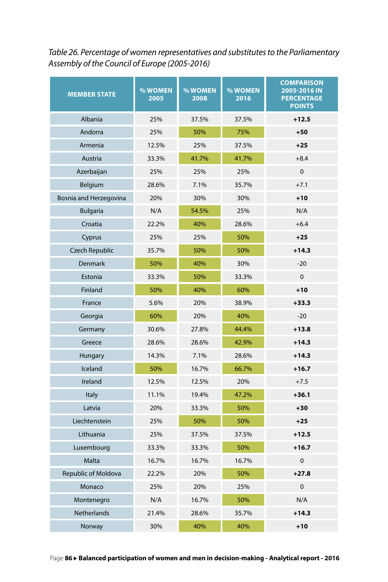*Table 26. Percentage of women representatives and substitutes to the Parliamentary Assembly of the Council of Europe (2005-2016)*

| <b>MEMBER STATE</b>    | % WOMEN<br>2005 | % WOMEN<br>2008 | % WOMEN<br>2016 | <b>COMPARISON</b><br>2005-2016 IN<br><b>PERCENTAGE</b><br><b>POINTS</b> |
|------------------------|-----------------|-----------------|-----------------|-------------------------------------------------------------------------|
| Albania                | 25%             | 37.5%           | 37.5%           | $+12.5$                                                                 |
| Andorra                | 25%             | 50%             | 75%             | $+50$                                                                   |
| Armenia                | 12.5%           | 25%             | 37.5%           | $+25$                                                                   |
| Austria                | 33.3%           | 41.7%           | 41.7%           | $+8.4$                                                                  |
| Azerbaijan             | 25%             | 25%             | 25%             | $\pmb{0}$                                                               |
| Belgium                | 28.6%           | 7.1%            | 35.7%           | $+7.1$                                                                  |
| Bosnia and Herzegovina | 20%             | 30%             | 30%             | $+10$                                                                   |
| <b>Bulgaria</b>        | N/A             | 54.5%           | 25%             | N/A                                                                     |
| Croatia                | 22.2%           | 40%             | 28.6%           | $+6.4$                                                                  |
| Cyprus                 | 25%             | 25%             | 50%             | $+25$                                                                   |
| <b>Czech Republic</b>  | 35.7%           | 50%             | 50%             | $+14.3$                                                                 |
| Denmark                | 50%             | 40%             | 30%             | $-20$                                                                   |
| Estonia                | 33.3%           | 50%             | 33.3%           | 0                                                                       |
| Finland                | 50%             | 40%             | 60%             | $+10$                                                                   |
| France                 | 5.6%            | 20%             | 38.9%           | $+33.3$                                                                 |
| Georgia                | 60%             | 20%             | 40%             | $-20$                                                                   |
| Germany                | 30.6%           | 27.8%           | 44.4%           | $+13.8$                                                                 |
| Greece                 | 28.6%           | 28.6%           | 42.9%           | $+14.3$                                                                 |
| Hungary                | 14.3%           | 7.1%            | 28.6%           | $+14.3$                                                                 |
| Iceland                | 50%             | 16.7%           | 66.7%           | $+16.7$                                                                 |
| Ireland                | 12.5%           | 12.5%           | 20%             | $+7.5$                                                                  |
| <b>Italy</b>           | 11.1%           | 19.4%           | 47.2%           | $+36.1$                                                                 |
| Latvia                 | 20%             | 33.3%           | 50%             | $+30$                                                                   |
| Liechtenstein          | 25%             | 50%             | 50%             | $+25$                                                                   |
| Lithuania              | 25%             | 37.5%           | 37.5%           | $+12.5$                                                                 |
| Luxembourg             | 33.3%           | 33.3%           | 50%             | $+16.7$                                                                 |
| Malta                  | 16.7%           | 16.7%           | 16.7%           | o                                                                       |
| Republic of Moldova    | 22.2%           | 20%             | 50%             | $+27.8$                                                                 |
| Monaco                 | 25%             | 20%             | 25%             | $\pmb{0}$                                                               |
| Montenegro             | N/A             | 16.7%           | 50%             | N/A                                                                     |
| <b>Netherlands</b>     | 21.4%           | 28.6%           | 35.7%           | $+14.3$                                                                 |
| Norway                 | 30%             | 40%             | 40%             | $+10$                                                                   |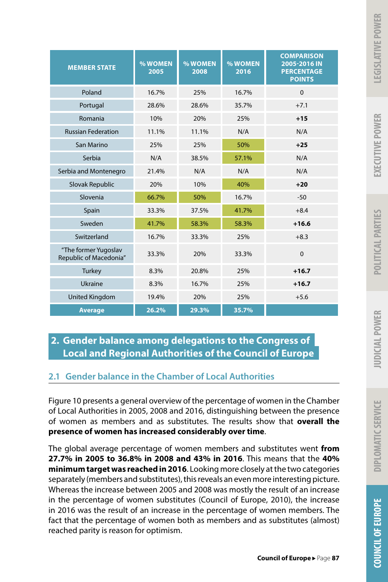| <b>MEMBER STATE</b>                            | % WOMEN<br>2005 | % WOMEN<br>2008 | % WOMEN<br>2016 | <b>COMPARISON</b><br>2005-2016 IN<br><b>PERCENTAGE</b><br><b>POINTS</b> |
|------------------------------------------------|-----------------|-----------------|-----------------|-------------------------------------------------------------------------|
| Poland                                         | 16.7%           | 25%             | 16.7%           | $\Omega$                                                                |
| Portugal                                       | 28.6%           | 28.6%           | 35.7%           | $+7.1$                                                                  |
| Romania                                        | 10%             | 20%             | 25%             | $+15$                                                                   |
| <b>Russian Federation</b>                      | 11.1%           | 11.1%           | N/A             | N/A                                                                     |
| San Marino                                     | 25%             | 25%             | 50%             | $+25$                                                                   |
| Serbia                                         | N/A             | 38.5%           | 57.1%           | N/A                                                                     |
| Serbia and Montenegro                          | 21.4%           | N/A             | N/A             | N/A                                                                     |
| <b>Slovak Republic</b>                         | 20%             | 10%             | 40%             | $+20$                                                                   |
| Slovenia                                       | 66.7%           | 50%             | 16.7%           | $-50$                                                                   |
| Spain                                          | 33.3%           | 37.5%           | 41.7%           | $+8.4$                                                                  |
| Sweden                                         | 41.7%           | 58.3%           | 58.3%           | $+16.6$                                                                 |
| Switzerland                                    | 16.7%           | 33.3%           | 25%             | $+8.3$                                                                  |
| "The former Yugoslav<br>Republic of Macedonia" | 33.3%           | 20%             | 33.3%           | $\Omega$                                                                |
| Turkey                                         | 8.3%            | 20.8%           | 25%             | $+16.7$                                                                 |
| Ukraine                                        | 8.3%            | 16.7%           | 25%             | $+16.7$                                                                 |
| <b>United Kingdom</b>                          | 19.4%           | 20%             | 25%             | $+5.6$                                                                  |
| <b>Average</b>                                 | 26.2%           | 29.3%           | 35.7%           |                                                                         |

#### **2. Gender balance among delegations to the Congress of Local and Regional Authorities of the Council of Europe**

#### **2.1 Gender balance in the Chamber of Local Authorities**

Figure 10 presents a general overview of the percentage of women in the Chamber of Local Authorities in 2005, 2008 and 2016, distinguishing between the presence of women as members and as substitutes. The results show that **overall the presence of women has increased considerably over time**.

The global average percentage of women members and substitutes went **from 27.7% in 2005 to 36.8% in 2008 and 43% in 2016**. This means that the **40% minimum target was reached in 2016**. Looking more closely at the two categories separately (members and substitutes), this reveals an even more interesting picture. Whereas the increase between 2005 and 2008 was mostly the result of an increase in the percentage of women substitutes (Council of Europe, 2010), the increase in 2016 was the result of an increase in the percentage of women members. The fact that the percentage of women both as members and as substitutes (almost) reached parity is reason for optimism.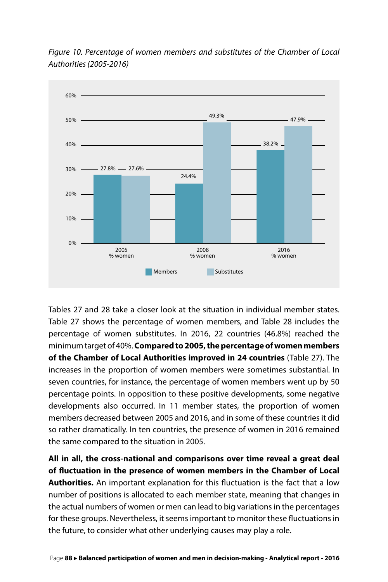



Tables 27 and 28 take a closer look at the situation in individual member states. Table 27 shows the percentage of women members, and Table 28 includes the percentage of women substitutes. In 2016, 22 countries (46.8%) reached the minimum target of 40%. **Compared to 2005, the percentage of women members of the Chamber of Local Authorities improved in 24 countries** (Table 27). The increases in the proportion of women members were sometimes substantial. In seven countries, for instance, the percentage of women members went up by 50 percentage points. In opposition to these positive developments, some negative developments also occurred. In 11 member states, the proportion of women members decreased between 2005 and 2016, and in some of these countries it did so rather dramatically. In ten countries, the presence of women in 2016 remained the same compared to the situation in 2005.

**All in all, the cross-national and comparisons over time reveal a great deal of fluctuation in the presence of women members in the Chamber of Local Authorities.** An important explanation for this fluctuation is the fact that a low number of positions is allocated to each member state, meaning that changes in the actual numbers of women or men can lead to big variations in the percentages for these groups. Nevertheless, it seems important to monitor these fluctuations in the future, to consider what other underlying causes may play a role.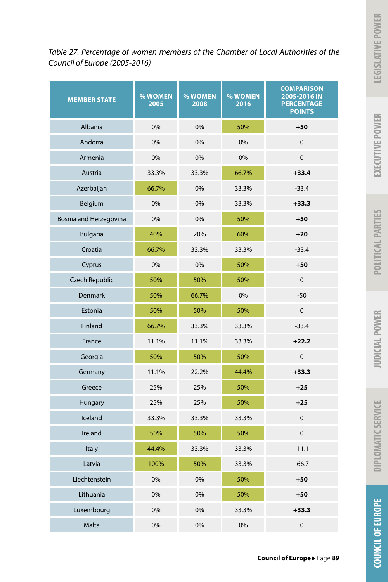| Table 27. Percentage of women members of the Chamber of Local Authorities of the |  |
|----------------------------------------------------------------------------------|--|
| Council of Europe (2005-2016)                                                    |  |

| <b>MEMBER STATE</b>    | % WOMEN<br>2005 | % WOMEN<br>2008 | % WOMEN<br>2016 | <b>COMPARISON</b><br>2005-2016 IN<br><b>PERCENTAGE</b><br><b>POINTS</b> |
|------------------------|-----------------|-----------------|-----------------|-------------------------------------------------------------------------|
| Albania                | 0%              | 0%              | 50%             | $+50$                                                                   |
| Andorra                | 0%              | 0%              | 0%              | 0                                                                       |
| Armenia                | 0%              | 0%              | 0%              | 0                                                                       |
| Austria                | 33.3%           | 33.3%           | 66.7%           | $+33.4$                                                                 |
| Azerbaijan             | 66.7%           | 0%              | 33.3%           | $-33.4$                                                                 |
| Belgium                | 0%              | 0%              | 33.3%           | $+33.3$                                                                 |
| Bosnia and Herzegovina | 0%              | 0%              | 50%             | $+50$                                                                   |
| <b>Bulgaria</b>        | 40%             | 20%             | 60%             | $+20$                                                                   |
| Croatia                | 66.7%           | 33.3%           | 33.3%           | $-33.4$                                                                 |
| Cyprus                 | 0%              | 0%              | 50%             | $+50$                                                                   |
| <b>Czech Republic</b>  | 50%             | 50%             | 50%             | 0                                                                       |
| <b>Denmark</b>         | 50%             | 66.7%           | 0%              | $-50$                                                                   |
| Estonia                | 50%             | 50%             | 50%             | 0                                                                       |
| Finland                | 66.7%           | 33.3%           | 33.3%           | $-33.4$                                                                 |
| France                 | 11.1%           | 11.1%           | 33.3%           | $+22.2$                                                                 |
| Georgia                | 50%             | 50%             | 50%             | $\pmb{0}$                                                               |
| Germany                | 11.1%           | 22.2%           | 44.4%           | $+33.3$                                                                 |
| Greece                 | 25%             | 25%             | 50%             | $+25$                                                                   |
| Hungary                | 25%             | 25%             | 50%             | $+25$                                                                   |
| Iceland                | 33.3%           | 33.3%           | 33.3%           | $\pmb{0}$                                                               |
| Ireland                | 50%             | 50%             | 50%             | 0                                                                       |
| Italy                  | 44.4%           | 33.3%           | 33.3%           | $-11.1$                                                                 |
| Latvia                 | 100%            | 50%             | 33.3%           | $-66.7$                                                                 |
| Liechtenstein          | 0%              | $0\%$           | 50%             | $+50$                                                                   |
| Lithuania              | 0%              | 0%              | 50%             | $+50$                                                                   |
| Luxembourg             | 0%              | 0%              | 33.3%           | $+33.3$                                                                 |
| Malta                  | 0%              | 0%              | $0\%$           | $\pmb{0}$                                                               |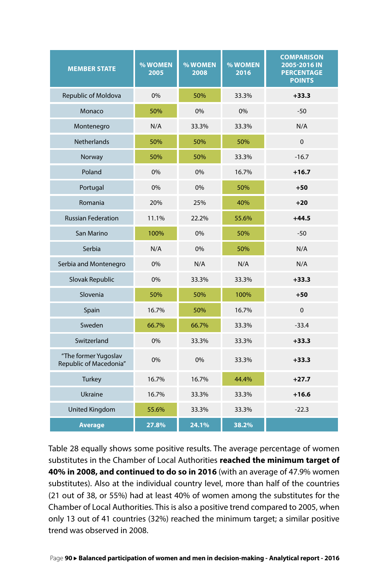| <b>MEMBER STATE</b>                            | % WOMEN<br>2005 | % WOMEN<br>2008 | % WOMEN<br>2016 | <b>COMPARISON</b><br>2005-2016 IN<br><b>PERCENTAGE</b><br><b>POINTS</b> |
|------------------------------------------------|-----------------|-----------------|-----------------|-------------------------------------------------------------------------|
| Republic of Moldova                            | 0%              | 50%             | 33.3%           | $+33.3$                                                                 |
| Monaco                                         | 50%             | 0%              | 0%              | $-50$                                                                   |
| Montenegro                                     | N/A             | 33.3%           | 33.3%           | N/A                                                                     |
| <b>Netherlands</b>                             | 50%             | 50%             | 50%             | $\Omega$                                                                |
| Norway                                         | 50%             | 50%             | 33.3%           | $-16.7$                                                                 |
| Poland                                         | 0%              | 0%              | 16.7%           | $+16.7$                                                                 |
| Portugal                                       | 0%              | 0%              | 50%             | $+50$                                                                   |
| Romania                                        | 20%             | 25%             | 40%             | $+20$                                                                   |
| <b>Russian Federation</b>                      | 11.1%           | 22.2%           | 55.6%           | $+44.5$                                                                 |
| San Marino                                     | 100%            | 0%              | 50%             | $-50$                                                                   |
| Serbia                                         | N/A             | 0%              | 50%             | N/A                                                                     |
| Serbia and Montenegro                          | 0%              | N/A             | N/A             | N/A                                                                     |
| Slovak Republic                                | 0%              | 33.3%           | 33.3%           | $+33.3$                                                                 |
| Slovenia                                       | 50%             | 50%             | 100%            | $+50$                                                                   |
| Spain                                          | 16.7%           | 50%             | 16.7%           | 0                                                                       |
| Sweden                                         | 66.7%           | 66.7%           | 33.3%           | $-33.4$                                                                 |
| Switzerland                                    | 0%              | 33.3%           | 33.3%           | $+33.3$                                                                 |
| "The former Yugoslav<br>Republic of Macedonia" | 0%              | 0%              | 33.3%           | $+33.3$                                                                 |
| Turkey                                         | 16.7%           | 16.7%           | 44.4%           | $+27.7$                                                                 |
| Ukraine                                        | 16.7%           | 33.3%           | 33.3%           | $+16.6$                                                                 |
| United Kingdom                                 | 55.6%           | 33.3%           | 33.3%           | $-22.3$                                                                 |
| Average                                        | 27.8%           | 24.1%           | 38.2%           |                                                                         |

Table 28 equally shows some positive results. The average percentage of women substitutes in the Chamber of Local Authorities **reached the minimum target of 40% in 2008, and continued to do so in 2016** (with an average of 47.9% women substitutes). Also at the individual country level, more than half of the countries (21 out of 38, or 55%) had at least 40% of women among the substitutes for the Chamber of Local Authorities. This is also a positive trend compared to 2005, when only 13 out of 41 countries (32%) reached the minimum target; a similar positive trend was observed in 2008.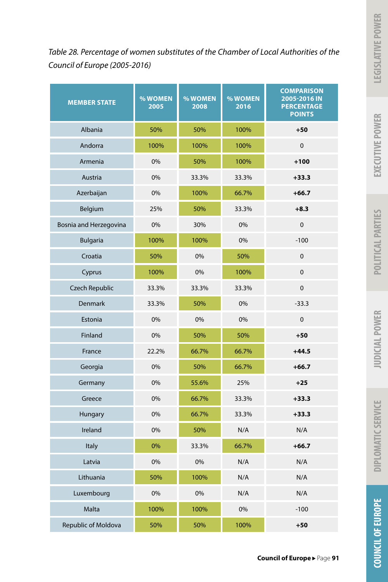| <b>MEMBER STATE</b>    | % WOMEN<br>2005 | % WOMEN<br>2008 | % WOMEN<br>2016 | <b>COMPARISON</b><br>2005-2016 IN<br><b>PERCENTAGE</b><br><b>POINTS</b> |
|------------------------|-----------------|-----------------|-----------------|-------------------------------------------------------------------------|
| Albania                | 50%             | 50%             | 100%            | $+50$                                                                   |
| Andorra                | 100%            | 100%            | 100%            | $\pmb{0}$                                                               |
| Armenia                | 0%              | 50%             | 100%            | $+100$                                                                  |
| Austria                | 0%              | 33.3%           | 33.3%           | $+33.3$                                                                 |
| Azerbaijan             | 0%              | 100%            | 66.7%           | $+66.7$                                                                 |
| Belgium                | 25%             | 50%             | 33.3%           | $+8.3$                                                                  |
| Bosnia and Herzegovina | 0%              | 30%             | 0%              | $\mathbf 0$                                                             |
| <b>Bulgaria</b>        | 100%            | 100%            | 0%              | $-100$                                                                  |
| Croatia                | 50%             | 0%              | 50%             | $\mathbf 0$                                                             |
| Cyprus                 | 100%            | 0%              | 100%            | $\mathbf 0$                                                             |
| <b>Czech Republic</b>  | 33.3%           | 33.3%           | 33.3%           | $\mathbf 0$                                                             |
| <b>Denmark</b>         | 33.3%           | 50%             | 0%              | $-33.3$                                                                 |
| Estonia                | 0%              | 0%              | 0%              | $\mathbf 0$                                                             |
| Finland                | 0%              | 50%             | 50%             | $+50$                                                                   |
| France                 | 22.2%           | 66.7%           | 66.7%           | $+44.5$                                                                 |
| Georgia                | 0%              | 50%             | 66.7%           | $+66.7$                                                                 |
| Germany                | 0%              | 55.6%           | 25%             | $+25$                                                                   |
| Greece                 | 0%              | 66.7%           | 33.3%           | $+33.3$                                                                 |
| Hungary                | 0%              | 66.7%           | 33.3%           | $+33.3$                                                                 |
| Ireland                | 0%              | 50%             | N/A             | N/A                                                                     |
| Italy                  | 0%              | 33.3%           | 66.7%           | $+66.7$                                                                 |
| Latvia                 | 0%              | 0%              | N/A             | N/A                                                                     |
| Lithuania              | 50%             | 100%            | N/A             | N/A                                                                     |
| Luxembourg             | 0%              | 0%              | N/A             | N/A                                                                     |
| Malta                  | 100%            | 100%            | 0%              | $-100$                                                                  |
| Republic of Moldova    | 50%             | 50%             | 100%            | $+50$                                                                   |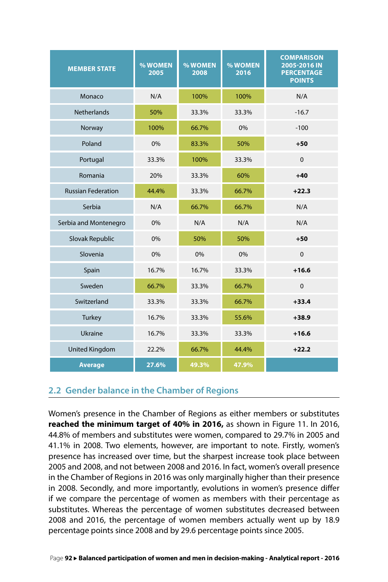| <b>MEMBER STATE</b>       | % WOMEN<br>2005 | % WOMEN<br>2008 | % WOMEN<br>2016 | <b>COMPARISON</b><br>2005-2016 IN<br><b>PERCENTAGE</b><br><b>POINTS</b> |
|---------------------------|-----------------|-----------------|-----------------|-------------------------------------------------------------------------|
| Monaco                    | N/A             | 100%            | 100%            | N/A                                                                     |
| <b>Netherlands</b>        | 50%             | 33.3%           | 33.3%           | $-16.7$                                                                 |
| Norway                    | 100%            | 66.7%           | 0%              | $-100$                                                                  |
| Poland                    | 0%              | 83.3%           | 50%             | $+50$                                                                   |
| Portugal                  | 33.3%           | 100%            | 33.3%           | $\Omega$                                                                |
| Romania                   | 20%             | 33.3%           | 60%             | $+40$                                                                   |
| <b>Russian Federation</b> | 44.4%           | 33.3%           | 66.7%           | $+22.3$                                                                 |
| Serbia                    | N/A             | 66.7%           | 66.7%           | N/A                                                                     |
| Serbia and Montenegro     | 0%              | N/A             | N/A             | N/A                                                                     |
| Slovak Republic           | 0%              | 50%             | 50%             | $+50$                                                                   |
| Slovenia                  | 0%              | 0%              | 0%              | $\Omega$                                                                |
| Spain                     | 16.7%           | 16.7%           | 33.3%           | $+16.6$                                                                 |
| Sweden                    | 66.7%           | 33.3%           | 66.7%           | $\Omega$                                                                |
| Switzerland               | 33.3%           | 33.3%           | 66.7%           | $+33.4$                                                                 |
| Turkey                    | 16.7%           | 33.3%           | 55.6%           | $+38.9$                                                                 |
| Ukraine                   | 16.7%           | 33.3%           | 33.3%           | $+16.6$                                                                 |
| <b>United Kingdom</b>     | 22.2%           | 66.7%           | 44.4%           | $+22.2$                                                                 |
| <b>Average</b>            | 27.6%           | 49.3%           | 47.9%           |                                                                         |

#### **2.2 Gender balance in the Chamber of Regions**

Women's presence in the Chamber of Regions as either members or substitutes **reached the minimum target of 40% in 2016,** as shown in Figure 11. In 2016, 44.8% of members and substitutes were women, compared to 29.7% in 2005 and 41.1% in 2008. Two elements, however, are important to note. Firstly, women's presence has increased over time, but the sharpest increase took place between 2005 and 2008, and not between 2008 and 2016. In fact, women's overall presence in the Chamber of Regions in 2016 was only marginally higher than their presence in 2008. Secondly, and more importantly, evolutions in women's presence differ if we compare the percentage of women as members with their percentage as substitutes. Whereas the percentage of women substitutes decreased between 2008 and 2016, the percentage of women members actually went up by 18.9 percentage points since 2008 and by 29.6 percentage points since 2005.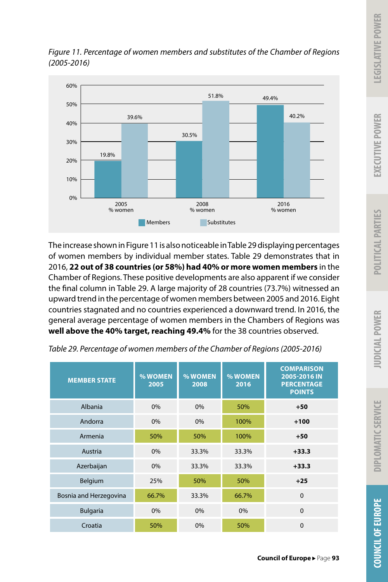

*Figure 11. Percentage of women members and substitutes of the Chamber of Regions (2005-2016)*

The increase shown in Figure 11 is also noticeable in Table 29 displaying percentages of women members by individual member states. Table 29 demonstrates that in 2016, **22 out of 38 countries (or 58%) had 40% or more women members** in the Chamber of Regions. These positive developments are also apparent if we consider the final column in Table 29. A large majority of 28 countries (73.7%) witnessed an upward trend in the percentage of women members between 2005 and 2016. Eight countries stagnated and no countries experienced a downward trend. In 2016, the general average percentage of women members in the Chambers of Regions was **well above the 40% target, reaching 49.4%** for the 38 countries observed.

| <b>MEMBER STATE</b>    | % WOMEN<br>2005 | % WOMEN<br>2008 | % WOMEN<br>2016 | <b>COMPARISON</b><br>2005-2016 IN<br><b>PERCENTAGE</b><br><b>POINTS</b> |
|------------------------|-----------------|-----------------|-----------------|-------------------------------------------------------------------------|
| Albania                | 0%              | 0%              | 50%             | $+50$                                                                   |
| Andorra                | 0%              | 0%              | 100%            | $+100$                                                                  |
| Armenia                | 50%             | 50%             | 100%            | $+50$                                                                   |
| Austria                | 0%              | 33.3%           | 33.3%           | $+33.3$                                                                 |
| Azerbaijan             | 0%              | 33.3%           | 33.3%           | $+33.3$                                                                 |
| Belgium                | 25%             | 50%             | 50%             | $+25$                                                                   |
| Bosnia and Herzegovina | 66.7%           | 33.3%           | 66.7%           | $\Omega$                                                                |
| <b>Bulgaria</b>        | 0%              | 0%              | 0%              | $\Omega$                                                                |
| Croatia                | 50%             | 0%              | 50%             | $\Omega$                                                                |

*Table 29. Percentage of women members of the Chamber of Regions (2005-2016)*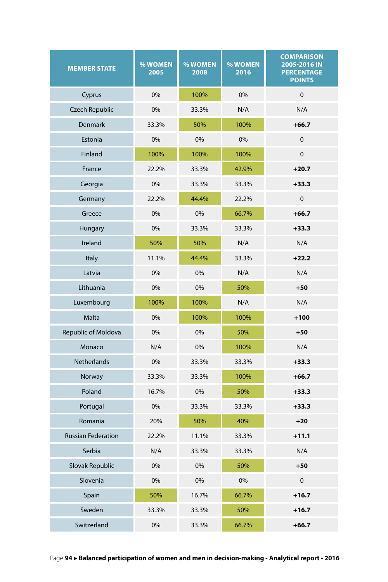| <b>MEMBER STATE</b>       | % WOMEN<br>2005 | % WOMEN<br>2008 | % WOMEN<br>2016 | <b>COMPARISON</b><br>2005-2016 IN<br><b>PERCENTAGE</b><br><b>POINTS</b> |
|---------------------------|-----------------|-----------------|-----------------|-------------------------------------------------------------------------|
| Cyprus                    | 0%              | 100%            | 0%              | 0                                                                       |
| Czech Republic            | 0%              | 33.3%           | N/A             | N/A                                                                     |
| <b>Denmark</b>            | 33.3%           | 50%             | 100%            | $+66.7$                                                                 |
| Estonia                   | 0%              | 0%              | 0%              | 0                                                                       |
| <b>Finland</b>            | 100%            | 100%            | 100%            | 0                                                                       |
| France                    | 22.2%           | 33.3%           | 42.9%           | $+20.7$                                                                 |
| Georgia                   | 0%              | 33.3%           | 33.3%           | $+33.3$                                                                 |
| Germany                   | 22.2%           | 44.4%           | 22.2%           | 0                                                                       |
| Greece                    | 0%              | 0%              | 66.7%           | $+66.7$                                                                 |
| Hungary                   | 0%              | 33.3%           | 33.3%           | $+33.3$                                                                 |
| Ireland                   | 50%             | 50%             | N/A             | N/A                                                                     |
| Italy                     | 11.1%           | 44.4%           | 33.3%           | $+22.2$                                                                 |
| Latvia                    | 0%              | 0%              | N/A             | N/A                                                                     |
| Lithuania                 | 0%              | 0%              | 50%             | $+50$                                                                   |
| Luxembourg                | 100%            | 100%            | N/A             | N/A                                                                     |
| Malta                     | 0%              | 100%            | 100%            | $+100$                                                                  |
| Republic of Moldova       | 0%              | 0%              | 50%             | $+50$                                                                   |
| Monaco                    | N/A             | 0%              | 100%            | N/A                                                                     |
| <b>Netherlands</b>        | 0%              | 33.3%           | 33.3%           | $+33.3$                                                                 |
| Norway                    | 33.3%           | 33.3%           | 100%            | $+66.7$                                                                 |
| Poland                    | 16.7%           | 0%              | 50%             | $+33.3$                                                                 |
| Portugal                  | 0%              | 33.3%           | 33.3%           | $+33.3$                                                                 |
| Romania                   | 20%             | 50%             | 40%             | $+20$                                                                   |
| <b>Russian Federation</b> | 22.2%           | 11.1%           | 33.3%           | $+11.1$                                                                 |
| Serbia                    | N/A             | 33.3%           | 33.3%           | N/A                                                                     |
| Slovak Republic           | 0%              | 0%              | 50%             | $+50$                                                                   |
| Slovenia                  | 0%              | 0%              | 0%              | $\pmb{0}$                                                               |
| Spain                     | 50%             | 16.7%           | 66.7%           | $+16.7$                                                                 |
| Sweden                    | 33.3%           | 33.3%           | 50%             | $+16.7$                                                                 |
| Switzerland               | $0\%$           | 33.3%           | 66.7%           | $+66.7$                                                                 |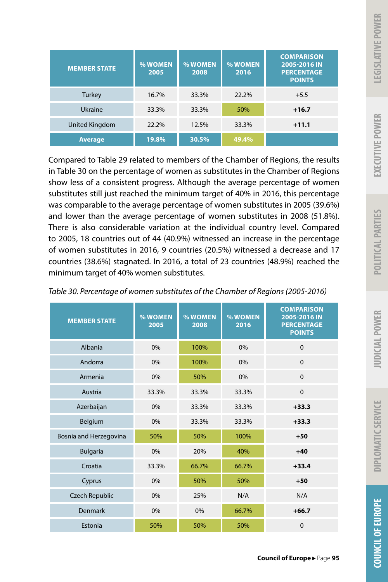| <b>MEMBER STATE</b> | % WOMEN<br>2005 | % WOMEN<br>2008 | % WOMEN<br>2016 | <b>COMPARISON</b><br>2005-2016 IN<br><b>PERCENTAGE</b><br><b>POINTS</b> |
|---------------------|-----------------|-----------------|-----------------|-------------------------------------------------------------------------|
| <b>Turkey</b>       | 16.7%           | 33.3%           | 22.2%           | $+5.5$                                                                  |
| Ukraine             | 33.3%           | 33.3%           | 50%             | $+16.7$                                                                 |
| United Kingdom      | 22.2%           | 12.5%           | 33.3%           | $+11.1$                                                                 |
| Average             | 19.8%           | 30.5%           | 49.4%           |                                                                         |

Compared to Table 29 related to members of the Chamber of Regions, the results in Table 30 on the percentage of women as substitutes in the Chamber of Regions show less of a consistent progress. Although the average percentage of women substitutes still just reached the minimum target of 40% in 2016, this percentage was comparable to the average percentage of women substitutes in 2005 (39.6%) and lower than the average percentage of women substitutes in 2008 (51.8%). There is also considerable variation at the individual country level. Compared to 2005, 18 countries out of 44 (40.9%) witnessed an increase in the percentage of women substitutes in 2016, 9 countries (20.5%) witnessed a decrease and 17 countries (38.6%) stagnated. In 2016, a total of 23 countries (48.9%) reached the minimum target of 40% women substitutes.

| <b>MEMBER STATE</b>    | % WOMEN<br>2005 | % WOMEN<br>2008 | % WOMEN<br>2016 | <b>COMPARISON</b><br>2005-2016 IN<br><b>PERCENTAGE</b><br><b>POINTS</b> |
|------------------------|-----------------|-----------------|-----------------|-------------------------------------------------------------------------|
| Albania                | 0%              | 100%            | 0%              | $\mathbf 0$                                                             |
| Andorra                | 0%              | 100%            | 0%              | $\mathbf 0$                                                             |
| Armenia                | 0%              | 50%             | 0%              | $\Omega$                                                                |
| Austria                | 33.3%           | 33.3%           | 33.3%           | $\mathbf 0$                                                             |
| Azerbaijan             | 0%              | 33.3%           | 33.3%           | $+33.3$                                                                 |
| Belgium                | 0%              | 33.3%           | 33.3%           | $+33.3$                                                                 |
| Bosnia and Herzegovina | 50%             | 50%             | 100%            | $+50$                                                                   |
| <b>Bulgaria</b>        | 0%              | 20%             | 40%             | $+40$                                                                   |
| Croatia                | 33.3%           | 66.7%           | 66.7%           | $+33.4$                                                                 |
| Cyprus                 | 0%              | 50%             | 50%             | $+50$                                                                   |
| Czech Republic         | 0%              | 25%             | N/A             | N/A                                                                     |
| <b>Denmark</b>         | 0%              | 0%              | 66.7%           | $+66.7$                                                                 |
| Estonia                | 50%             | 50%             | 50%             | $\mathbf 0$                                                             |

| Table 30. Percentage of women substitutes of the Chamber of Regions (2005-2016) |  |
|---------------------------------------------------------------------------------|--|
|                                                                                 |  |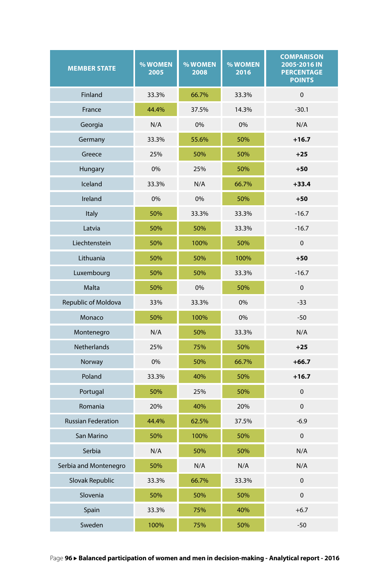| <b>MEMBER STATE</b>       | % WOMEN<br>2005 | % WOMEN<br>2008 | % WOMEN<br>2016 | <b>COMPARISON</b><br>2005-2016 IN<br><b>PERCENTAGE</b><br><b>POINTS</b> |
|---------------------------|-----------------|-----------------|-----------------|-------------------------------------------------------------------------|
| Finland                   | 33.3%           | 66.7%           | 33.3%           | 0                                                                       |
| France                    | 44.4%           | 37.5%           | 14.3%           | $-30.1$                                                                 |
| Georgia                   | N/A             | 0%              | 0%              | N/A                                                                     |
| Germany                   | 33.3%           | 55.6%           | 50%             | $+16.7$                                                                 |
| Greece                    | 25%             | 50%             | 50%             | $+25$                                                                   |
| Hungary                   | 0%              | 25%             | 50%             | $+50$                                                                   |
| Iceland                   | 33.3%           | N/A             | 66.7%           | $+33.4$                                                                 |
| Ireland                   | 0%              | 0%              | 50%             | $+50$                                                                   |
| Italy                     | 50%             | 33.3%           | 33.3%           | $-16.7$                                                                 |
| Latvia                    | 50%             | 50%             | 33.3%           | $-16.7$                                                                 |
| Liechtenstein             | 50%             | 100%            | 50%             | $\mathbf 0$                                                             |
| Lithuania                 | 50%             | 50%             | 100%            | $+50$                                                                   |
| Luxembourg                | 50%             | 50%             | 33.3%           | $-16.7$                                                                 |
| Malta                     | 50%             | 0%              | 50%             | $\mathbf 0$                                                             |
| Republic of Moldova       | 33%             | 33.3%           | 0%              | $-33$                                                                   |
| Monaco                    | 50%             | 100%            | 0%              | $-50$                                                                   |
| Montenegro                | N/A             | 50%             | 33.3%           | N/A                                                                     |
| Netherlands               | 25%             | 75%             | 50%             | $+25$                                                                   |
| Norway                    | 0%              | 50%             | 66.7%           | $+66.7$                                                                 |
| Poland                    | 33.3%           | 40%             | 50%             | $+16.7$                                                                 |
| Portugal                  | 50%             | 25%             | 50%             | $\mathbf 0$                                                             |
| Romania                   | 20%             | 40%             | 20%             | 0                                                                       |
| <b>Russian Federation</b> | 44.4%           | 62.5%           | 37.5%           | $-6.9$                                                                  |
| San Marino                | 50%             | 100%            | 50%             | 0                                                                       |
| Serbia                    | N/A             | 50%             | 50%             | N/A                                                                     |
| Serbia and Montenegro     | 50%             | N/A             | N/A             | N/A                                                                     |
| Slovak Republic           | 33.3%           | 66.7%           | 33.3%           | $\pmb{0}$                                                               |
| Slovenia                  | 50%             | 50%             | 50%             | $\pmb{0}$                                                               |
| Spain                     | 33.3%           | 75%             | 40%             | $+6.7$                                                                  |
| Sweden                    | 100%            | 75%             | 50%             | $-50$                                                                   |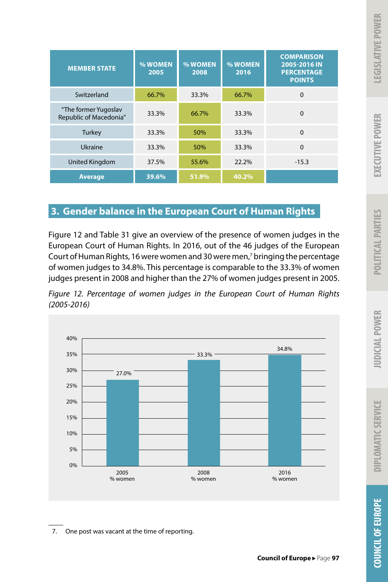| <b>MEMBER STATE</b>                            | % WOMEN<br>2005 | % WOMEN<br>2008 | % WOMEN<br>2016 | <b>COMPARISON</b><br>2005-2016 IN<br><b>PERCENTAGE</b><br><b>POINTS</b> |
|------------------------------------------------|-----------------|-----------------|-----------------|-------------------------------------------------------------------------|
| Switzerland                                    | 66.7%           | 33.3%           | 66.7%           | $\Omega$                                                                |
| "The former Yugoslav<br>Republic of Macedonia" | 33.3%           | 66.7%           | 33.3%           | $\Omega$                                                                |
| <b>Turkey</b>                                  | 33.3%           | 50%             | 33.3%           | $\Omega$                                                                |
| Ukraine                                        | 33.3%           | 50%             | 33.3%           | $\Omega$                                                                |
| <b>United Kingdom</b>                          | 37.5%           | 55.6%           | 22.2%           | $-15.3$                                                                 |
| <b>Average</b>                                 | 39.6%           | 51.9%           | 40.2%           |                                                                         |

#### **3. Gender balance in the European Court of Human Rights**

Figure 12 and Table 31 give an overview of the presence of women judges in the European Court of Human Rights. In 2016, out of the 46 judges of the European Court of Human Rights, 16 were women and 30 were men,<sup>7</sup> bringing the percentage of women judges to 34.8%. This percentage is comparable to the 33.3% of women judges present in 2008 and higher than the 27% of women judges present in 2005.





7. One post was vacant at the time of reporting.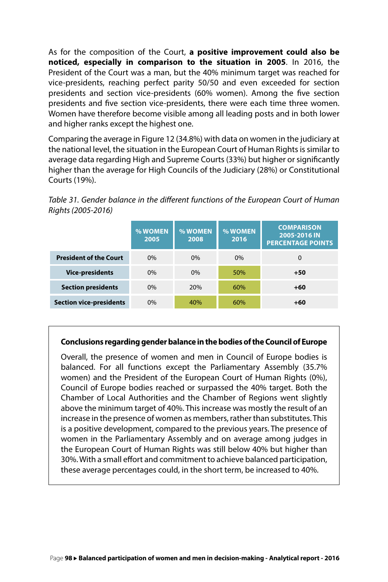As for the composition of the Court, **a positive improvement could also be noticed, especially in comparison to the situation in 2005**. In 2016, the President of the Court was a man, but the 40% minimum target was reached for vice-presidents, reaching perfect parity 50/50 and even exceeded for section presidents and section vice-presidents (60% women). Among the five section presidents and five section vice-presidents, there were each time three women. Women have therefore become visible among all leading posts and in both lower and higher ranks except the highest one.

Comparing the average in Figure 12 (34.8%) with data on women in the judiciary at the national level, the situation in the European Court of Human Rights is similar to average data regarding High and Supreme Courts (33%) but higher or significantly higher than the average for High Councils of the Judiciary (28%) or Constitutional Courts (19%).



|                                | % WOMEN<br>2005 | % WOMEN<br>2008 | % WOMEN<br>2016 | <b>COMPARISON</b><br>2005-2016 IN<br><b>PERCENTAGE POINTS</b> |
|--------------------------------|-----------------|-----------------|-----------------|---------------------------------------------------------------|
| <b>President of the Court</b>  | 0%              | $0\%$           | $0\%$           | 0                                                             |
| <b>Vice-presidents</b>         | 0%              | $0\%$           | 50%             | $+50$                                                         |
| <b>Section presidents</b>      | $0\%$           | 20%             | 60%             | +60                                                           |
| <b>Section vice-presidents</b> | 0%              | 40%             | 60%             | $+60$                                                         |

#### **Conclusions regarding gender balance in the bodies of the Council of Europe**

Overall, the presence of women and men in Council of Europe bodies is balanced. For all functions except the Parliamentary Assembly (35.7% women) and the President of the European Court of Human Rights (0%), Council of Europe bodies reached or surpassed the 40% target. Both the Chamber of Local Authorities and the Chamber of Regions went slightly above the minimum target of 40%. This increase was mostly the result of an increase in the presence of women as members, rather than substitutes. This is a positive development, compared to the previous years. The presence of women in the Parliamentary Assembly and on average among judges in the European Court of Human Rights was still below 40% but higher than 30%. With a small effort and commitment to achieve balanced participation, these average percentages could, in the short term, be increased to 40%.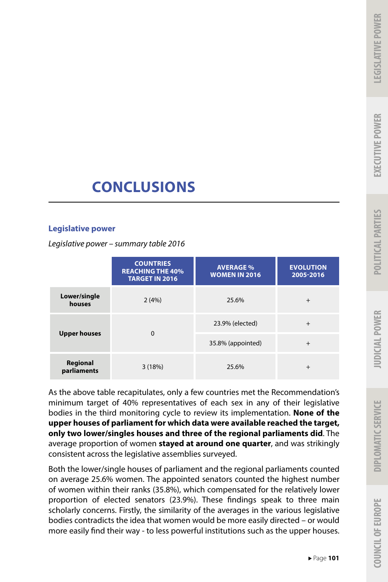# POLITICAL PARTIES **JUDICIAL POWER POLITICAL PARTIES**

## **CONCLUSIONS**

#### **Legislative power**

*Legislative power – summary table 2016*

|                         | <b>COUNTRIES</b><br><b>REACHING THE 40%</b><br><b>TARGET IN 2016</b> | <b>AVERAGE %</b><br><b>WOMEN IN 2016</b> | <b>EVOLUTION</b><br>2005-2016 |
|-------------------------|----------------------------------------------------------------------|------------------------------------------|-------------------------------|
| Lower/single<br>houses  | 2(4%)                                                                | 25.6%                                    | $^{+}$                        |
|                         | $\Omega$                                                             | 23.9% (elected)                          | $^{+}$                        |
| <b>Upper houses</b>     |                                                                      | 35.8% (appointed)                        | $^{+}$                        |
| Regional<br>parliaments | 3(18%)                                                               | 25.6%                                    | $^{+}$                        |

As the above table recapitulates, only a few countries met the Recommendation's minimum target of 40% representatives of each sex in any of their legislative bodies in the third monitoring cycle to review its implementation. **None of the upper houses of parliament for which data were available reached the target, only two lower/singles houses and three of the regional parliaments did**. The average proportion of women **stayed at around one quarter**, and was strikingly consistent across the legislative assemblies surveyed.

Both the lower/single houses of parliament and the regional parliaments counted on average 25.6% women. The appointed senators counted the highest number of women within their ranks (35.8%), which compensated for the relatively lower proportion of elected senators (23.9%). These findings speak to three main scholarly concerns. Firstly, the similarity of the averages in the various legislative bodies contradicts the idea that women would be more easily directed – or would more easily find their way - to less powerful institutions such as the upper houses.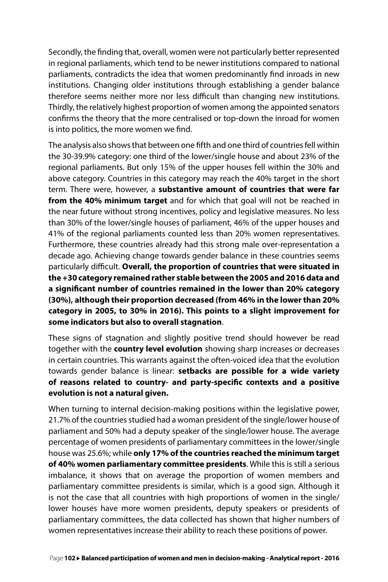Secondly, the finding that, overall, women were not particularly better represented in regional parliaments, which tend to be newer institutions compared to national parliaments, contradicts the idea that women predominantly find inroads in new institutions. Changing older institutions through establishing a gender balance therefore seems neither more nor less difficult than changing new institutions. Thirdly, the relatively highest proportion of women among the appointed senators confirms the theory that the more centralised or top-down the inroad for women is into politics, the more women we find.

The analysis also shows that between one fifth and one third of countries fell within the 30-39.9% category: one third of the lower/single house and about 23% of the regional parliaments. But only 15% of the upper houses fell within the 30% and above category. Countries in this category may reach the 40% target in the short term. There were, however, a **substantive amount of countries that were far from the 40% minimum target** and for which that goal will not be reached in the near future without strong incentives, policy and legislative measures. No less than 30% of the lower/single houses of parliament, 46% of the upper houses and 41% of the regional parliaments counted less than 20% women representatives. Furthermore, these countries already had this strong male over-representation a decade ago. Achieving change towards gender balance in these countries seems particularly difficult. **Overall, the proportion of countries that were situated in the +30 category remained rather stable between the 2005 and 2016 data and a significant number of countries remained in the lower than 20% category (30%), although their proportion decreased (from 46% in the lower than 20% category in 2005, to 30% in 2016). This points to a slight improvement for some indicators but also to overall stagnation**.

These signs of stagnation and slightly positive trend should however be read together with the **country level evolution** showing sharp increases or decreases in certain countries. This warrants against the often-voiced idea that the evolution towards gender balance is linear: **setbacks are possible for a wide variety of reasons related to country- and party-specific contexts and a positive evolution is not a natural given.** 

When turning to internal decision-making positions within the legislative power, 21.7% of the countries studied had a woman president of the single/lower house of parliament and 50% had a deputy speaker of the single/lower house. The average percentage of women presidents of parliamentary committees in the lower/single house was 25.6%; while **only 17% of the countries reached the minimum target of 40% women parliamentary committee presidents**. While this is still a serious imbalance, it shows that on average the proportion of women members and parliamentary committee presidents is similar, which is a good sign. Although it is not the case that all countries with high proportions of women in the single/ lower houses have more women presidents, deputy speakers or presidents of parliamentary committees, the data collected has shown that higher numbers of women representatives increase their ability to reach these positions of power.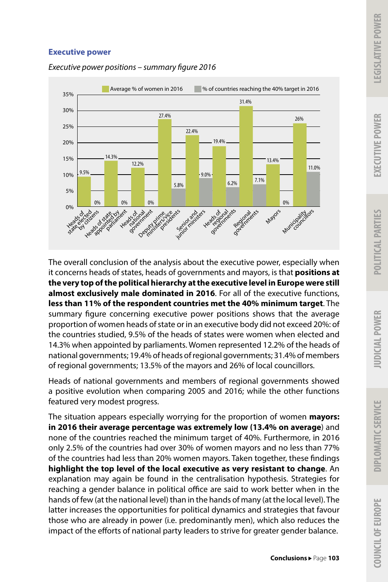DIPLOMATIC SERVICE

**COUNCIL OF EUROPE** 

#### **Executive power**



#### *Executive power positions – summary figure 2016*

The overall conclusion of the analysis about the executive power, especially when it concerns heads of states, heads of governments and mayors, is that **positions at the very top of the political hierarchy at the executive level in Europe were still almost exclusively male dominated in 2016**. For all of the executive functions, **less than 11% of the respondent countries met the 40% minimum target**. The summary figure concerning executive power positions shows that the average proportion of women heads of state or in an executive body did not exceed 20%: of the countries studied, 9.5% of the heads of states were women when elected and 14.3% when appointed by parliaments. Women represented 12.2% of the heads of national governments; 19.4% of heads of regional governments; 31.4% of members of regional governments; 13.5% of the mayors and 26% of local councillors.

Heads of national governments and members of regional governments showed a positive evolution when comparing 2005 and 2016; while the other functions featured very modest progress.

The situation appears especially worrying for the proportion of women **mayors: in 2016 their average percentage was extremely low (13.4% on average**) and none of the countries reached the minimum target of 40%. Furthermore, in 2016 only 2.5% of the countries had over 30% of women mayors and no less than 77% of the countries had less than 20% women mayors. Taken together, these findings **highlight the top level of the local executive as very resistant to change**. An explanation may again be found in the centralisation hypothesis. Strategies for reaching a gender balance in political office are said to work better when in the hands of few (at the national level) than in the hands of many (at the local level). The latter increases the opportunities for political dynamics and strategies that favour those who are already in power (i.e. predominantly men), which also reduces the impact of the efforts of national party leaders to strive for greater gender balance.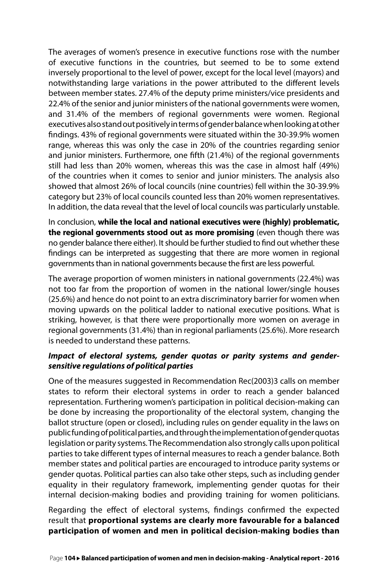The averages of women's presence in executive functions rose with the number of executive functions in the countries, but seemed to be to some extend inversely proportional to the level of power, except for the local level (mayors) and notwithstanding large variations in the power attributed to the different levels between member states. 27.4% of the deputy prime ministers/vice presidents and 22.4% of the senior and junior ministers of the national governments were women, and 31.4% of the members of regional governments were women. Regional executives also stand out positively in terms of gender balance when looking at other findings. 43% of regional governments were situated within the 30-39.9% women range, whereas this was only the case in 20% of the countries regarding senior and junior ministers. Furthermore, one fifth (21.4%) of the regional governments still had less than 20% women, whereas this was the case in almost half (49%) of the countries when it comes to senior and junior ministers. The analysis also showed that almost 26% of local councils (nine countries) fell within the 30-39.9% category but 23% of local councils counted less than 20% women representatives. In addition, the data reveal that the level of local councils was particularly unstable.

In conclusion, **while the local and national executives were (highly) problematic, the regional governments stood out as more promising** (even though there was no gender balance there either). It should be further studied to find out whether these findings can be interpreted as suggesting that there are more women in regional governments than in national governments because the first are less powerful.

The average proportion of women ministers in national governments (22.4%) was not too far from the proportion of women in the national lower/single houses (25.6%) and hence do not point to an extra discriminatory barrier for women when moving upwards on the political ladder to national executive positions. What is striking, however, is that there were proportionally more women on average in regional governments (31.4%) than in regional parliaments (25.6%). More research is needed to understand these patterns.

#### *Impact of electoral systems, gender quotas or parity systems and gendersensitive regulations of political parties*

One of the measures suggested in Recommendation Rec(2003)3 calls on member states to reform their electoral systems in order to reach a gender balanced representation. Furthering women's participation in political decision-making can be done by increasing the proportionality of the electoral system, changing the ballot structure (open or closed), including rules on gender equality in the laws on public funding of political parties, and through the implementation of gender quotas legislation or parity systems. The Recommendation also strongly calls upon political parties to take different types of internal measures to reach a gender balance. Both member states and political parties are encouraged to introduce parity systems or gender quotas. Political parties can also take other steps, such as including gender equality in their regulatory framework, implementing gender quotas for their internal decision-making bodies and providing training for women politicians.

Regarding the effect of electoral systems, findings confirmed the expected result that **proportional systems are clearly more favourable for a balanced participation of women and men in political decision-making bodies than**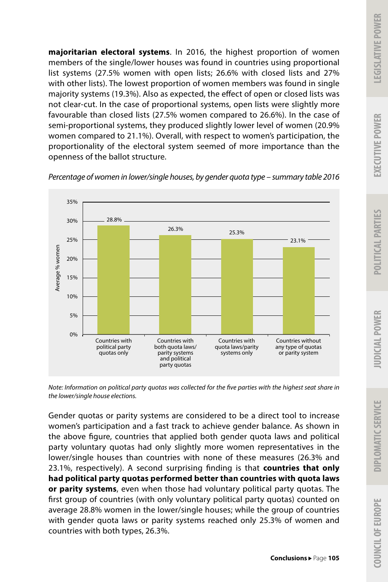EGISLATIVE POWER **LEGISLATIVE POWER**

**COUNCIL OF EUROPE EXECUTIVE POWER DIPLOMATIC SERVICE** DIPLOMATIC SERVICE

**majoritarian electoral systems**. In 2016, the highest proportion of women members of the single/lower houses was found in countries using proportional list systems (27.5% women with open lists; 26.6% with closed lists and 27% with other lists). The lowest proportion of women members was found in single majority systems (19.3%). Also as expected, the effect of open or closed lists was not clear-cut. In the case of proportional systems, open lists were slightly more favourable than closed lists (27.5% women compared to 26.6%). In the case of semi-proportional systems, they produced slightly lower level of women (20.9% women compared to 21.1%). Overall, with respect to women's participation, the proportionality of the electoral system seemed of more importance than the openness of the ballot structure.



*Percentage of women in lower/single houses, by gender quota type – summary table 2016*

*Note: Information on political party quotas was collected for the five parties with the highest seat share in the lower/single house elections.*

Gender quotas or parity systems are considered to be a direct tool to increase women's participation and a fast track to achieve gender balance. As shown in the above figure, countries that applied both gender quota laws and political party voluntary quotas had only slightly more women representatives in the lower/single houses than countries with none of these measures (26.3% and 23.1%, respectively). A second surprising finding is that **countries that only had political party quotas performed better than countries with quota laws or parity systems**, even when those had voluntary political party quotas. The first group of countries (with only voluntary political party quotas) counted on average 28.8% women in the lower/single houses; while the group of countries with gender quota laws or parity systems reached only 25.3% of women and countries with both types, 26.3%.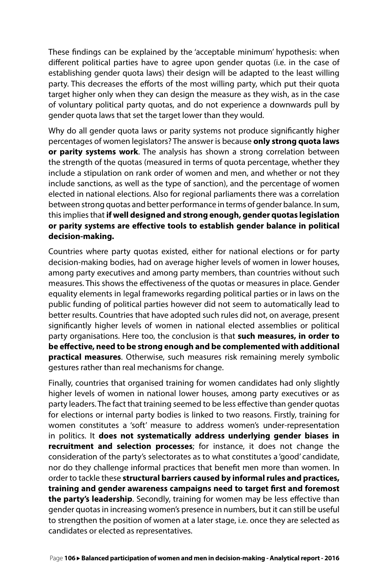These findings can be explained by the 'acceptable minimum' hypothesis: when different political parties have to agree upon gender quotas (i.e. in the case of establishing gender quota laws) their design will be adapted to the least willing party. This decreases the efforts of the most willing party, which put their quota target higher only when they can design the measure as they wish, as in the case of voluntary political party quotas, and do not experience a downwards pull by gender quota laws that set the target lower than they would.

Why do all gender quota laws or parity systems not produce significantly higher percentages of women legislators? The answer is because **only strong quota laws or parity systems work**. The analysis has shown a strong correlation between the strength of the quotas (measured in terms of quota percentage, whether they include a stipulation on rank order of women and men, and whether or not they include sanctions, as well as the type of sanction), and the percentage of women elected in national elections. Also for regional parliaments there was a correlation between strong quotas and better performance in terms of gender balance. In sum, this implies that **if well designed and strong enough, gender quotas legislation or parity systems are effective tools to establish gender balance in political decision-making.**

Countries where party quotas existed, either for national elections or for party decision-making bodies, had on average higher levels of women in lower houses, among party executives and among party members, than countries without such measures. This shows the effectiveness of the quotas or measures in place. Gender equality elements in legal frameworks regarding political parties or in laws on the public funding of political parties however did not seem to automatically lead to better results. Countries that have adopted such rules did not, on average, present significantly higher levels of women in national elected assemblies or political party organisations. Here too, the conclusion is that **such measures, in order to be effective, need to be strong enough and be complemented with additional practical measures**. Otherwise, such measures risk remaining merely symbolic gestures rather than real mechanisms for change.

Finally, countries that organised training for women candidates had only slightly higher levels of women in national lower houses, among party executives or as party leaders. The fact that training seemed to be less effective than gender quotas for elections or internal party bodies is linked to two reasons. Firstly, training for women constitutes a 'soft' measure to address women's under-representation in politics. It **does not systematically address underlying gender biases in recruitment and selection processes**; for instance, it does not change the consideration of the party's selectorates as to what constitutes a 'good' candidate, nor do they challenge informal practices that benefit men more than women. In order to tackle these **structural barriers caused by informal rules and practices, training and gender awareness campaigns need to target first and foremost the party's leadership**. Secondly, training for women may be less effective than gender quotas in increasing women's presence in numbers, but it can still be useful to strengthen the position of women at a later stage, i.e. once they are selected as candidates or elected as representatives.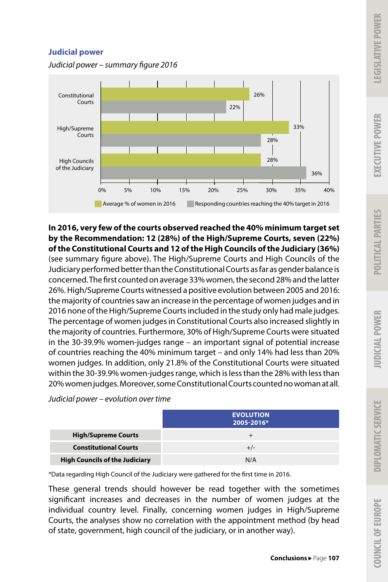EGISLATIVE POWER **LEGISLATIVE POWER**

# POLITICAL PARTIES **JUDICIAL POWER POLITICAL PARTIES**

# DIPLOMATIC SERVICE

## **Judicial power**



*Judicial power – summary figure 2016*

## **In 2016, very few of the courts observed reached the 40% minimum target set by the Recommendation: 12 (28%) of the High/Supreme Courts, seven (22%) of the Constitutional Courts and 12 of the High Councils of the Judiciary (36%)**

(see summary figure above). The High/Supreme Courts and High Councils of the Judiciary performed better than the Constitutional Courts as far as gender balance is concerned. The first counted on average 33% women, the second 28% and the latter 26%. High/Supreme Courts witnessed a positive evolution between 2005 and 2016: the majority of countries saw an increase in the percentage of women judges and in 2016 none of the High/Supreme Courts included in the study only had male judges. The percentage of women judges in Constitutional Courts also increased slightly in the majority of countries. Furthermore, 30% of High/Supreme Courts were situated in the 30-39.9% women-judges range – an important signal of potential increase of countries reaching the 40% minimum target – and only 14% had less than 20% women judges. In addition, only 21.8% of the Constitutional Courts were situated within the 30-39.9% women-judges range, which is less than the 28% with less than 20% women judges. Moreover, some Constitutional Courts counted no woman at all.

*Judicial power – evolution over time*

|                                       | <b>EVOLUTION</b><br>2005-2016* |
|---------------------------------------|--------------------------------|
| <b>High/Supreme Courts</b>            |                                |
| <b>Constitutional Courts</b>          | $+/-$                          |
| <b>High Councils of the Judiciary</b> | N/A                            |

\*Data regarding High Council of the Judiciary were gathered for the first time in 2016.

These general trends should however be read together with the sometimes significant increases and decreases in the number of women judges at the individual country level. Finally, concerning women judges in High/Supreme Courts, the analyses show no correlation with the appointment method (by head of state, government, high council of the judiciary, or in another way).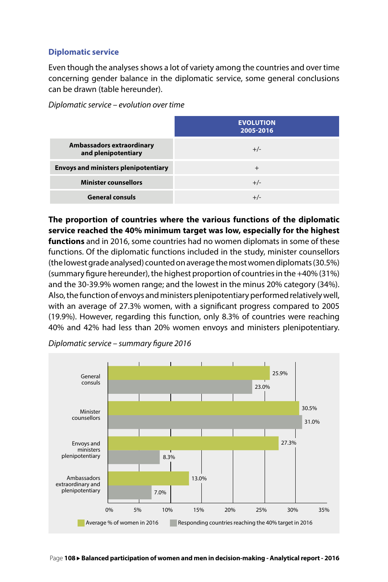## **Diplomatic service**

Even though the analyses shows a lot of variety among the countries and over time concerning gender balance in the diplomatic service, some general conclusions can be drawn (table hereunder).

*Diplomatic service – evolution over time*

|                                                         | <b>EVOLUTION</b><br>2005-2016 |
|---------------------------------------------------------|-------------------------------|
| <b>Ambassadors extraordinary</b><br>and plenipotentiary | $+/-$                         |
| <b>Envoys and ministers plenipotentiary</b>             | $^{+}$                        |
| <b>Minister counsellors</b>                             | $+/-$                         |
| <b>General consuls</b>                                  | $+/-$                         |

**The proportion of countries where the various functions of the diplomatic service reached the 40% minimum target was low, especially for the highest functions** and in 2016, some countries had no women diplomats in some of these functions. Of the diplomatic functions included in the study, minister counsellors (the lowest grade analysed) counted on average the most women diplomats (30.5%) (summary figure hereunder), the highest proportion of countries in the +40% (31%) and the 30-39.9% women range; and the lowest in the minus 20% category (34%). Also, the function of envoys and ministers plenipotentiary performed relatively well, with an average of 27.3% women, with a significant progress compared to 2005 (19.9%). However, regarding this function, only 8.3% of countries were reaching 40% and 42% had less than 20% women envoys and ministers plenipotentiary.



*Diplomatic service – summary figure 2016*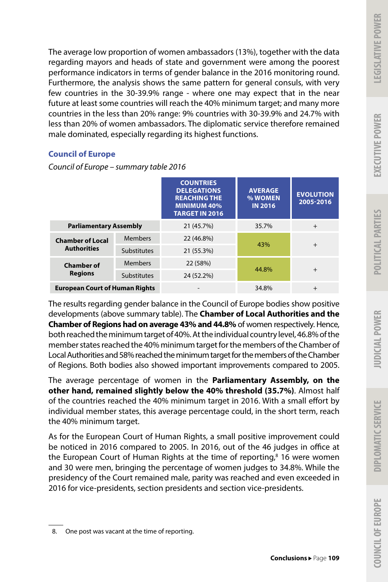The average low proportion of women ambassadors (13%), together with the data regarding mayors and heads of state and government were among the poorest performance indicators in terms of gender balance in the 2016 monitoring round. Furthermore, the analysis shows the same pattern for general consuls, with very few countries in the 30-39.9% range - where one may expect that in the near future at least some countries will reach the 40% minimum target; and many more countries in the less than 20% range: 9% countries with 30-39.9% and 24.7% with less than 20% of women ambassadors. The diplomatic service therefore remained male dominated, especially regarding its highest functions.

# **Council of Europe**

*Council of Europe – summary table 2016*

|                                               |                    | <b>COUNTRIES</b><br><b>DELEGATIONS</b><br><b>REACHING THE</b><br><b>MINIMUM 40%</b><br><b>TARGET IN 2016</b> | <b>AVERAGE</b><br>% WOMEN<br><b>IN 2016</b> | <b>EVOLUTION</b><br>2005-2016 |
|-----------------------------------------------|--------------------|--------------------------------------------------------------------------------------------------------------|---------------------------------------------|-------------------------------|
| <b>Parliamentary Assembly</b>                 |                    | 21 (45.7%)                                                                                                   | 35.7%                                       | $^{+}$                        |
| <b>Chamber of Local</b><br><b>Authorities</b> | <b>Members</b>     | 22 (46.8%)                                                                                                   | 43%                                         | $^{+}$                        |
|                                               | Substitutes        | 21 (55.3%)                                                                                                   |                                             |                               |
| <b>Chamber of</b><br><b>Regions</b>           | <b>Members</b>     | 22 (58%)                                                                                                     | 44.8%                                       | $^{+}$                        |
|                                               | <b>Substitutes</b> | 24 (52.2%)                                                                                                   |                                             |                               |
| <b>European Court of Human Rights</b>         |                    |                                                                                                              | 34.8%                                       | $^{+}$                        |

The results regarding gender balance in the Council of Europe bodies show positive developments (above summary table). The **Chamber of Local Authorities and the Chamber of Regions had on average 43% and 44.8%** of women respectively. Hence, both reached the minimum target of 40%. At the individual country level, 46.8% of the member states reached the 40% minimum target for the members of the Chamber of Local Authorities and 58% reached the minimum target for the members of the Chamber of Regions. Both bodies also showed important improvements compared to 2005.

The average percentage of women in the **Parliamentary Assembly, on the other hand, remained slightly below the 40% threshold (35.7%)**. Almost half of the countries reached the 40% minimum target in 2016. With a small effort by individual member states, this average percentage could, in the short term, reach the 40% minimum target.

As for the European Court of Human Rights, a small positive improvement could be noticed in 2016 compared to 2005. In 2016, out of the 46 judges in office at the European Court of Human Rights at the time of reporting, $8$  16 were women and 30 were men, bringing the percentage of women judges to 34.8%. While the presidency of the Court remained male, parity was reached and even exceeded in 2016 for vice-presidents, section presidents and section vice-presidents.

<sup>8.</sup> One post was vacant at the time of reporting.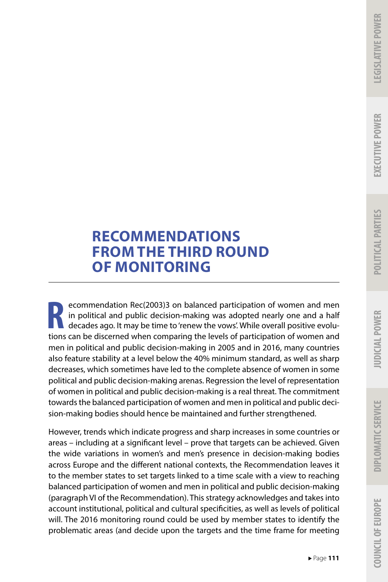# **RECOMMENDATIONS FROM THE THIRD ROUND OF MONITORING**

**R** ecommendation Rec(2003)3 on balanced participation of women and men<br>in political and public decision-making was adopted nearly one and a half<br>decades ago. It may be time to 'renew the yows'. While overall positive evol in political and public decision-making was adopted nearly one and a half decades ago. It may be time to 'renew the vows'. While overall positive evolutions can be discerned when comparing the levels of participation of women and men in political and public decision-making in 2005 and in 2016, many countries also feature stability at a level below the 40% minimum standard, as well as sharp decreases, which sometimes have led to the complete absence of women in some political and public decision-making arenas. Regression the level of representation of women in political and public decision-making is a real threat. The commitment towards the balanced participation of women and men in political and public decision-making bodies should hence be maintained and further strengthened.

However, trends which indicate progress and sharp increases in some countries or areas – including at a significant level – prove that targets can be achieved. Given the wide variations in women's and men's presence in decision-making bodies across Europe and the different national contexts, the Recommendation leaves it to the member states to set targets linked to a time scale with a view to reaching balanced participation of women and men in political and public decision-making (paragraph VI of the Recommendation). This strategy acknowledges and takes into account institutional, political and cultural specificities, as well as levels of political will. The 2016 monitoring round could be used by member states to identify the problematic areas (and decide upon the targets and the time frame for meeting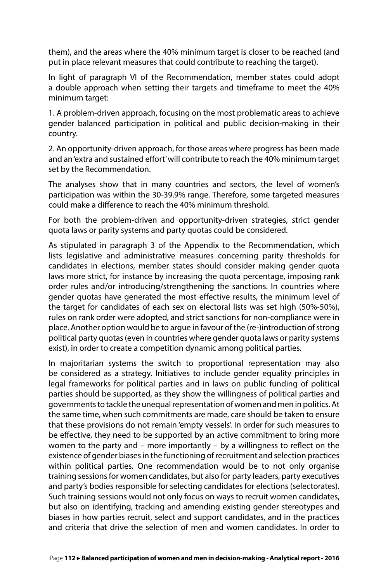them), and the areas where the 40% minimum target is closer to be reached (and put in place relevant measures that could contribute to reaching the target).

In light of paragraph VI of the Recommendation, member states could adopt a double approach when setting their targets and timeframe to meet the 40% minimum target:

1. A problem-driven approach, focusing on the most problematic areas to achieve gender balanced participation in political and public decision-making in their country.

2. An opportunity-driven approach, for those areas where progress has been made and an 'extra and sustained effort' will contribute to reach the 40% minimum target set by the Recommendation.

The analyses show that in many countries and sectors, the level of women's participation was within the 30-39.9% range. Therefore, some targeted measures could make a difference to reach the 40% minimum threshold.

For both the problem-driven and opportunity-driven strategies, strict gender quota laws or parity systems and party quotas could be considered.

As stipulated in paragraph 3 of the Appendix to the Recommendation, which lists legislative and administrative measures concerning parity thresholds for candidates in elections, member states should consider making gender quota laws more strict, for instance by increasing the quota percentage, imposing rank order rules and/or introducing/strengthening the sanctions. In countries where gender quotas have generated the most effective results, the minimum level of the target for candidates of each sex on electoral lists was set high (50%-50%), rules on rank order were adopted, and strict sanctions for non-compliance were in place. Another option would be to argue in favour of the (re-)introduction of strong political party quotas (even in countries where gender quota laws or parity systems exist), in order to create a competition dynamic among political parties.

In majoritarian systems the switch to proportional representation may also be considered as a strategy. Initiatives to include gender equality principles in legal frameworks for political parties and in laws on public funding of political parties should be supported, as they show the willingness of political parties and governments to tackle the unequal representation of women and men in politics. At the same time, when such commitments are made, care should be taken to ensure that these provisions do not remain 'empty vessels'. In order for such measures to be effective, they need to be supported by an active commitment to bring more women to the party and – more importantly – by a willingness to reflect on the existence of gender biases in the functioning of recruitment and selection practices within political parties. One recommendation would be to not only organise training sessions for women candidates, but also for party leaders, party executives and party's bodies responsible for selecting candidates for elections (selectorates). Such training sessions would not only focus on ways to recruit women candidates, but also on identifying, tracking and amending existing gender stereotypes and biases in how parties recruit, select and support candidates, and in the practices and criteria that drive the selection of men and women candidates. In order to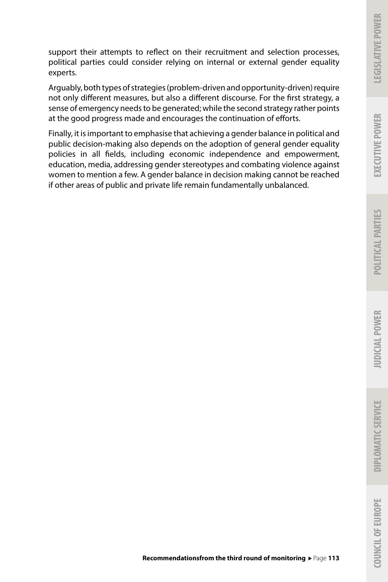support their attempts to reflect on their recruitment and selection processes, political parties could consider relying on internal or external gender equality experts.

Arguably, both types of strategies (problem-driven and opportunity-driven) require not only different measures, but also a different discourse. For the first strategy, a sense of emergency needs to be generated; while the second strategy rather points at the good progress made and encourages the continuation of efforts.

Finally, it is important to emphasise that achieving a gender balance in political and public decision-making also depends on the adoption of general gender equality policies in all fields, including economic independence and empowerment, education, media, addressing gender stereotypes and combating violence against women to mention a few. A gender balance in decision making cannot be reached if other areas of public and private life remain fundamentally unbalanced.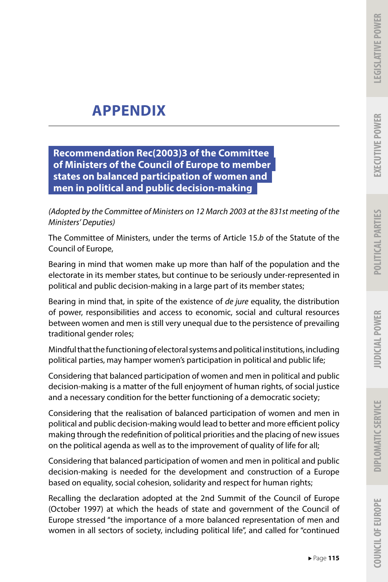# **APPENDIX**

**Recommendation [Rec\(2003\)3](https://search.coe.int/cm/Pages/result_details.aspx?ObjectId=09000016805e0848) of the Committee of Ministers of the Council of Europe to member states on balanced participation of women and men in political and public decision-making**

*(Adopted by the Committee of Ministers on 12 March 2003 at the 831st meeting of the Ministers' Deputies)*

The Committee of Ministers, under the terms of Article 15.*b* of the Statute of the Council of Europe,

Bearing in mind that women make up more than half of the population and the electorate in its member states, but continue to be seriously under-represented in political and public decision-making in a large part of its member states;

Bearing in mind that, in spite of the existence of *de jure* equality, the distribution of power, responsibilities and access to economic, social and cultural resources between women and men is still very unequal due to the persistence of prevailing traditional gender roles;

Mindful that the functioning of electoral systems and political institutions, including political parties, may hamper women's participation in political and public life;

Considering that balanced participation of women and men in political and public decision-making is a matter of the full enjoyment of human rights, of social justice and a necessary condition for the better functioning of a democratic society;

Considering that the realisation of balanced participation of women and men in political and public decision-making would lead to better and more efficient policy making through the redefinition of political priorities and the placing of new issues on the political agenda as well as to the improvement of quality of life for all;

Considering that balanced participation of women and men in political and public decision-making is needed for the development and construction of a Europe based on equality, social cohesion, solidarity and respect for human rights;

Recalling the declaration adopted at the 2nd Summit of the Council of Europe (October 1997) at which the heads of state and government of the Council of Europe stressed "the importance of a more balanced representation of men and women in all sectors of society, including political life", and called for "continued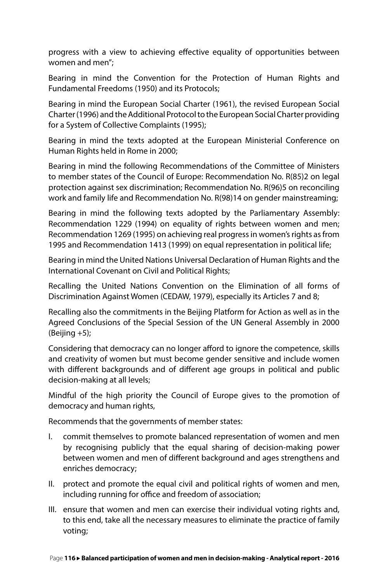progress with a view to achieving effective equality of opportunities between women and men";

Bearing in mind the Convention for the Protection of Human Rights and Fundamental Freedoms (1950) and its Protocols;

Bearing in mind the European Social Charter (1961), the revised European Social Charter (1996) and the Additional Protocol to the European Social Charter providing for a System of Collective Complaints (1995);

Bearing in mind the texts adopted at the European Ministerial Conference on Human Rights held in Rome in 2000;

Bearing in mind the following Recommendations of the Committee of Ministers to member states of the Council of Europe: Recommendation No. R(85)2 on legal protection against sex discrimination; Recommendation No. R(96)5 on reconciling work and family life and Recommendation No. R(98)14 on gender mainstreaming;

Bearing in mind the following texts adopted by the Parliamentary Assembly: Recommendation 1229 (1994) on equality of rights between women and men; Recommendation 1269 (1995) on achieving real progress in women's rights as from 1995 and Recommendation 1413 (1999) on equal representation in political life;

Bearing in mind the United Nations Universal Declaration of Human Rights and the International Covenant on Civil and Political Rights;

Recalling the United Nations Convention on the Elimination of all forms of Discrimination Against Women (CEDAW, 1979), especially its Articles 7 and 8;

Recalling also the commitments in the Beijing Platform for Action as well as in the Agreed Conclusions of the Special Session of the UN General Assembly in 2000  $(Beijinq +5);$ 

Considering that democracy can no longer afford to ignore the competence, skills and creativity of women but must become gender sensitive and include women with different backgrounds and of different age groups in political and public decision-making at all levels;

Mindful of the high priority the Council of Europe gives to the promotion of democracy and human rights,

Recommends that the governments of member states:

- I. commit themselves to promote balanced representation of women and men by recognising publicly that the equal sharing of decision-making power between women and men of different background and ages strengthens and enriches democracy;
- II. protect and promote the equal civil and political rights of women and men, including running for office and freedom of association;
- III. ensure that women and men can exercise their individual voting rights and, to this end, take all the necessary measures to eliminate the practice of family voting;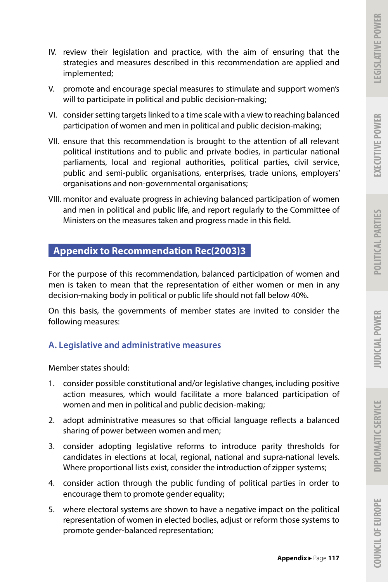- IV. review their legislation and practice, with the aim of ensuring that the strategies and measures described in this recommendation are applied and implemented;
- V. promote and encourage special measures to stimulate and support women's will to participate in political and public decision-making;
- VI. consider setting targets linked to a time scale with a view to reaching balanced participation of women and men in political and public decision-making;
- VII. ensure that this recommendation is brought to the attention of all relevant political institutions and to public and private bodies, in particular national parliaments, local and regional authorities, political parties, civil service, public and semi-public organisations, enterprises, trade unions, employers' organisations and non-governmental organisations;
- VIII. monitor and evaluate progress in achieving balanced participation of women and men in political and public life, and report regularly to the Committee of Ministers on the measures taken and progress made in this field.

# **Appendix to Recommendation [Rec\(2003\)3](https://search.coe.int/cm/Pages/result_details.aspx?Reference=Rec(2003)3)**

For the purpose of this recommendation, balanced participation of women and men is taken to mean that the representation of either women or men in any decision-making body in political or public life should not fall below 40%.

On this basis, the governments of member states are invited to consider the following measures:

### **A. Legislative and administrative measures**

Member states should:

- 1. consider possible constitutional and/or legislative changes, including positive action measures, which would facilitate a more balanced participation of women and men in political and public decision-making;
- 2. adopt administrative measures so that official language reflects a balanced sharing of power between women and men;
- 3. consider adopting legislative reforms to introduce parity thresholds for candidates in elections at local, regional, national and supra-national levels. Where proportional lists exist, consider the introduction of zipper systems;
- 4. consider action through the public funding of political parties in order to encourage them to promote gender equality;
- 5. where electoral systems are shown to have a negative impact on the political representation of women in elected bodies, adjust or reform those systems to promote gender-balanced representation;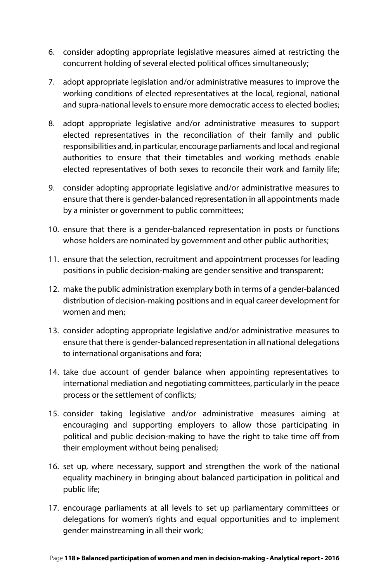- 6. consider adopting appropriate legislative measures aimed at restricting the concurrent holding of several elected political offices simultaneously;
- 7. adopt appropriate legislation and/or administrative measures to improve the working conditions of elected representatives at the local, regional, national and supra-national levels to ensure more democratic access to elected bodies;
- 8. adopt appropriate legislative and/or administrative measures to support elected representatives in the reconciliation of their family and public responsibilities and, in particular, encourage parliaments and local and regional authorities to ensure that their timetables and working methods enable elected representatives of both sexes to reconcile their work and family life;
- 9. consider adopting appropriate legislative and/or administrative measures to ensure that there is gender-balanced representation in all appointments made by a minister or government to public committees;
- 10. ensure that there is a gender-balanced representation in posts or functions whose holders are nominated by government and other public authorities;
- 11. ensure that the selection, recruitment and appointment processes for leading positions in public decision-making are gender sensitive and transparent;
- 12. make the public administration exemplary both in terms of a gender-balanced distribution of decision-making positions and in equal career development for women and men;
- 13. consider adopting appropriate legislative and/or administrative measures to ensure that there is gender-balanced representation in all national delegations to international organisations and fora;
- 14. take due account of gender balance when appointing representatives to international mediation and negotiating committees, particularly in the peace process or the settlement of conflicts;
- 15. consider taking legislative and/or administrative measures aiming at encouraging and supporting employers to allow those participating in political and public decision-making to have the right to take time off from their employment without being penalised;
- 16. set up, where necessary, support and strengthen the work of the national equality machinery in bringing about balanced participation in political and public life;
- 17. encourage parliaments at all levels to set up parliamentary committees or delegations for women's rights and equal opportunities and to implement gender mainstreaming in all their work;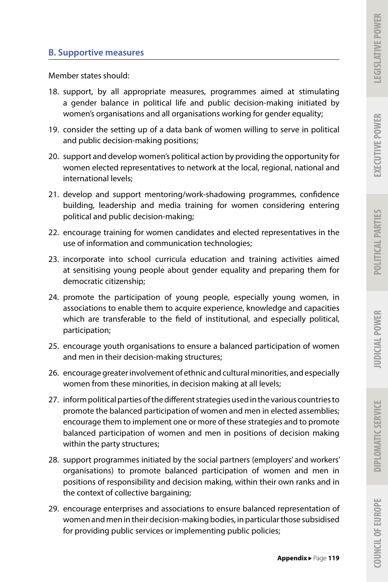# **B. Supportive measures**

Member states should:

- 18. support, by all appropriate measures, programmes aimed at stimulating a gender balance in political life and public decision-making initiated by women's organisations and all organisations working for gender equality;
- 19. consider the setting up of a data bank of women willing to serve in political and public decision-making positions;
- 20. support and develop women's political action by providing the opportunity for women elected representatives to network at the local, regional, national and international levels;
- 21. develop and support mentoring/work-shadowing programmes, confidence building, leadership and media training for women considering entering political and public decision-making;
- 22. encourage training for women candidates and elected representatives in the use of information and communication technologies;
- 23. incorporate into school curricula education and training activities aimed at sensitising young people about gender equality and preparing them for democratic citizenship;
- 24. promote the participation of young people, especially young women, in associations to enable them to acquire experience, knowledge and capacities which are transferable to the field of institutional, and especially political, participation;
- 25. encourage youth organisations to ensure a balanced participation of women and men in their decision-making structures;
- 26. encourage greater involvement of ethnic and cultural minorities, and especially women from these minorities, in decision making at all levels;
- 27. inform political parties of the different strategies used in the various countries to promote the balanced participation of women and men in elected assemblies; encourage them to implement one or more of these strategies and to promote balanced participation of women and men in positions of decision making within the party structures;
- 28. support programmes initiated by the social partners (employers' and workers' organisations) to promote balanced participation of women and men in positions of responsibility and decision making, within their own ranks and in the context of collective bargaining;
- 29. encourage enterprises and associations to ensure balanced representation of women and men in their decision-making bodies, in particular those subsidised for providing public services or implementing public policies;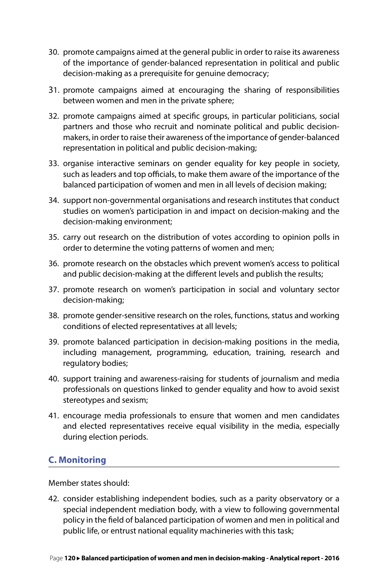- 30. promote campaigns aimed at the general public in order to raise its awareness of the importance of gender-balanced representation in political and public decision-making as a prerequisite for genuine democracy;
- 31. promote campaigns aimed at encouraging the sharing of responsibilities between women and men in the private sphere;
- 32. promote campaigns aimed at specific groups, in particular politicians, social partners and those who recruit and nominate political and public decisionmakers, in order to raise their awareness of the importance of gender-balanced representation in political and public decision-making;
- 33. organise interactive seminars on gender equality for key people in society, such as leaders and top officials, to make them aware of the importance of the balanced participation of women and men in all levels of decision making;
- 34. support non-governmental organisations and research institutes that conduct studies on women's participation in and impact on decision-making and the decision-making environment;
- 35. carry out research on the distribution of votes according to opinion polls in order to determine the voting patterns of women and men;
- 36. promote research on the obstacles which prevent women's access to political and public decision-making at the different levels and publish the results;
- 37. promote research on women's participation in social and voluntary sector decision-making;
- 38. promote gender-sensitive research on the roles, functions, status and working conditions of elected representatives at all levels;
- 39. promote balanced participation in decision-making positions in the media, including management, programming, education, training, research and regulatory bodies;
- 40. support training and awareness-raising for students of journalism and media professionals on questions linked to gender equality and how to avoid sexist stereotypes and sexism;
- 41. encourage media professionals to ensure that women and men candidates and elected representatives receive equal visibility in the media, especially during election periods.

# **C. Monitoring**

Member states should:

42. consider establishing independent bodies, such as a parity observatory or a special independent mediation body, with a view to following governmental policy in the field of balanced participation of women and men in political and public life, or entrust national equality machineries with this task;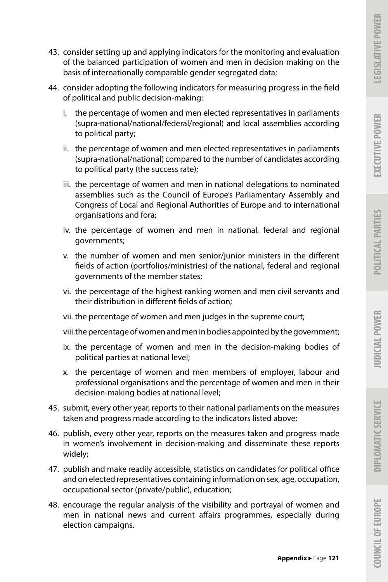- 43. consider setting up and applying indicators for the monitoring and evaluation of the balanced participation of women and men in decision making on the basis of internationally comparable gender segregated data;
- 44. consider adopting the following indicators for measuring progress in the field of political and public decision-making:
	- i. the percentage of women and men elected representatives in parliaments (supra-national/national/federal/regional) and local assemblies according to political party;
	- ii. the percentage of women and men elected representatives in parliaments (supra-national/national) compared to the number of candidates according to political party (the success rate);
	- iii. the percentage of women and men in national delegations to nominated assemblies such as the Council of Europe's Parliamentary Assembly and Congress of Local and Regional Authorities of Europe and to international organisations and fora;
	- iv. the percentage of women and men in national, federal and regional governments;
	- v. the number of women and men senior/junior ministers in the different fields of action (portfolios/ministries) of the national, federal and regional governments of the member states;
	- vi. the percentage of the highest ranking women and men civil servants and their distribution in different fields of action;
	- vii. the percentage of women and men judges in the supreme court;

viii.the percentage of women and men in bodies appointed by the government;

- ix. the percentage of women and men in the decision-making bodies of political parties at national level;
- x. the percentage of women and men members of employer, labour and professional organisations and the percentage of women and men in their decision-making bodies at national level;
- 45. submit, every other year, reports to their national parliaments on the measures taken and progress made according to the indicators listed above;
- 46. publish, every other year, reports on the measures taken and progress made in women's involvement in decision-making and disseminate these reports widely;
- 47. publish and make readily accessible, statistics on candidates for political office and on elected representatives containing information on sex, age, occupation, occupational sector (private/public), education;
- 48. encourage the regular analysis of the visibility and portrayal of women and men in national news and current affairs programmes, especially during election campaigns.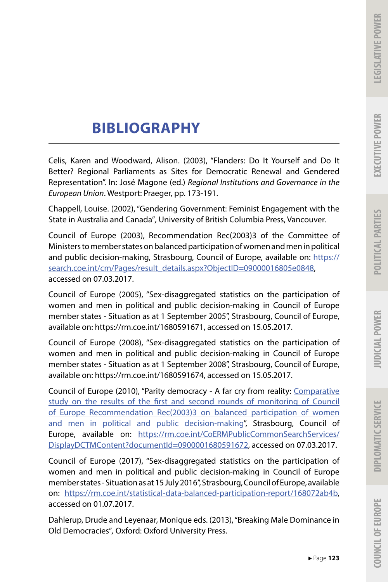# **BIBLIOGRAPHY**

Celis, Karen and Woodward, Alison. (2003), "Flanders: Do It Yourself and Do It Better? Regional Parliaments as Sites for Democratic Renewal and Gendered Representation". In: José Magone (ed.) *Regional Institutions and Governance in the European Union*. Westport: Praeger, pp. 173-191.

Chappell, Louise. (2002), "Gendering Government: Feminist Engagement with the State in Australia and Canada"*,* University of British Columbia Press, Vancouver.

Council of Europe (2003), Recommendation Rec(2003)3 of the Committee of Ministers to member states on balanced participation of women and men in political and public decision-making, Strasbourg, Council of Europe, available on: [https://](https://search.coe.int/cm/Pages/result_details.aspx?ObjectID=09000016805e0848) [search.coe.int/cm/Pages/result\\_details.aspx?ObjectID=09000016805e0848,](https://search.coe.int/cm/Pages/result_details.aspx?ObjectID=09000016805e0848) accessed on 07.03.2017.

Council of Europe (2005), "Sex-disaggregated statistics on the participation of women and men in political and public decision-making in Council of Europe member states - Situation as at 1 September 2005", Strasbourg, Council of Europe, available on: https://rm.coe.int/1680591671, accessed on 15.05.2017.

Council of Europe (2008), "Sex-disaggregated statistics on the participation of women and men in political and public decision-making in Council of Europe member states - Situation as at 1 September 2008", Strasbourg, Council of Europe, available on: https://rm.coe.int/1680591674, accessed on 15.05.2017.

Council of Europe (2010), "Parity democracy - A far cry from reality: [Comparative](http://rm.coe.int/CoERMPublicCommonSearchServices/DisplayDCTMContent?documentId=0900001680591672)  [study on the results of the first and second rounds of monitoring of Council](http://rm.coe.int/CoERMPublicCommonSearchServices/DisplayDCTMContent?documentId=0900001680591672)  [of Europe Recommendation Rec\(2003\)3 on balanced participation of women](http://rm.coe.int/CoERMPublicCommonSearchServices/DisplayDCTMContent?documentId=0900001680591672)  [and men in political and public decision-making"](http://rm.coe.int/CoERMPublicCommonSearchServices/DisplayDCTMContent?documentId=0900001680591672), Strasbourg, Council of Europe, available on: [https://rm.coe.int/CoERMPublicCommonSearchServices/](https://rm.coe.int/CoERMPublicCommonSearchServices/DisplayDCTMContent?documentId=0900001680591672) [DisplayDCTMContent?documentId=0900001680591672](https://rm.coe.int/CoERMPublicCommonSearchServices/DisplayDCTMContent?documentId=0900001680591672), accessed on 07.03.2017.

Council of Europe (2017), "Sex-disaggregated statistics on the participation of women and men in political and public decision-making in Council of Europe member states - Situation as at 15 July 2016", Strasbourg, Council of Europe, available on: [https://rm.coe.int/statistical-data-balanced-participation-report/168072ab4b,](https://rm.coe.int/statistical-data-balanced-participation-report/168072ab4b) accessed on 01.07.2017.

Dahlerup, Drude and Leyenaar, Monique eds. (2013), "Breaking Male Dominance in Old Democracies"*,* Oxford: Oxford University Press.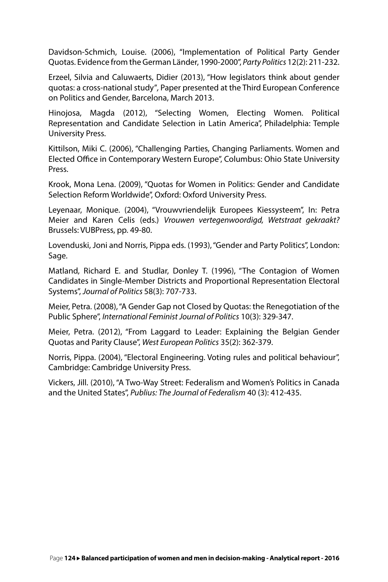Davidson-Schmich, Louise. (2006), "Implementation of Political Party Gender Quotas. Evidence from the German Länder, 1990-2000", *Party Politics* 12(2): 211-232.

Erzeel, Silvia and Caluwaerts, Didier (2013), "How legislators think about gender quotas: a cross-national study"*,* Paper presented at the Third European Conference on Politics and Gender, Barcelona, March 2013.

Hinojosa, Magda (2012), "Selecting Women, Electing Women. Political Representation and Candidate Selection in Latin America", Philadelphia: Temple University Press.

Kittilson, Miki C. (2006), "Challenging Parties, Changing Parliaments. Women and Elected Office in Contemporary Western Europe", Columbus: Ohio State University Press.

Krook, Mona Lena. (2009), "Quotas for Women in Politics: Gender and Candidate Selection Reform Worldwide", Oxford: Oxford University Press.

Leyenaar, Monique. (2004), "Vrouwvriendelijk Europees Kiessysteem", In: Petra Meier and Karen Celis (eds.) *Vrouwen vertegenwoordigd, Wetstraat gekraakt?*  Brussels: VUBPress, pp. 49-80.

Lovenduski, Joni and Norris, Pippa eds. (1993), "Gender and Party Politics", London: Sage.

Matland, Richard E. and Studlar, Donley T. (1996), "The Contagion of Women Candidates in Single-Member Districts and Proportional Representation Electoral Systems", *Journal of Politics* 58(3): 707-733.

Meier, Petra. (2008), "A Gender Gap not Closed by Quotas: the Renegotiation of the Public Sphere", *International Feminist Journal of Politics* 10(3): 329-347.

Meier, Petra. (2012), "From Laggard to Leader: Explaining the Belgian Gender Quotas and Parity Clause", *West European Politics* 35(2): 362-379.

Norris, Pippa. (2004), "Electoral Engineering. Voting rules and political behaviour", Cambridge: Cambridge University Press.

Vickers, Jill. (2010), "A Two-Way Street: Federalism and Women's Politics in Canada and the United States", *Publius: The Journal of Federalism* 40 (3): 412-435.